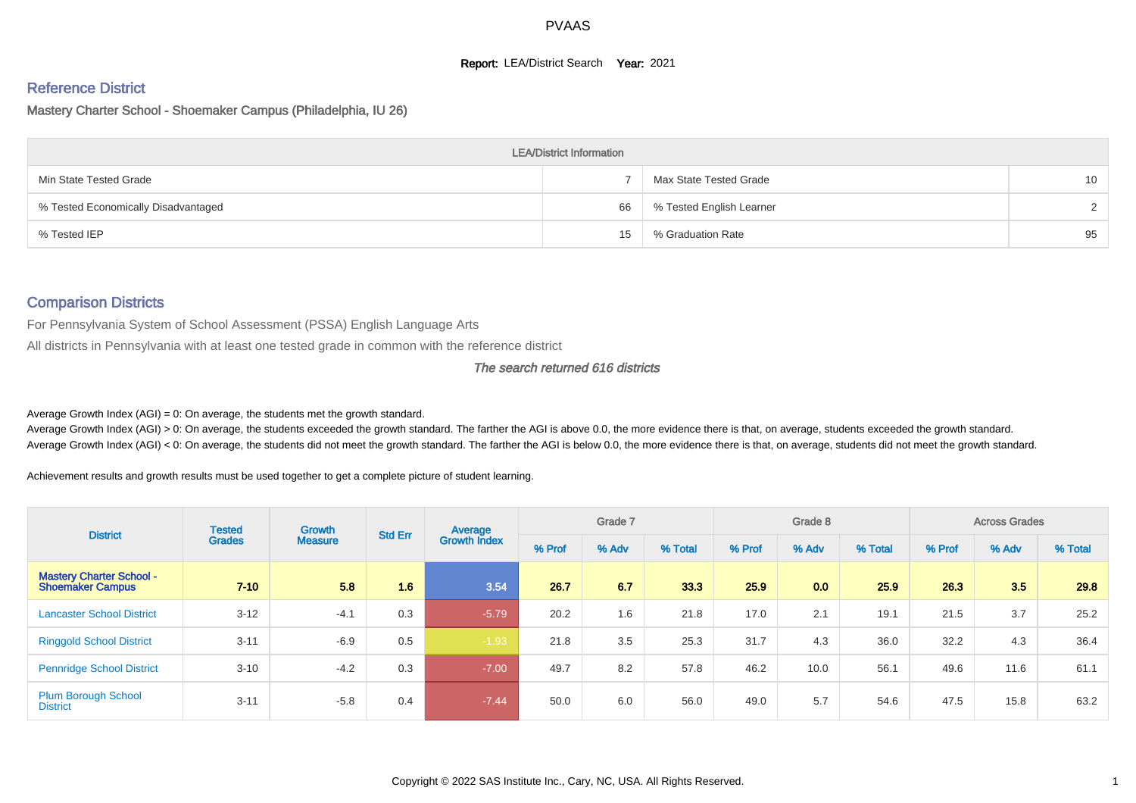#### **Report: LEA/District Search Year: 2021**

# Reference District

Mastery Charter School - Shoemaker Campus (Philadelphia, IU 26)

|                                     | <b>LEA/District Information</b> |                          |    |
|-------------------------------------|---------------------------------|--------------------------|----|
| Min State Tested Grade              |                                 | Max State Tested Grade   | 10 |
| % Tested Economically Disadvantaged | 66                              | % Tested English Learner | C. |
| % Tested IEP                        | 15                              | % Graduation Rate        | 95 |

#### Comparison Districts

For Pennsylvania System of School Assessment (PSSA) English Language Arts

All districts in Pennsylvania with at least one tested grade in common with the reference district

#### The search returned 616 districts

Average Growth Index  $(AGI) = 0$ : On average, the students met the growth standard.

Average Growth Index (AGI) > 0: On average, the students exceeded the growth standard. The farther the AGI is above 0.0, the more evidence there is that, on average, students exceeded the growth standard. Average Growth Index (AGI) < 0: On average, the students did not meet the growth standard. The farther the AGI is below 0.0, the more evidence there is that, on average, students did not meet the growth standard.

Achievement results and growth results must be used together to get a complete picture of student learning.

| <b>District</b>                                            | <b>Tested</b> | Growth         | <b>Std Err</b> | Average             |        | Grade 7 |         |        | Grade 8 |         |        | <b>Across Grades</b> |         |
|------------------------------------------------------------|---------------|----------------|----------------|---------------------|--------|---------|---------|--------|---------|---------|--------|----------------------|---------|
|                                                            | <b>Grades</b> | <b>Measure</b> |                | <b>Growth Index</b> | % Prof | % Adv   | % Total | % Prof | % Adv   | % Total | % Prof | % Adv                | % Total |
| <b>Mastery Charter School -</b><br><b>Shoemaker Campus</b> | $7 - 10$      | 5.8            | 1.6            | 3.54                | 26.7   | 6.7     | 33.3    | 25.9   | 0.0     | 25.9    | 26.3   | 3.5                  | 29.8    |
| <b>Lancaster School District</b>                           | $3 - 12$      | $-4.1$         | 0.3            | $-5.79$             | 20.2   | 1.6     | 21.8    | 17.0   | 2.1     | 19.1    | 21.5   | 3.7                  | 25.2    |
| <b>Ringgold School District</b>                            | $3 - 11$      | $-6.9$         | 0.5            | $-1.93$             | 21.8   | 3.5     | 25.3    | 31.7   | 4.3     | 36.0    | 32.2   | 4.3                  | 36.4    |
| <b>Pennridge School District</b>                           | $3 - 10$      | $-4.2$         | 0.3            | $-7.00$             | 49.7   | 8.2     | 57.8    | 46.2   | 10.0    | 56.1    | 49.6   | 11.6                 | 61.1    |
| <b>Plum Borough School</b><br><b>District</b>              | $3 - 11$      | $-5.8$         | 0.4            | $-7.44$             | 50.0   | 6.0     | 56.0    | 49.0   | 5.7     | 54.6    | 47.5   | 15.8                 | 63.2    |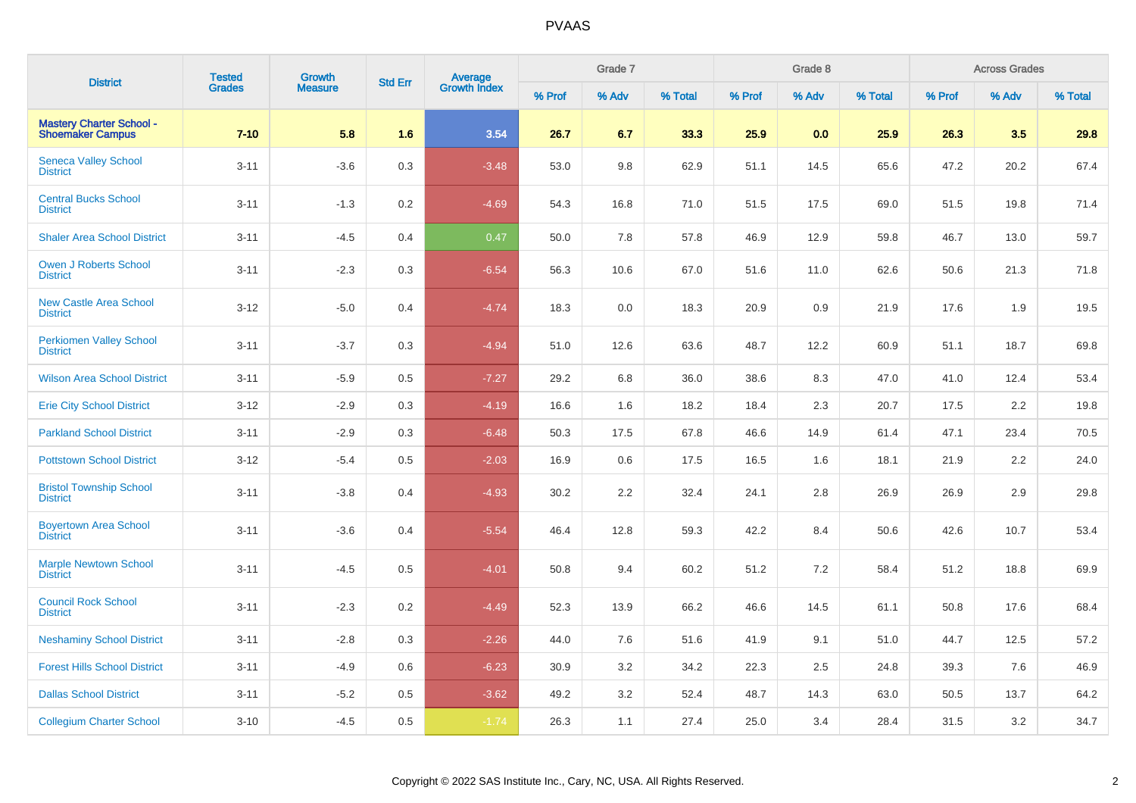| <b>District</b>                                            | <b>Tested</b> | Growth         | <b>Std Err</b> |                                |        | Grade 7 |         |        | Grade 8 |         |        | <b>Across Grades</b> |         |
|------------------------------------------------------------|---------------|----------------|----------------|--------------------------------|--------|---------|---------|--------|---------|---------|--------|----------------------|---------|
|                                                            | <b>Grades</b> | <b>Measure</b> |                | <b>Average</b><br>Growth Index | % Prof | % Adv   | % Total | % Prof | % Adv   | % Total | % Prof | % Adv                | % Total |
| <b>Mastery Charter School -</b><br><b>Shoemaker Campus</b> | $7 - 10$      | 5.8            | 1.6            | 3.54                           | 26.7   | 6.7     | 33.3    | 25.9   | 0.0     | 25.9    | 26.3   | 3.5                  | 29.8    |
| <b>Seneca Valley School</b><br><b>District</b>             | $3 - 11$      | $-3.6$         | 0.3            | $-3.48$                        | 53.0   | 9.8     | 62.9    | 51.1   | 14.5    | 65.6    | 47.2   | 20.2                 | 67.4    |
| <b>Central Bucks School</b><br><b>District</b>             | $3 - 11$      | $-1.3$         | 0.2            | $-4.69$                        | 54.3   | 16.8    | 71.0    | 51.5   | 17.5    | 69.0    | 51.5   | 19.8                 | 71.4    |
| <b>Shaler Area School District</b>                         | $3 - 11$      | $-4.5$         | 0.4            | 0.47                           | 50.0   | 7.8     | 57.8    | 46.9   | 12.9    | 59.8    | 46.7   | 13.0                 | 59.7    |
| <b>Owen J Roberts School</b><br><b>District</b>            | $3 - 11$      | $-2.3$         | 0.3            | $-6.54$                        | 56.3   | 10.6    | 67.0    | 51.6   | 11.0    | 62.6    | 50.6   | 21.3                 | 71.8    |
| <b>New Castle Area School</b><br><b>District</b>           | $3-12$        | $-5.0$         | 0.4            | $-4.74$                        | 18.3   | 0.0     | 18.3    | 20.9   | 0.9     | 21.9    | 17.6   | 1.9                  | 19.5    |
| <b>Perkiomen Valley School</b><br><b>District</b>          | $3 - 11$      | $-3.7$         | 0.3            | $-4.94$                        | 51.0   | 12.6    | 63.6    | 48.7   | 12.2    | 60.9    | 51.1   | 18.7                 | 69.8    |
| <b>Wilson Area School District</b>                         | $3 - 11$      | $-5.9$         | 0.5            | $-7.27$                        | 29.2   | 6.8     | 36.0    | 38.6   | 8.3     | 47.0    | 41.0   | 12.4                 | 53.4    |
| <b>Erie City School District</b>                           | $3 - 12$      | $-2.9$         | 0.3            | $-4.19$                        | 16.6   | 1.6     | 18.2    | 18.4   | 2.3     | 20.7    | 17.5   | 2.2                  | 19.8    |
| <b>Parkland School District</b>                            | $3 - 11$      | $-2.9$         | 0.3            | $-6.48$                        | 50.3   | 17.5    | 67.8    | 46.6   | 14.9    | 61.4    | 47.1   | 23.4                 | 70.5    |
| <b>Pottstown School District</b>                           | $3 - 12$      | $-5.4$         | 0.5            | $-2.03$                        | 16.9   | 0.6     | 17.5    | 16.5   | 1.6     | 18.1    | 21.9   | 2.2                  | 24.0    |
| <b>Bristol Township School</b><br><b>District</b>          | $3 - 11$      | $-3.8$         | 0.4            | $-4.93$                        | 30.2   | 2.2     | 32.4    | 24.1   | 2.8     | 26.9    | 26.9   | 2.9                  | 29.8    |
| <b>Boyertown Area School</b><br><b>District</b>            | $3 - 11$      | $-3.6$         | 0.4            | $-5.54$                        | 46.4   | 12.8    | 59.3    | 42.2   | 8.4     | 50.6    | 42.6   | 10.7                 | 53.4    |
| <b>Marple Newtown School</b><br><b>District</b>            | $3 - 11$      | $-4.5$         | 0.5            | $-4.01$                        | 50.8   | 9.4     | 60.2    | 51.2   | 7.2     | 58.4    | 51.2   | 18.8                 | 69.9    |
| <b>Council Rock School</b><br><b>District</b>              | $3 - 11$      | $-2.3$         | 0.2            | $-4.49$                        | 52.3   | 13.9    | 66.2    | 46.6   | 14.5    | 61.1    | 50.8   | 17.6                 | 68.4    |
| <b>Neshaminy School District</b>                           | $3 - 11$      | $-2.8$         | 0.3            | $-2.26$                        | 44.0   | 7.6     | 51.6    | 41.9   | 9.1     | 51.0    | 44.7   | 12.5                 | 57.2    |
| <b>Forest Hills School District</b>                        | $3 - 11$      | $-4.9$         | 0.6            | $-6.23$                        | 30.9   | 3.2     | 34.2    | 22.3   | 2.5     | 24.8    | 39.3   | 7.6                  | 46.9    |
| <b>Dallas School District</b>                              | $3 - 11$      | $-5.2$         | 0.5            | $-3.62$                        | 49.2   | 3.2     | 52.4    | 48.7   | 14.3    | 63.0    | 50.5   | 13.7                 | 64.2    |
| <b>Collegium Charter School</b>                            | $3 - 10$      | $-4.5$         | 0.5            | $-1.74$                        | 26.3   | 1.1     | 27.4    | 25.0   | 3.4     | 28.4    | 31.5   | 3.2                  | 34.7    |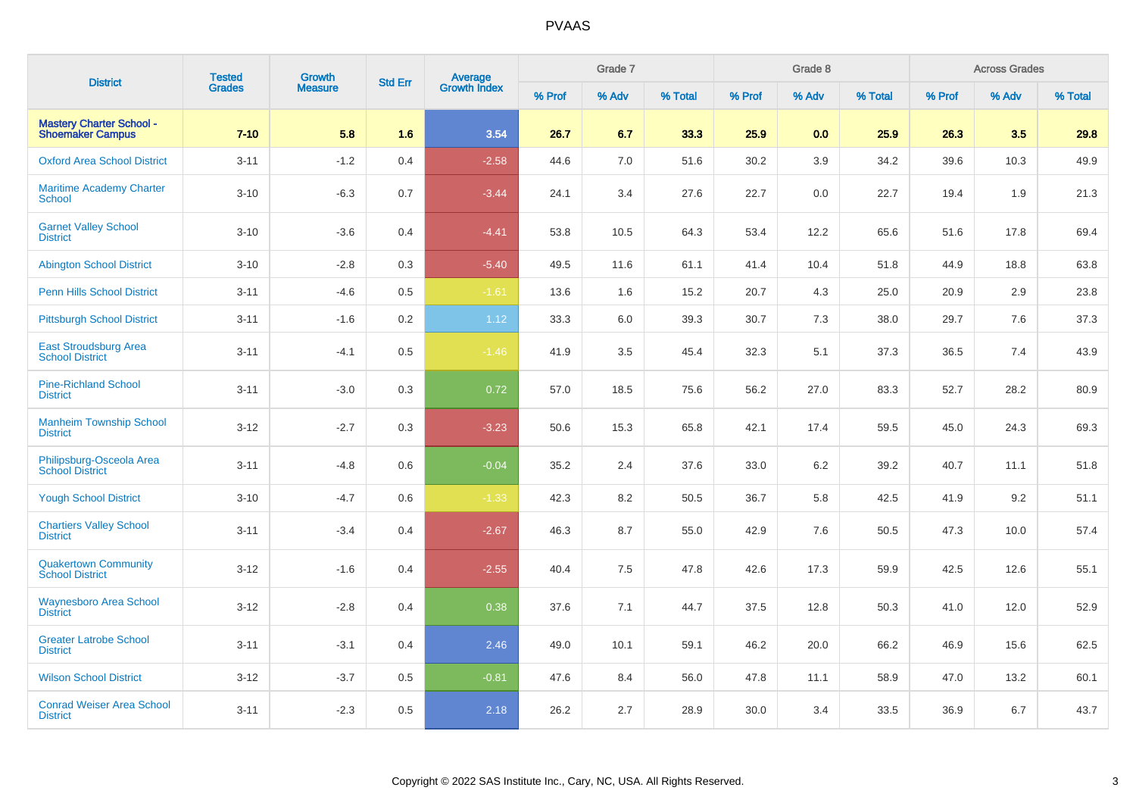| <b>District</b>                                            | <b>Tested</b> | Growth         | <b>Std Err</b> | <b>Average</b><br>Growth Index |        | Grade 7 |         |        | Grade 8 |         |        | <b>Across Grades</b> |         |
|------------------------------------------------------------|---------------|----------------|----------------|--------------------------------|--------|---------|---------|--------|---------|---------|--------|----------------------|---------|
|                                                            | <b>Grades</b> | <b>Measure</b> |                |                                | % Prof | % Adv   | % Total | % Prof | % Adv   | % Total | % Prof | % Adv                | % Total |
| <b>Mastery Charter School -</b><br><b>Shoemaker Campus</b> | $7 - 10$      | 5.8            | 1.6            | 3.54                           | 26.7   | 6.7     | 33.3    | 25.9   | 0.0     | 25.9    | 26.3   | 3.5                  | 29.8    |
| <b>Oxford Area School District</b>                         | $3 - 11$      | $-1.2$         | 0.4            | $-2.58$                        | 44.6   | 7.0     | 51.6    | 30.2   | 3.9     | 34.2    | 39.6   | 10.3                 | 49.9    |
| <b>Maritime Academy Charter</b><br>School                  | $3 - 10$      | $-6.3$         | 0.7            | $-3.44$                        | 24.1   | 3.4     | 27.6    | 22.7   | 0.0     | 22.7    | 19.4   | 1.9                  | 21.3    |
| <b>Garnet Valley School</b><br><b>District</b>             | $3 - 10$      | $-3.6$         | 0.4            | $-4.41$                        | 53.8   | 10.5    | 64.3    | 53.4   | 12.2    | 65.6    | 51.6   | 17.8                 | 69.4    |
| <b>Abington School District</b>                            | $3 - 10$      | $-2.8$         | 0.3            | $-5.40$                        | 49.5   | 11.6    | 61.1    | 41.4   | 10.4    | 51.8    | 44.9   | 18.8                 | 63.8    |
| <b>Penn Hills School District</b>                          | $3 - 11$      | $-4.6$         | $0.5\,$        | $-1.61$                        | 13.6   | 1.6     | 15.2    | 20.7   | 4.3     | 25.0    | 20.9   | 2.9                  | 23.8    |
| <b>Pittsburgh School District</b>                          | $3 - 11$      | $-1.6$         | 0.2            | 1.12                           | 33.3   | 6.0     | 39.3    | 30.7   | 7.3     | 38.0    | 29.7   | 7.6                  | 37.3    |
| <b>East Stroudsburg Area</b><br><b>School District</b>     | $3 - 11$      | $-4.1$         | 0.5            | $-1.46$                        | 41.9   | 3.5     | 45.4    | 32.3   | 5.1     | 37.3    | 36.5   | 7.4                  | 43.9    |
| <b>Pine-Richland School</b><br><b>District</b>             | $3 - 11$      | $-3.0$         | 0.3            | 0.72                           | 57.0   | 18.5    | 75.6    | 56.2   | 27.0    | 83.3    | 52.7   | 28.2                 | 80.9    |
| <b>Manheim Township School</b><br><b>District</b>          | $3 - 12$      | $-2.7$         | 0.3            | $-3.23$                        | 50.6   | 15.3    | 65.8    | 42.1   | 17.4    | 59.5    | 45.0   | 24.3                 | 69.3    |
| Philipsburg-Osceola Area<br><b>School District</b>         | $3 - 11$      | $-4.8$         | 0.6            | $-0.04$                        | 35.2   | 2.4     | 37.6    | 33.0   | 6.2     | 39.2    | 40.7   | 11.1                 | 51.8    |
| <b>Yough School District</b>                               | $3 - 10$      | $-4.7$         | 0.6            | $-1.33$                        | 42.3   | 8.2     | 50.5    | 36.7   | 5.8     | 42.5    | 41.9   | 9.2                  | 51.1    |
| <b>Chartiers Valley School</b><br><b>District</b>          | $3 - 11$      | $-3.4$         | 0.4            | $-2.67$                        | 46.3   | 8.7     | 55.0    | 42.9   | 7.6     | 50.5    | 47.3   | 10.0                 | 57.4    |
| <b>Quakertown Community</b><br><b>School District</b>      | $3 - 12$      | $-1.6$         | 0.4            | $-2.55$                        | 40.4   | 7.5     | 47.8    | 42.6   | 17.3    | 59.9    | 42.5   | 12.6                 | 55.1    |
| <b>Waynesboro Area School</b><br><b>District</b>           | $3-12$        | $-2.8$         | 0.4            | 0.38                           | 37.6   | 7.1     | 44.7    | 37.5   | 12.8    | 50.3    | 41.0   | 12.0                 | 52.9    |
| <b>Greater Latrobe School</b><br><b>District</b>           | $3 - 11$      | $-3.1$         | 0.4            | 2.46                           | 49.0   | 10.1    | 59.1    | 46.2   | 20.0    | 66.2    | 46.9   | 15.6                 | 62.5    |
| <b>Wilson School District</b>                              | $3-12$        | $-3.7$         | 0.5            | $-0.81$                        | 47.6   | 8.4     | 56.0    | 47.8   | 11.1    | 58.9    | 47.0   | 13.2                 | 60.1    |
| <b>Conrad Weiser Area School</b><br><b>District</b>        | $3 - 11$      | $-2.3$         | 0.5            | 2.18                           | 26.2   | 2.7     | 28.9    | 30.0   | 3.4     | 33.5    | 36.9   | 6.7                  | 43.7    |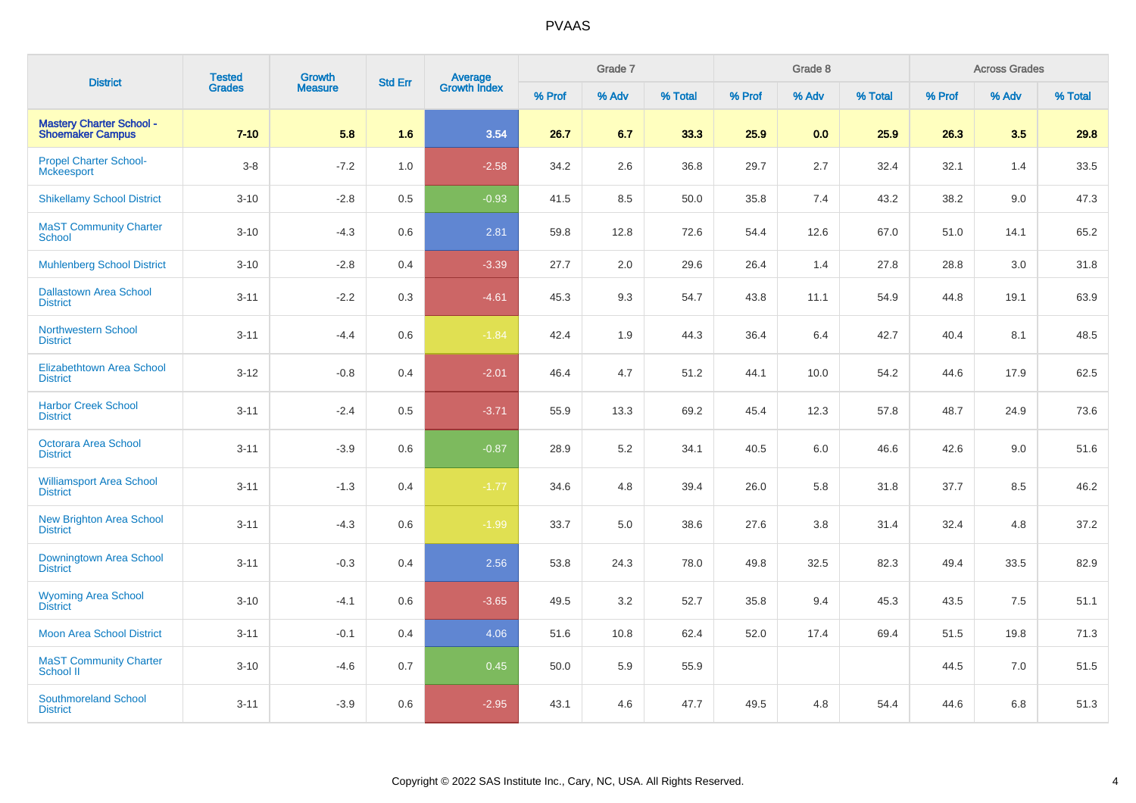| <b>District</b>                                            | <b>Tested</b> | Growth         | <b>Std Err</b> |                                |        | Grade 7 |         |        | Grade 8 |         |        | <b>Across Grades</b> |         |
|------------------------------------------------------------|---------------|----------------|----------------|--------------------------------|--------|---------|---------|--------|---------|---------|--------|----------------------|---------|
|                                                            | <b>Grades</b> | <b>Measure</b> |                | <b>Average</b><br>Growth Index | % Prof | % Adv   | % Total | % Prof | % Adv   | % Total | % Prof | % Adv                | % Total |
| <b>Mastery Charter School -</b><br><b>Shoemaker Campus</b> | $7 - 10$      | 5.8            | 1.6            | 3.54                           | 26.7   | 6.7     | 33.3    | 25.9   | 0.0     | 25.9    | 26.3   | 3.5                  | 29.8    |
| <b>Propel Charter School-</b><br><b>Mckeesport</b>         | $3 - 8$       | $-7.2$         | 1.0            | $-2.58$                        | 34.2   | 2.6     | 36.8    | 29.7   | 2.7     | 32.4    | 32.1   | 1.4                  | 33.5    |
| <b>Shikellamy School District</b>                          | $3 - 10$      | $-2.8$         | 0.5            | $-0.93$                        | 41.5   | 8.5     | 50.0    | 35.8   | 7.4     | 43.2    | 38.2   | 9.0                  | 47.3    |
| <b>MaST Community Charter</b><br>School                    | $3 - 10$      | $-4.3$         | 0.6            | 2.81                           | 59.8   | 12.8    | 72.6    | 54.4   | 12.6    | 67.0    | 51.0   | 14.1                 | 65.2    |
| <b>Muhlenberg School District</b>                          | $3 - 10$      | $-2.8$         | 0.4            | $-3.39$                        | 27.7   | 2.0     | 29.6    | 26.4   | 1.4     | 27.8    | 28.8   | 3.0                  | 31.8    |
| <b>Dallastown Area School</b><br><b>District</b>           | $3 - 11$      | $-2.2$         | 0.3            | $-4.61$                        | 45.3   | 9.3     | 54.7    | 43.8   | 11.1    | 54.9    | 44.8   | 19.1                 | 63.9    |
| <b>Northwestern School</b><br><b>District</b>              | $3 - 11$      | $-4.4$         | 0.6            | $-1.84$                        | 42.4   | 1.9     | 44.3    | 36.4   | 6.4     | 42.7    | 40.4   | 8.1                  | 48.5    |
| <b>Elizabethtown Area School</b><br><b>District</b>        | $3 - 12$      | $-0.8$         | 0.4            | $-2.01$                        | 46.4   | 4.7     | 51.2    | 44.1   | 10.0    | 54.2    | 44.6   | 17.9                 | 62.5    |
| <b>Harbor Creek School</b><br><b>District</b>              | $3 - 11$      | $-2.4$         | 0.5            | $-3.71$                        | 55.9   | 13.3    | 69.2    | 45.4   | 12.3    | 57.8    | 48.7   | 24.9                 | 73.6    |
| <b>Octorara Area School</b><br><b>District</b>             | $3 - 11$      | $-3.9$         | 0.6            | $-0.87$                        | 28.9   | 5.2     | 34.1    | 40.5   | 6.0     | 46.6    | 42.6   | 9.0                  | 51.6    |
| <b>Williamsport Area School</b><br><b>District</b>         | $3 - 11$      | $-1.3$         | 0.4            | $-1.77$                        | 34.6   | 4.8     | 39.4    | 26.0   | 5.8     | 31.8    | 37.7   | 8.5                  | 46.2    |
| <b>New Brighton Area School</b><br><b>District</b>         | $3 - 11$      | $-4.3$         | 0.6            | $-1.99$                        | 33.7   | 5.0     | 38.6    | 27.6   | 3.8     | 31.4    | 32.4   | 4.8                  | 37.2    |
| Downingtown Area School<br><b>District</b>                 | $3 - 11$      | $-0.3$         | 0.4            | 2.56                           | 53.8   | 24.3    | 78.0    | 49.8   | 32.5    | 82.3    | 49.4   | 33.5                 | 82.9    |
| <b>Wyoming Area School</b><br><b>District</b>              | $3 - 10$      | $-4.1$         | 0.6            | $-3.65$                        | 49.5   | 3.2     | 52.7    | 35.8   | 9.4     | 45.3    | 43.5   | 7.5                  | 51.1    |
| <b>Moon Area School District</b>                           | $3 - 11$      | $-0.1$         | 0.4            | 4.06                           | 51.6   | 10.8    | 62.4    | 52.0   | 17.4    | 69.4    | 51.5   | 19.8                 | 71.3    |
| <b>MaST Community Charter</b><br>School II                 | $3 - 10$      | $-4.6$         | 0.7            | 0.45                           | 50.0   | 5.9     | 55.9    |        |         |         | 44.5   | 7.0                  | 51.5    |
| <b>Southmoreland School</b><br><b>District</b>             | $3 - 11$      | $-3.9$         | 0.6            | $-2.95$                        | 43.1   | 4.6     | 47.7    | 49.5   | 4.8     | 54.4    | 44.6   | 6.8                  | 51.3    |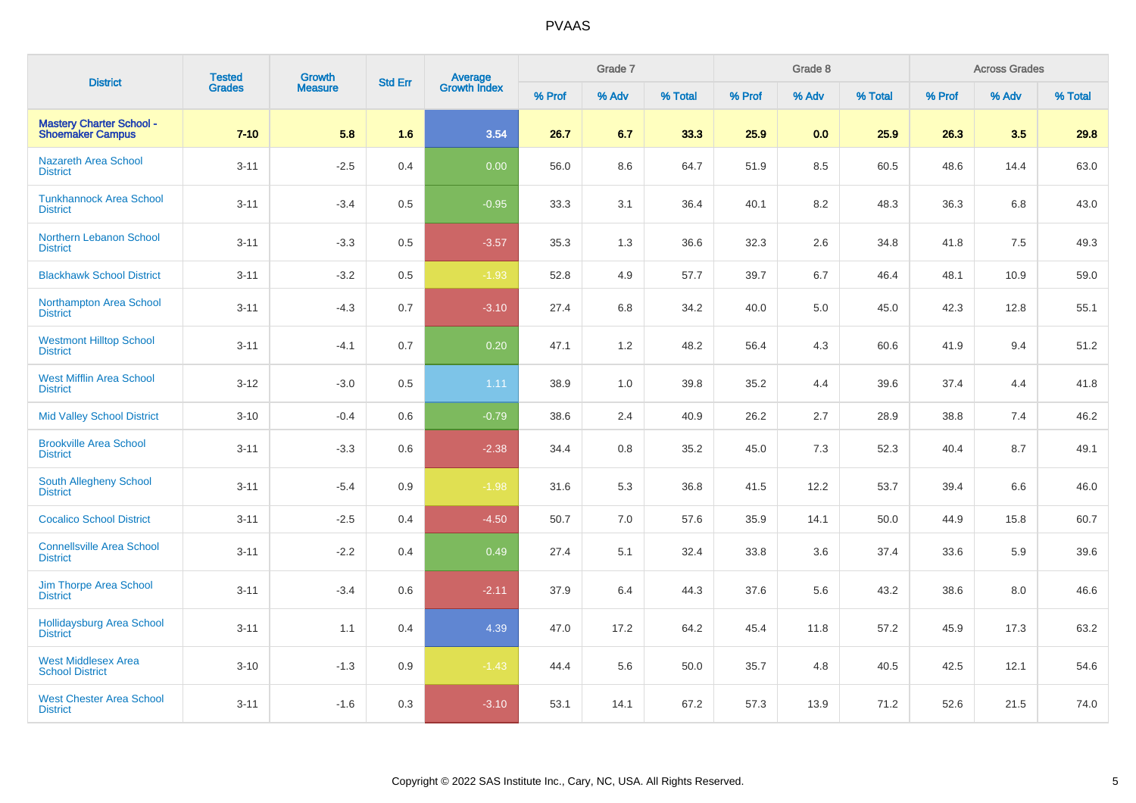| <b>District</b>                                            | <b>Tested</b> | Growth         | <b>Std Err</b> | <b>Average</b><br>Growth Index |        | Grade 7 |         |        | Grade 8 |         |        | <b>Across Grades</b> |         |
|------------------------------------------------------------|---------------|----------------|----------------|--------------------------------|--------|---------|---------|--------|---------|---------|--------|----------------------|---------|
|                                                            | Grades        | <b>Measure</b> |                |                                | % Prof | % Adv   | % Total | % Prof | % Adv   | % Total | % Prof | % Adv                | % Total |
| <b>Mastery Charter School -</b><br><b>Shoemaker Campus</b> | $7 - 10$      | 5.8            | 1.6            | 3.54                           | 26.7   | 6.7     | 33.3    | 25.9   | 0.0     | 25.9    | 26.3   | 3.5                  | 29.8    |
| <b>Nazareth Area School</b><br><b>District</b>             | $3 - 11$      | $-2.5$         | 0.4            | 0.00                           | 56.0   | 8.6     | 64.7    | 51.9   | 8.5     | 60.5    | 48.6   | 14.4                 | 63.0    |
| <b>Tunkhannock Area School</b><br><b>District</b>          | $3 - 11$      | $-3.4$         | 0.5            | $-0.95$                        | 33.3   | 3.1     | 36.4    | 40.1   | 8.2     | 48.3    | 36.3   | 6.8                  | 43.0    |
| Northern Lebanon School<br><b>District</b>                 | $3 - 11$      | $-3.3$         | 0.5            | $-3.57$                        | 35.3   | 1.3     | 36.6    | 32.3   | 2.6     | 34.8    | 41.8   | 7.5                  | 49.3    |
| <b>Blackhawk School District</b>                           | $3 - 11$      | $-3.2$         | 0.5            | $-1.93$                        | 52.8   | 4.9     | 57.7    | 39.7   | 6.7     | 46.4    | 48.1   | 10.9                 | 59.0    |
| Northampton Area School<br><b>District</b>                 | $3 - 11$      | $-4.3$         | 0.7            | $-3.10$                        | 27.4   | 6.8     | 34.2    | 40.0   | 5.0     | 45.0    | 42.3   | 12.8                 | 55.1    |
| <b>Westmont Hilltop School</b><br><b>District</b>          | $3 - 11$      | $-4.1$         | 0.7            | 0.20                           | 47.1   | 1.2     | 48.2    | 56.4   | 4.3     | 60.6    | 41.9   | 9.4                  | 51.2    |
| <b>West Mifflin Area School</b><br><b>District</b>         | $3-12$        | $-3.0$         | 0.5            | 1.11                           | 38.9   | 1.0     | 39.8    | 35.2   | 4.4     | 39.6    | 37.4   | 4.4                  | 41.8    |
| <b>Mid Valley School District</b>                          | $3 - 10$      | $-0.4$         | 0.6            | $-0.79$                        | 38.6   | 2.4     | 40.9    | 26.2   | 2.7     | 28.9    | 38.8   | 7.4                  | 46.2    |
| <b>Brookville Area School</b><br><b>District</b>           | $3 - 11$      | $-3.3$         | 0.6            | $-2.38$                        | 34.4   | 0.8     | 35.2    | 45.0   | 7.3     | 52.3    | 40.4   | 8.7                  | 49.1    |
| <b>South Allegheny School</b><br><b>District</b>           | $3 - 11$      | $-5.4$         | 0.9            | $-1.98$                        | 31.6   | 5.3     | 36.8    | 41.5   | 12.2    | 53.7    | 39.4   | 6.6                  | 46.0    |
| <b>Cocalico School District</b>                            | $3 - 11$      | $-2.5$         | 0.4            | $-4.50$                        | 50.7   | 7.0     | 57.6    | 35.9   | 14.1    | 50.0    | 44.9   | 15.8                 | 60.7    |
| <b>Connellsville Area School</b><br><b>District</b>        | $3 - 11$      | $-2.2$         | 0.4            | 0.49                           | 27.4   | 5.1     | 32.4    | 33.8   | 3.6     | 37.4    | 33.6   | 5.9                  | 39.6    |
| Jim Thorpe Area School<br><b>District</b>                  | $3 - 11$      | $-3.4$         | 0.6            | $-2.11$                        | 37.9   | 6.4     | 44.3    | 37.6   | 5.6     | 43.2    | 38.6   | 8.0                  | 46.6    |
| <b>Hollidaysburg Area School</b><br><b>District</b>        | $3 - 11$      | 1.1            | 0.4            | 4.39                           | 47.0   | 17.2    | 64.2    | 45.4   | 11.8    | 57.2    | 45.9   | 17.3                 | 63.2    |
| <b>West Middlesex Area</b><br><b>School District</b>       | $3 - 10$      | $-1.3$         | 0.9            | $-1.43$                        | 44.4   | 5.6     | 50.0    | 35.7   | 4.8     | 40.5    | 42.5   | 12.1                 | 54.6    |
| <b>West Chester Area School</b><br><b>District</b>         | $3 - 11$      | $-1.6$         | 0.3            | $-3.10$                        | 53.1   | 14.1    | 67.2    | 57.3   | 13.9    | 71.2    | 52.6   | 21.5                 | 74.0    |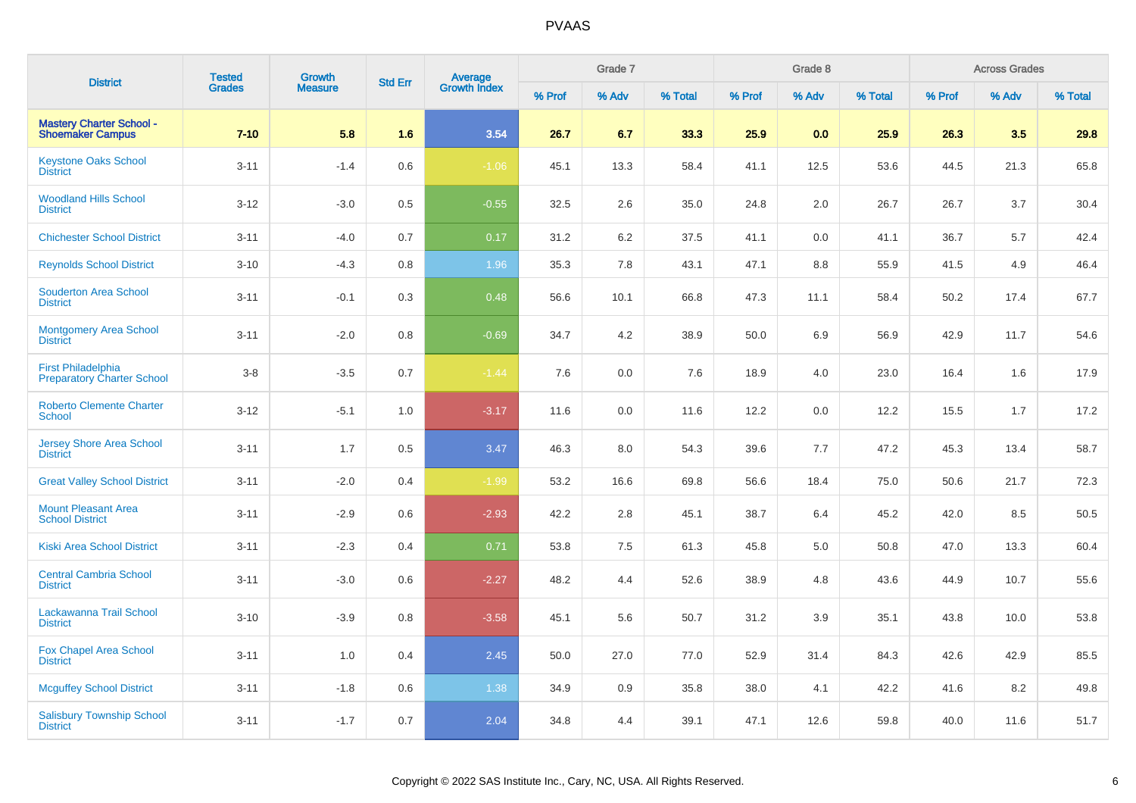| <b>District</b>                                                | <b>Tested</b> | <b>Growth</b>  | <b>Std Err</b> | <b>Average</b><br>Growth Index |        | Grade 7 |         |        | Grade 8 |         |        | <b>Across Grades</b> |         |
|----------------------------------------------------------------|---------------|----------------|----------------|--------------------------------|--------|---------|---------|--------|---------|---------|--------|----------------------|---------|
|                                                                | <b>Grades</b> | <b>Measure</b> |                |                                | % Prof | % Adv   | % Total | % Prof | % Adv   | % Total | % Prof | % Adv                | % Total |
| <b>Mastery Charter School -</b><br><b>Shoemaker Campus</b>     | $7 - 10$      | 5.8            | 1.6            | 3.54                           | 26.7   | 6.7     | 33.3    | 25.9   | 0.0     | 25.9    | 26.3   | 3.5                  | 29.8    |
| <b>Keystone Oaks School</b><br><b>District</b>                 | $3 - 11$      | $-1.4$         | 0.6            | $-1.06$                        | 45.1   | 13.3    | 58.4    | 41.1   | 12.5    | 53.6    | 44.5   | 21.3                 | 65.8    |
| <b>Woodland Hills School</b><br><b>District</b>                | $3 - 12$      | $-3.0$         | 0.5            | $-0.55$                        | 32.5   | 2.6     | 35.0    | 24.8   | 2.0     | 26.7    | 26.7   | 3.7                  | 30.4    |
| <b>Chichester School District</b>                              | $3 - 11$      | $-4.0$         | 0.7            | 0.17                           | 31.2   | 6.2     | 37.5    | 41.1   | 0.0     | 41.1    | 36.7   | 5.7                  | 42.4    |
| <b>Reynolds School District</b>                                | $3 - 10$      | $-4.3$         | 0.8            | 1.96                           | 35.3   | 7.8     | 43.1    | 47.1   | 8.8     | 55.9    | 41.5   | 4.9                  | 46.4    |
| <b>Souderton Area School</b><br><b>District</b>                | $3 - 11$      | $-0.1$         | $0.3\,$        | 0.48                           | 56.6   | 10.1    | 66.8    | 47.3   | 11.1    | 58.4    | 50.2   | 17.4                 | 67.7    |
| <b>Montgomery Area School</b><br><b>District</b>               | $3 - 11$      | $-2.0$         | 0.8            | $-0.69$                        | 34.7   | 4.2     | 38.9    | 50.0   | 6.9     | 56.9    | 42.9   | 11.7                 | 54.6    |
| <b>First Philadelphia</b><br><b>Preparatory Charter School</b> | $3-8$         | $-3.5$         | 0.7            | $-1.44$                        | 7.6    | 0.0     | 7.6     | 18.9   | 4.0     | 23.0    | 16.4   | 1.6                  | 17.9    |
| <b>Roberto Clemente Charter</b><br><b>School</b>               | $3 - 12$      | $-5.1$         | 1.0            | $-3.17$                        | 11.6   | 0.0     | 11.6    | 12.2   | 0.0     | 12.2    | 15.5   | 1.7                  | 17.2    |
| <b>Jersey Shore Area School</b><br><b>District</b>             | $3 - 11$      | 1.7            | 0.5            | 3.47                           | 46.3   | 8.0     | 54.3    | 39.6   | 7.7     | 47.2    | 45.3   | 13.4                 | 58.7    |
| <b>Great Valley School District</b>                            | $3 - 11$      | $-2.0$         | 0.4            | $-1.99$                        | 53.2   | 16.6    | 69.8    | 56.6   | 18.4    | 75.0    | 50.6   | 21.7                 | 72.3    |
| <b>Mount Pleasant Area</b><br><b>School District</b>           | $3 - 11$      | $-2.9$         | 0.6            | $-2.93$                        | 42.2   | 2.8     | 45.1    | 38.7   | 6.4     | 45.2    | 42.0   | 8.5                  | 50.5    |
| <b>Kiski Area School District</b>                              | $3 - 11$      | $-2.3$         | 0.4            | 0.71                           | 53.8   | 7.5     | 61.3    | 45.8   | 5.0     | 50.8    | 47.0   | 13.3                 | 60.4    |
| <b>Central Cambria School</b><br><b>District</b>               | $3 - 11$      | $-3.0$         | 0.6            | $-2.27$                        | 48.2   | 4.4     | 52.6    | 38.9   | 4.8     | 43.6    | 44.9   | 10.7                 | 55.6    |
| Lackawanna Trail School<br><b>District</b>                     | $3 - 10$      | $-3.9$         | 0.8            | $-3.58$                        | 45.1   | 5.6     | 50.7    | 31.2   | 3.9     | 35.1    | 43.8   | 10.0                 | 53.8    |
| <b>Fox Chapel Area School</b><br><b>District</b>               | $3 - 11$      | 1.0            | 0.4            | 2.45                           | 50.0   | 27.0    | 77.0    | 52.9   | 31.4    | 84.3    | 42.6   | 42.9                 | 85.5    |
| <b>Mcguffey School District</b>                                | $3 - 11$      | $-1.8$         | 0.6            | 1.38                           | 34.9   | 0.9     | 35.8    | 38.0   | 4.1     | 42.2    | 41.6   | 8.2                  | 49.8    |
| <b>Salisbury Township School</b><br><b>District</b>            | $3 - 11$      | $-1.7$         | 0.7            | 2.04                           | 34.8   | 4.4     | 39.1    | 47.1   | 12.6    | 59.8    | 40.0   | 11.6                 | 51.7    |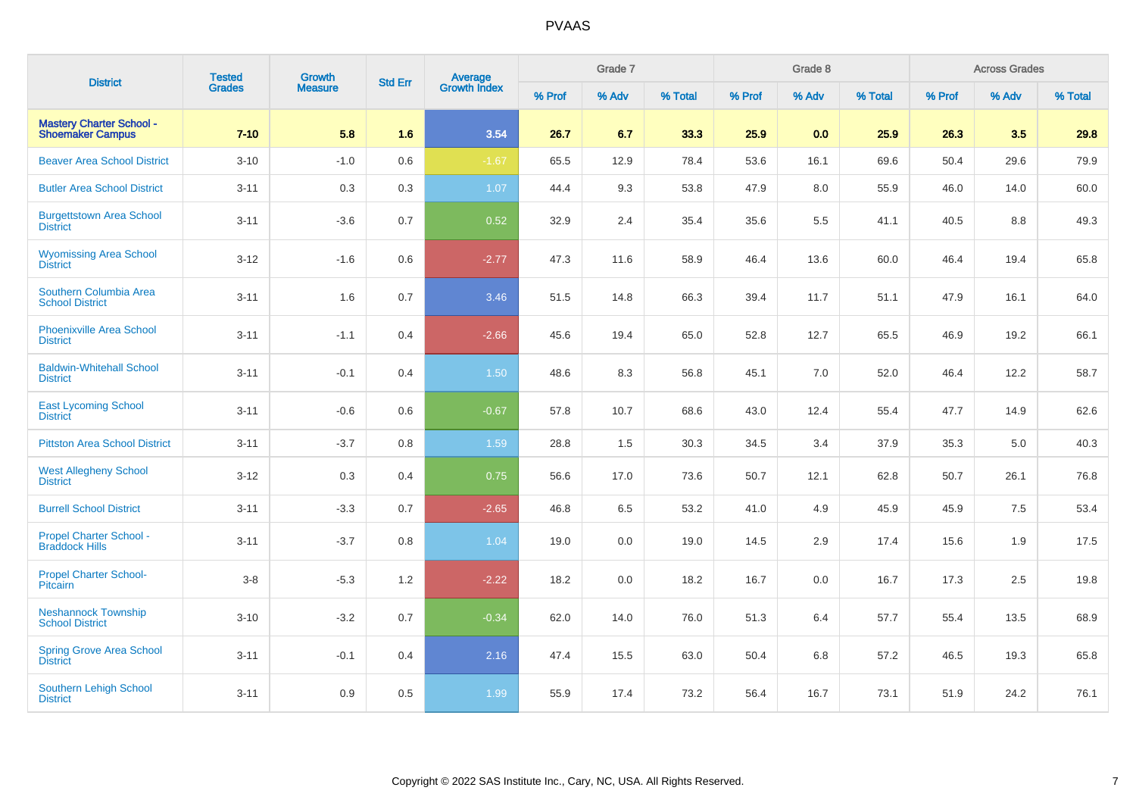| <b>District</b>                                            | <b>Tested</b> | <b>Growth</b>  | <b>Std Err</b> | <b>Average</b><br>Growth Index |        | Grade 7 |         |        | Grade 8 |         |        | <b>Across Grades</b> |         |
|------------------------------------------------------------|---------------|----------------|----------------|--------------------------------|--------|---------|---------|--------|---------|---------|--------|----------------------|---------|
|                                                            | <b>Grades</b> | <b>Measure</b> |                |                                | % Prof | % Adv   | % Total | % Prof | % Adv   | % Total | % Prof | % Adv                | % Total |
| <b>Mastery Charter School -</b><br><b>Shoemaker Campus</b> | $7 - 10$      | 5.8            | 1.6            | 3.54                           | 26.7   | 6.7     | 33.3    | 25.9   | 0.0     | 25.9    | 26.3   | 3.5                  | 29.8    |
| <b>Beaver Area School District</b>                         | $3 - 10$      | $-1.0$         | 0.6            | $-1.67$                        | 65.5   | 12.9    | 78.4    | 53.6   | 16.1    | 69.6    | 50.4   | 29.6                 | 79.9    |
| <b>Butler Area School District</b>                         | $3 - 11$      | 0.3            | 0.3            | 1.07                           | 44.4   | 9.3     | 53.8    | 47.9   | 8.0     | 55.9    | 46.0   | 14.0                 | 60.0    |
| <b>Burgettstown Area School</b><br><b>District</b>         | $3 - 11$      | $-3.6$         | 0.7            | 0.52                           | 32.9   | 2.4     | 35.4    | 35.6   | 5.5     | 41.1    | 40.5   | 8.8                  | 49.3    |
| <b>Wyomissing Area School</b><br><b>District</b>           | $3 - 12$      | $-1.6$         | 0.6            | $-2.77$                        | 47.3   | 11.6    | 58.9    | 46.4   | 13.6    | 60.0    | 46.4   | 19.4                 | 65.8    |
| <b>Southern Columbia Area</b><br><b>School District</b>    | $3 - 11$      | 1.6            | 0.7            | 3.46                           | 51.5   | 14.8    | 66.3    | 39.4   | 11.7    | 51.1    | 47.9   | 16.1                 | 64.0    |
| <b>Phoenixville Area School</b><br><b>District</b>         | $3 - 11$      | $-1.1$         | 0.4            | $-2.66$                        | 45.6   | 19.4    | 65.0    | 52.8   | 12.7    | 65.5    | 46.9   | 19.2                 | 66.1    |
| <b>Baldwin-Whitehall School</b><br><b>District</b>         | $3 - 11$      | $-0.1$         | 0.4            | 1.50                           | 48.6   | 8.3     | 56.8    | 45.1   | 7.0     | 52.0    | 46.4   | 12.2                 | 58.7    |
| <b>East Lycoming School</b><br><b>District</b>             | $3 - 11$      | $-0.6$         | 0.6            | $-0.67$                        | 57.8   | 10.7    | 68.6    | 43.0   | 12.4    | 55.4    | 47.7   | 14.9                 | 62.6    |
| <b>Pittston Area School District</b>                       | $3 - 11$      | $-3.7$         | 0.8            | 1.59                           | 28.8   | 1.5     | 30.3    | 34.5   | 3.4     | 37.9    | 35.3   | 5.0                  | 40.3    |
| <b>West Allegheny School</b><br><b>District</b>            | $3 - 12$      | 0.3            | 0.4            | 0.75                           | 56.6   | 17.0    | 73.6    | 50.7   | 12.1    | 62.8    | 50.7   | 26.1                 | 76.8    |
| <b>Burrell School District</b>                             | $3 - 11$      | $-3.3$         | 0.7            | $-2.65$                        | 46.8   | 6.5     | 53.2    | 41.0   | 4.9     | 45.9    | 45.9   | 7.5                  | 53.4    |
| Propel Charter School -<br><b>Braddock Hills</b>           | $3 - 11$      | $-3.7$         | 0.8            | 1.04                           | 19.0   | 0.0     | 19.0    | 14.5   | 2.9     | 17.4    | 15.6   | 1.9                  | 17.5    |
| <b>Propel Charter School-</b><br>Pitcairn                  | $3-8$         | $-5.3$         | 1.2            | $-2.22$                        | 18.2   | 0.0     | 18.2    | 16.7   | 0.0     | 16.7    | 17.3   | 2.5                  | 19.8    |
| <b>Neshannock Township</b><br><b>School District</b>       | $3 - 10$      | $-3.2$         | 0.7            | $-0.34$                        | 62.0   | 14.0    | 76.0    | 51.3   | 6.4     | 57.7    | 55.4   | 13.5                 | 68.9    |
| <b>Spring Grove Area School</b><br><b>District</b>         | $3 - 11$      | $-0.1$         | 0.4            | 2.16                           | 47.4   | 15.5    | 63.0    | 50.4   | 6.8     | 57.2    | 46.5   | 19.3                 | 65.8    |
| Southern Lehigh School<br><b>District</b>                  | $3 - 11$      | 0.9            | 0.5            | 1.99                           | 55.9   | 17.4    | 73.2    | 56.4   | 16.7    | 73.1    | 51.9   | 24.2                 | 76.1    |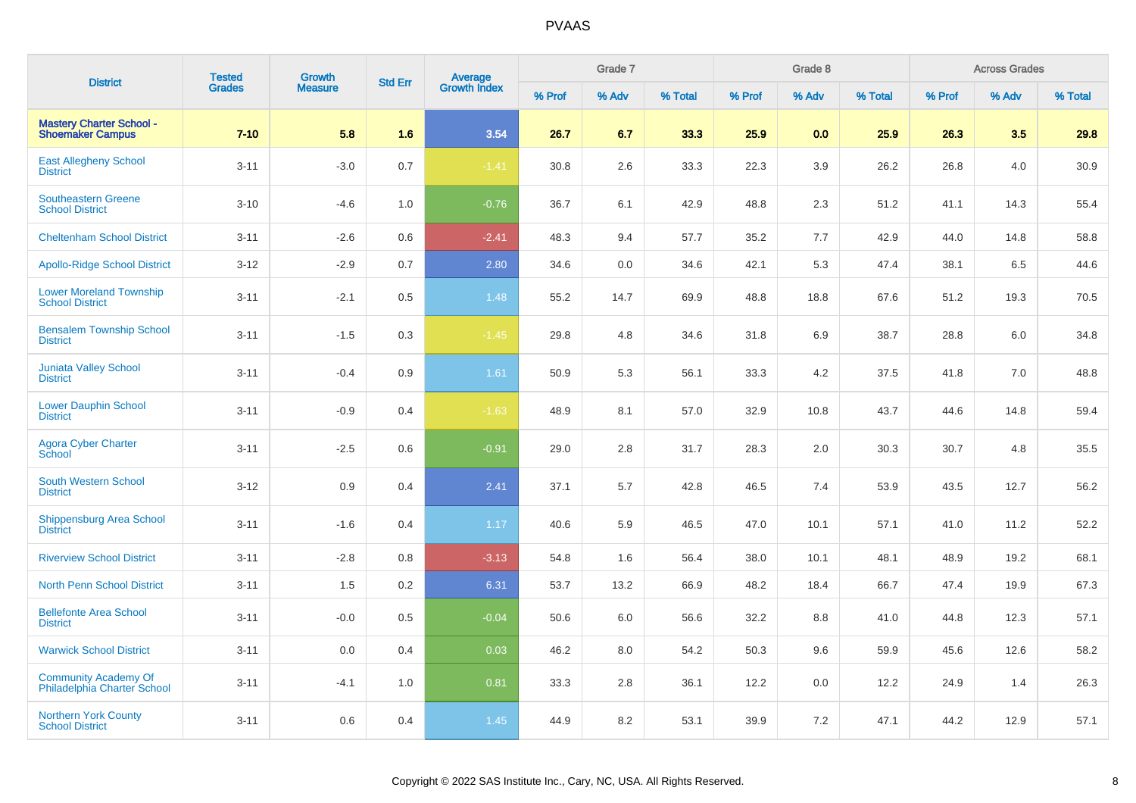| <b>District</b>                                            | <b>Tested</b> | <b>Growth</b>  | <b>Std Err</b> | <b>Average</b><br>Growth Index |        | Grade 7 |         |        | Grade 8 |         |        | <b>Across Grades</b> |         |
|------------------------------------------------------------|---------------|----------------|----------------|--------------------------------|--------|---------|---------|--------|---------|---------|--------|----------------------|---------|
|                                                            | <b>Grades</b> | <b>Measure</b> |                |                                | % Prof | % Adv   | % Total | % Prof | % Adv   | % Total | % Prof | % Adv                | % Total |
| <b>Mastery Charter School -</b><br><b>Shoemaker Campus</b> | $7 - 10$      | 5.8            | 1.6            | 3.54                           | 26.7   | 6.7     | 33.3    | 25.9   | 0.0     | 25.9    | 26.3   | 3.5                  | 29.8    |
| <b>East Allegheny School</b><br><b>District</b>            | $3 - 11$      | $-3.0$         | 0.7            | $-1.41$                        | 30.8   | 2.6     | 33.3    | 22.3   | 3.9     | 26.2    | 26.8   | 4.0                  | 30.9    |
| <b>Southeastern Greene</b><br><b>School District</b>       | $3 - 10$      | $-4.6$         | 1.0            | $-0.76$                        | 36.7   | 6.1     | 42.9    | 48.8   | 2.3     | 51.2    | 41.1   | 14.3                 | 55.4    |
| <b>Cheltenham School District</b>                          | $3 - 11$      | $-2.6$         | 0.6            | $-2.41$                        | 48.3   | 9.4     | 57.7    | 35.2   | 7.7     | 42.9    | 44.0   | 14.8                 | 58.8    |
| <b>Apollo-Ridge School District</b>                        | $3 - 12$      | $-2.9$         | 0.7            | 2.80                           | 34.6   | 0.0     | 34.6    | 42.1   | 5.3     | 47.4    | 38.1   | 6.5                  | 44.6    |
| <b>Lower Moreland Township</b><br><b>School District</b>   | $3 - 11$      | $-2.1$         | 0.5            | 1.48                           | 55.2   | 14.7    | 69.9    | 48.8   | 18.8    | 67.6    | 51.2   | 19.3                 | 70.5    |
| <b>Bensalem Township School</b><br><b>District</b>         | $3 - 11$      | $-1.5$         | 0.3            | $-1.45$                        | 29.8   | 4.8     | 34.6    | 31.8   | 6.9     | 38.7    | 28.8   | 6.0                  | 34.8    |
| <b>Juniata Valley School</b><br><b>District</b>            | $3 - 11$      | $-0.4$         | 0.9            | 1.61                           | 50.9   | 5.3     | 56.1    | 33.3   | 4.2     | 37.5    | 41.8   | 7.0                  | 48.8    |
| <b>Lower Dauphin School</b><br><b>District</b>             | $3 - 11$      | $-0.9$         | 0.4            | $-1.63$                        | 48.9   | 8.1     | 57.0    | 32.9   | 10.8    | 43.7    | 44.6   | 14.8                 | 59.4    |
| <b>Agora Cyber Charter</b><br>School                       | $3 - 11$      | $-2.5$         | 0.6            | $-0.91$                        | 29.0   | 2.8     | 31.7    | 28.3   | 2.0     | 30.3    | 30.7   | 4.8                  | 35.5    |
| <b>South Western School</b><br><b>District</b>             | $3 - 12$      | 0.9            | 0.4            | 2.41                           | 37.1   | 5.7     | 42.8    | 46.5   | 7.4     | 53.9    | 43.5   | 12.7                 | 56.2    |
| Shippensburg Area School<br><b>District</b>                | $3 - 11$      | $-1.6$         | 0.4            | 1.17                           | 40.6   | 5.9     | 46.5    | 47.0   | 10.1    | 57.1    | 41.0   | 11.2                 | 52.2    |
| <b>Riverview School District</b>                           | $3 - 11$      | $-2.8$         | 0.8            | $-3.13$                        | 54.8   | 1.6     | 56.4    | 38.0   | 10.1    | 48.1    | 48.9   | 19.2                 | 68.1    |
| <b>North Penn School District</b>                          | $3 - 11$      | 1.5            | 0.2            | 6.31                           | 53.7   | 13.2    | 66.9    | 48.2   | 18.4    | 66.7    | 47.4   | 19.9                 | 67.3    |
| <b>Bellefonte Area School</b><br><b>District</b>           | $3 - 11$      | $-0.0$         | 0.5            | $-0.04$                        | 50.6   | 6.0     | 56.6    | 32.2   | 8.8     | 41.0    | 44.8   | 12.3                 | 57.1    |
| <b>Warwick School District</b>                             | $3 - 11$      | 0.0            | 0.4            | 0.03                           | 46.2   | 8.0     | 54.2    | 50.3   | 9.6     | 59.9    | 45.6   | 12.6                 | 58.2    |
| Community Academy Of<br>Philadelphia Charter School        | $3 - 11$      | $-4.1$         | 1.0            | 0.81                           | 33.3   | 2.8     | 36.1    | 12.2   | 0.0     | 12.2    | 24.9   | 1.4                  | 26.3    |
| <b>Northern York County</b><br><b>School District</b>      | $3 - 11$      | 0.6            | 0.4            | 1.45                           | 44.9   | 8.2     | 53.1    | 39.9   | 7.2     | 47.1    | 44.2   | 12.9                 | 57.1    |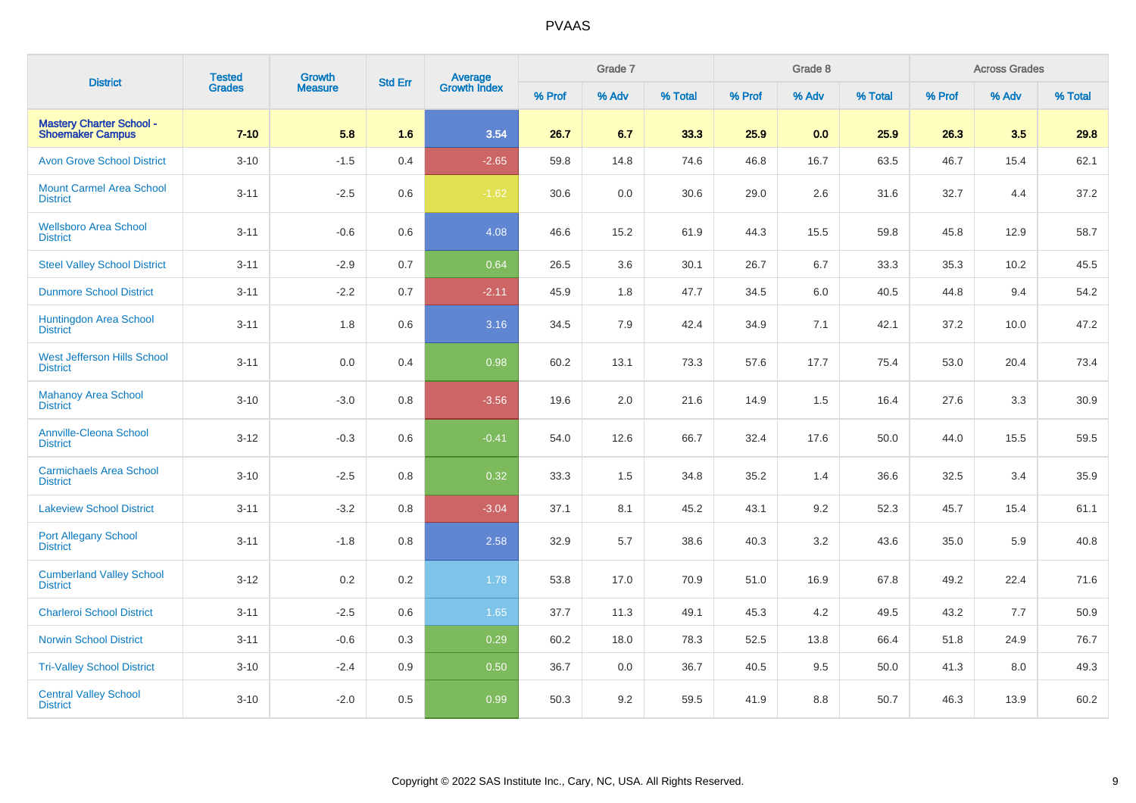| <b>District</b>                                            | <b>Tested</b> | <b>Growth</b>  | <b>Std Err</b> |                                |        | Grade 7 |         |        | Grade 8 |         |        | <b>Across Grades</b> |         |
|------------------------------------------------------------|---------------|----------------|----------------|--------------------------------|--------|---------|---------|--------|---------|---------|--------|----------------------|---------|
|                                                            | <b>Grades</b> | <b>Measure</b> |                | <b>Average</b><br>Growth Index | % Prof | % Adv   | % Total | % Prof | % Adv   | % Total | % Prof | % Adv                | % Total |
| <b>Mastery Charter School -</b><br><b>Shoemaker Campus</b> | $7 - 10$      | 5.8            | 1.6            | 3.54                           | 26.7   | 6.7     | 33.3    | 25.9   | 0.0     | 25.9    | 26.3   | 3.5                  | 29.8    |
| <b>Avon Grove School District</b>                          | $3 - 10$      | $-1.5$         | 0.4            | $-2.65$                        | 59.8   | 14.8    | 74.6    | 46.8   | 16.7    | 63.5    | 46.7   | 15.4                 | 62.1    |
| <b>Mount Carmel Area School</b><br><b>District</b>         | $3 - 11$      | $-2.5$         | 0.6            | $-1.62$                        | 30.6   | 0.0     | 30.6    | 29.0   | 2.6     | 31.6    | 32.7   | 4.4                  | 37.2    |
| <b>Wellsboro Area School</b><br><b>District</b>            | $3 - 11$      | $-0.6$         | 0.6            | 4.08                           | 46.6   | 15.2    | 61.9    | 44.3   | 15.5    | 59.8    | 45.8   | 12.9                 | 58.7    |
| <b>Steel Valley School District</b>                        | $3 - 11$      | $-2.9$         | 0.7            | 0.64                           | 26.5   | 3.6     | 30.1    | 26.7   | 6.7     | 33.3    | 35.3   | 10.2                 | 45.5    |
| <b>Dunmore School District</b>                             | $3 - 11$      | $-2.2$         | 0.7            | $-2.11$                        | 45.9   | 1.8     | 47.7    | 34.5   | 6.0     | 40.5    | 44.8   | 9.4                  | 54.2    |
| <b>Huntingdon Area School</b><br><b>District</b>           | $3 - 11$      | 1.8            | 0.6            | 3.16                           | 34.5   | 7.9     | 42.4    | 34.9   | 7.1     | 42.1    | 37.2   | 10.0                 | 47.2    |
| <b>West Jefferson Hills School</b><br><b>District</b>      | $3 - 11$      | 0.0            | 0.4            | 0.98                           | 60.2   | 13.1    | 73.3    | 57.6   | 17.7    | 75.4    | 53.0   | 20.4                 | 73.4    |
| <b>Mahanoy Area School</b><br><b>District</b>              | $3 - 10$      | $-3.0$         | 0.8            | $-3.56$                        | 19.6   | 2.0     | 21.6    | 14.9   | 1.5     | 16.4    | 27.6   | 3.3                  | 30.9    |
| <b>Annville-Cleona School</b><br><b>District</b>           | $3 - 12$      | $-0.3$         | 0.6            | $-0.41$                        | 54.0   | 12.6    | 66.7    | 32.4   | 17.6    | 50.0    | 44.0   | 15.5                 | 59.5    |
| <b>Carmichaels Area School</b><br><b>District</b>          | $3 - 10$      | $-2.5$         | 0.8            | 0.32                           | 33.3   | 1.5     | 34.8    | 35.2   | 1.4     | 36.6    | 32.5   | 3.4                  | 35.9    |
| <b>Lakeview School District</b>                            | $3 - 11$      | $-3.2$         | 0.8            | $-3.04$                        | 37.1   | 8.1     | 45.2    | 43.1   | 9.2     | 52.3    | 45.7   | 15.4                 | 61.1    |
| <b>Port Allegany School</b><br><b>District</b>             | $3 - 11$      | $-1.8$         | 0.8            | 2.58                           | 32.9   | 5.7     | 38.6    | 40.3   | 3.2     | 43.6    | 35.0   | 5.9                  | 40.8    |
| <b>Cumberland Valley School</b><br><b>District</b>         | $3 - 12$      | 0.2            | 0.2            | 1.78                           | 53.8   | 17.0    | 70.9    | 51.0   | 16.9    | 67.8    | 49.2   | 22.4                 | 71.6    |
| <b>Charleroi School District</b>                           | $3 - 11$      | $-2.5$         | 0.6            | 1.65                           | 37.7   | 11.3    | 49.1    | 45.3   | 4.2     | 49.5    | 43.2   | 7.7                  | 50.9    |
| <b>Norwin School District</b>                              | $3 - 11$      | $-0.6$         | 0.3            | 0.29                           | 60.2   | 18.0    | 78.3    | 52.5   | 13.8    | 66.4    | 51.8   | 24.9                 | 76.7    |
| <b>Tri-Valley School District</b>                          | $3 - 10$      | $-2.4$         | 0.9            | 0.50                           | 36.7   | 0.0     | 36.7    | 40.5   | 9.5     | 50.0    | 41.3   | 8.0                  | 49.3    |
| <b>Central Valley School</b><br><b>District</b>            | $3 - 10$      | $-2.0$         | 0.5            | 0.99                           | 50.3   | 9.2     | 59.5    | 41.9   | 8.8     | 50.7    | 46.3   | 13.9                 | 60.2    |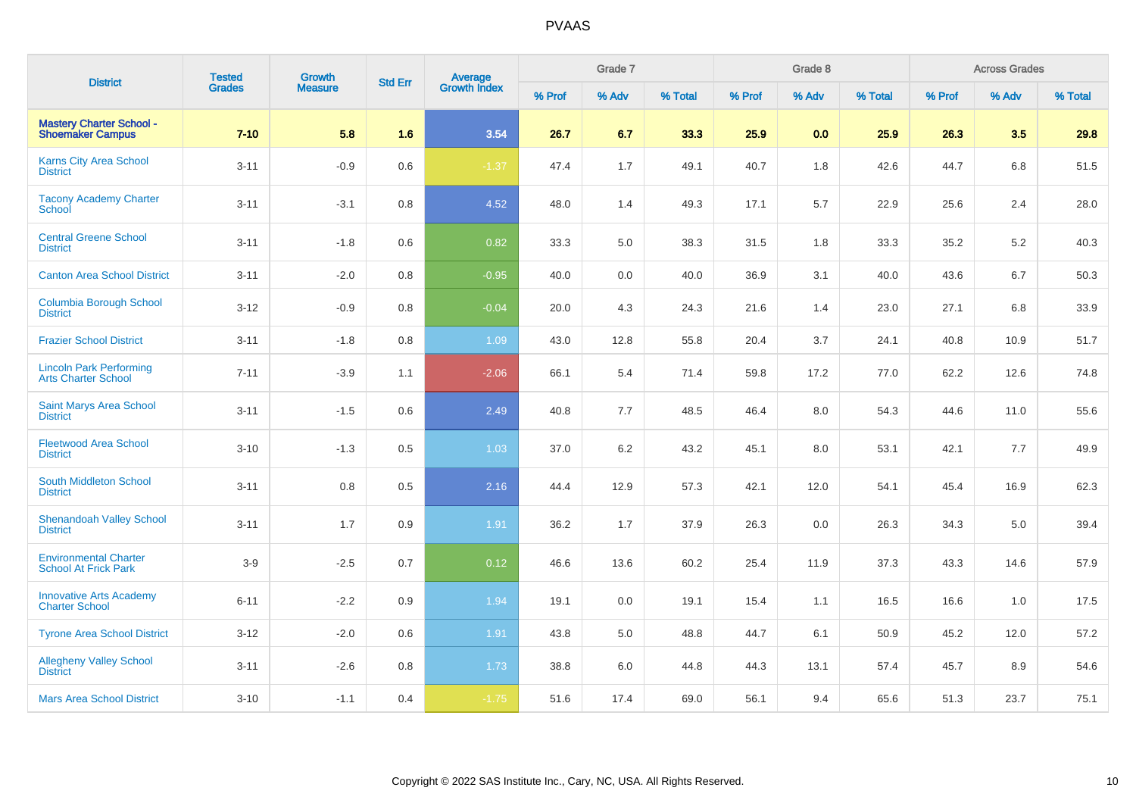| <b>District</b>                                              | <b>Tested</b> | <b>Growth</b>  | <b>Std Err</b> |                                |        | Grade 7 |         |        | Grade 8 |         |        | <b>Across Grades</b> |         |
|--------------------------------------------------------------|---------------|----------------|----------------|--------------------------------|--------|---------|---------|--------|---------|---------|--------|----------------------|---------|
|                                                              | <b>Grades</b> | <b>Measure</b> |                | <b>Average</b><br>Growth Index | % Prof | % Adv   | % Total | % Prof | % Adv   | % Total | % Prof | % Adv                | % Total |
| <b>Mastery Charter School -</b><br><b>Shoemaker Campus</b>   | $7 - 10$      | 5.8            | 1.6            | 3.54                           | 26.7   | 6.7     | 33.3    | 25.9   | 0.0     | 25.9    | 26.3   | 3.5                  | 29.8    |
| <b>Karns City Area School</b><br><b>District</b>             | $3 - 11$      | $-0.9$         | 0.6            | $-1.37$                        | 47.4   | 1.7     | 49.1    | 40.7   | 1.8     | 42.6    | 44.7   | 6.8                  | 51.5    |
| <b>Tacony Academy Charter</b><br>School                      | $3 - 11$      | $-3.1$         | 0.8            | 4.52                           | 48.0   | 1.4     | 49.3    | 17.1   | 5.7     | 22.9    | 25.6   | 2.4                  | 28.0    |
| <b>Central Greene School</b><br><b>District</b>              | $3 - 11$      | $-1.8$         | 0.6            | 0.82                           | 33.3   | 5.0     | 38.3    | 31.5   | 1.8     | 33.3    | 35.2   | 5.2                  | 40.3    |
| <b>Canton Area School District</b>                           | $3 - 11$      | $-2.0$         | 0.8            | $-0.95$                        | 40.0   | 0.0     | 40.0    | 36.9   | 3.1     | 40.0    | 43.6   | 6.7                  | 50.3    |
| <b>Columbia Borough School</b><br><b>District</b>            | $3 - 12$      | $-0.9$         | 0.8            | $-0.04$                        | 20.0   | 4.3     | 24.3    | 21.6   | 1.4     | 23.0    | 27.1   | 6.8                  | 33.9    |
| <b>Frazier School District</b>                               | $3 - 11$      | $-1.8$         | 0.8            | 1.09                           | 43.0   | 12.8    | 55.8    | 20.4   | 3.7     | 24.1    | 40.8   | 10.9                 | 51.7    |
| <b>Lincoln Park Performing</b><br><b>Arts Charter School</b> | $7 - 11$      | $-3.9$         | 1.1            | $-2.06$                        | 66.1   | 5.4     | 71.4    | 59.8   | 17.2    | 77.0    | 62.2   | 12.6                 | 74.8    |
| Saint Marys Area School<br><b>District</b>                   | $3 - 11$      | $-1.5$         | 0.6            | 2.49                           | 40.8   | 7.7     | 48.5    | 46.4   | 8.0     | 54.3    | 44.6   | 11.0                 | 55.6    |
| <b>Fleetwood Area School</b><br><b>District</b>              | $3 - 10$      | $-1.3$         | 0.5            | 1.03                           | 37.0   | 6.2     | 43.2    | 45.1   | 8.0     | 53.1    | 42.1   | 7.7                  | 49.9    |
| <b>South Middleton School</b><br><b>District</b>             | $3 - 11$      | 0.8            | 0.5            | 2.16                           | 44.4   | 12.9    | 57.3    | 42.1   | 12.0    | 54.1    | 45.4   | 16.9                 | 62.3    |
| <b>Shenandoah Valley School</b><br><b>District</b>           | $3 - 11$      | 1.7            | 0.9            | 1.91                           | 36.2   | 1.7     | 37.9    | 26.3   | 0.0     | 26.3    | 34.3   | 5.0                  | 39.4    |
| <b>Environmental Charter</b><br><b>School At Frick Park</b>  | $3-9$         | $-2.5$         | 0.7            | 0.12                           | 46.6   | 13.6    | 60.2    | 25.4   | 11.9    | 37.3    | 43.3   | 14.6                 | 57.9    |
| <b>Innovative Arts Academy</b><br><b>Charter School</b>      | $6 - 11$      | $-2.2$         | 0.9            | 1.94                           | 19.1   | 0.0     | 19.1    | 15.4   | 1.1     | 16.5    | 16.6   | 1.0                  | 17.5    |
| <b>Tyrone Area School District</b>                           | $3 - 12$      | $-2.0$         | 0.6            | 1.91                           | 43.8   | 5.0     | 48.8    | 44.7   | 6.1     | 50.9    | 45.2   | 12.0                 | 57.2    |
| <b>Allegheny Valley School</b><br><b>District</b>            | $3 - 11$      | $-2.6$         | 0.8            | 1.73                           | 38.8   | 6.0     | 44.8    | 44.3   | 13.1    | 57.4    | 45.7   | 8.9                  | 54.6    |
| <b>Mars Area School District</b>                             | $3 - 10$      | $-1.1$         | 0.4            | $-1.75$                        | 51.6   | 17.4    | 69.0    | 56.1   | 9.4     | 65.6    | 51.3   | 23.7                 | 75.1    |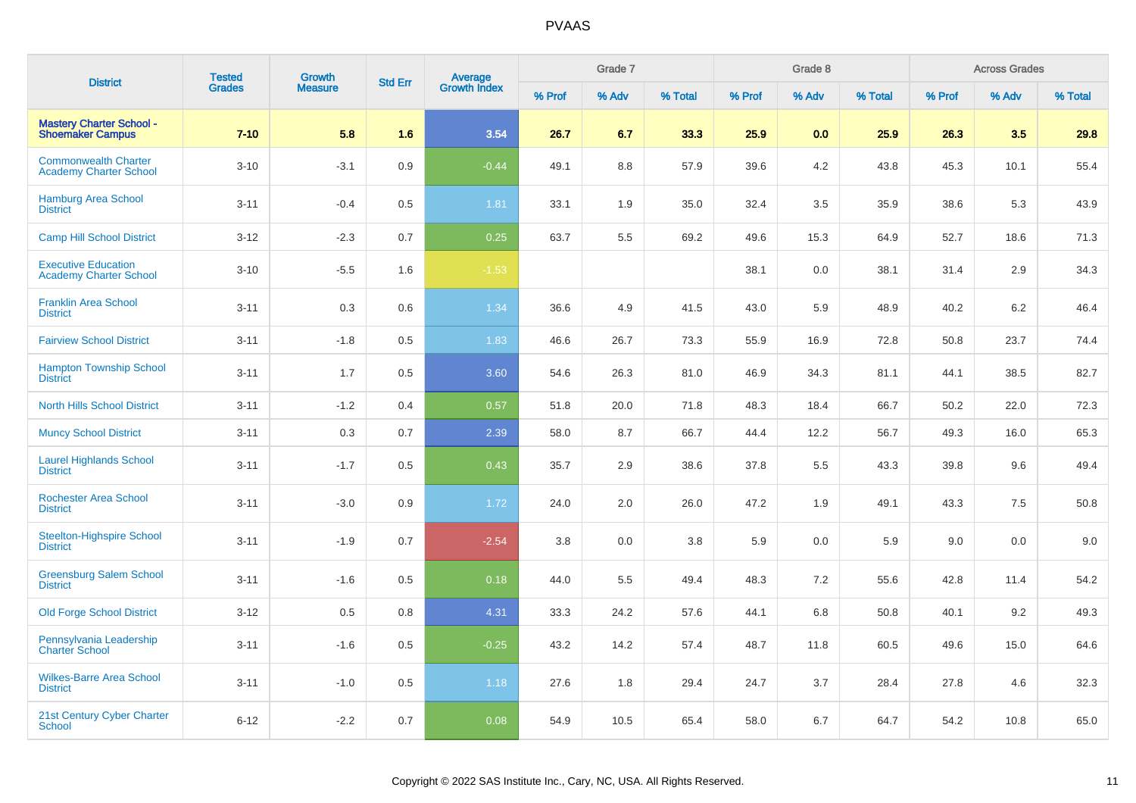| <b>District</b>                                              | <b>Tested</b> | <b>Growth</b>  | <b>Std Err</b> | Average<br>Growth Index |        | Grade 7 |         |        | Grade 8 |         |        | <b>Across Grades</b> |         |
|--------------------------------------------------------------|---------------|----------------|----------------|-------------------------|--------|---------|---------|--------|---------|---------|--------|----------------------|---------|
|                                                              | <b>Grades</b> | <b>Measure</b> |                |                         | % Prof | % Adv   | % Total | % Prof | % Adv   | % Total | % Prof | % Adv                | % Total |
| <b>Mastery Charter School -</b><br><b>Shoemaker Campus</b>   | $7 - 10$      | 5.8            | 1.6            | 3.54                    | 26.7   | 6.7     | 33.3    | 25.9   | 0.0     | 25.9    | 26.3   | 3.5                  | 29.8    |
| <b>Commonwealth Charter</b><br><b>Academy Charter School</b> | $3 - 10$      | $-3.1$         | 0.9            | $-0.44$                 | 49.1   | 8.8     | 57.9    | 39.6   | 4.2     | 43.8    | 45.3   | 10.1                 | 55.4    |
| <b>Hamburg Area School</b><br><b>District</b>                | $3 - 11$      | $-0.4$         | 0.5            | 1.81                    | 33.1   | 1.9     | 35.0    | 32.4   | 3.5     | 35.9    | 38.6   | 5.3                  | 43.9    |
| <b>Camp Hill School District</b>                             | $3-12$        | $-2.3$         | 0.7            | 0.25                    | 63.7   | 5.5     | 69.2    | 49.6   | 15.3    | 64.9    | 52.7   | 18.6                 | 71.3    |
| <b>Executive Education</b><br><b>Academy Charter School</b>  | $3 - 10$      | $-5.5$         | 1.6            | $-1.53$                 |        |         |         | 38.1   | 0.0     | 38.1    | 31.4   | 2.9                  | 34.3    |
| <b>Franklin Area School</b><br><b>District</b>               | $3 - 11$      | 0.3            | 0.6            | 1.34                    | 36.6   | 4.9     | 41.5    | 43.0   | 5.9     | 48.9    | 40.2   | 6.2                  | 46.4    |
| <b>Fairview School District</b>                              | $3 - 11$      | $-1.8$         | 0.5            | 1.83                    | 46.6   | 26.7    | 73.3    | 55.9   | 16.9    | 72.8    | 50.8   | 23.7                 | 74.4    |
| <b>Hampton Township School</b><br><b>District</b>            | $3 - 11$      | 1.7            | 0.5            | 3.60                    | 54.6   | 26.3    | 81.0    | 46.9   | 34.3    | 81.1    | 44.1   | 38.5                 | 82.7    |
| <b>North Hills School District</b>                           | $3 - 11$      | $-1.2$         | 0.4            | 0.57                    | 51.8   | 20.0    | 71.8    | 48.3   | 18.4    | 66.7    | 50.2   | 22.0                 | 72.3    |
| <b>Muncy School District</b>                                 | $3 - 11$      | 0.3            | 0.7            | 2.39                    | 58.0   | 8.7     | 66.7    | 44.4   | 12.2    | 56.7    | 49.3   | 16.0                 | 65.3    |
| <b>Laurel Highlands School</b><br><b>District</b>            | $3 - 11$      | $-1.7$         | 0.5            | 0.43                    | 35.7   | 2.9     | 38.6    | 37.8   | 5.5     | 43.3    | 39.8   | 9.6                  | 49.4    |
| <b>Rochester Area School</b><br><b>District</b>              | $3 - 11$      | $-3.0$         | 0.9            | 1.72                    | 24.0   | 2.0     | 26.0    | 47.2   | 1.9     | 49.1    | 43.3   | 7.5                  | 50.8    |
| <b>Steelton-Highspire School</b><br><b>District</b>          | $3 - 11$      | $-1.9$         | 0.7            | $-2.54$                 | 3.8    | 0.0     | 3.8     | 5.9    | 0.0     | 5.9     | 9.0    | 0.0                  | 9.0     |
| <b>Greensburg Salem School</b><br><b>District</b>            | $3 - 11$      | $-1.6$         | 0.5            | 0.18                    | 44.0   | 5.5     | 49.4    | 48.3   | 7.2     | 55.6    | 42.8   | 11.4                 | 54.2    |
| <b>Old Forge School District</b>                             | $3 - 12$      | $0.5\,$        | 0.8            | 4.31                    | 33.3   | 24.2    | 57.6    | 44.1   | 6.8     | 50.8    | 40.1   | 9.2                  | 49.3    |
| Pennsylvania Leadership<br><b>Charter School</b>             | $3 - 11$      | $-1.6$         | 0.5            | $-0.25$                 | 43.2   | 14.2    | 57.4    | 48.7   | 11.8    | 60.5    | 49.6   | 15.0                 | 64.6    |
| <b>Wilkes-Barre Area School</b><br><b>District</b>           | $3 - 11$      | $-1.0$         | 0.5            | 1.18                    | 27.6   | 1.8     | 29.4    | 24.7   | 3.7     | 28.4    | 27.8   | 4.6                  | 32.3    |
| 21st Century Cyber Charter<br><b>School</b>                  | $6 - 12$      | $-2.2$         | 0.7            | 0.08                    | 54.9   | 10.5    | 65.4    | 58.0   | 6.7     | 64.7    | 54.2   | 10.8                 | 65.0    |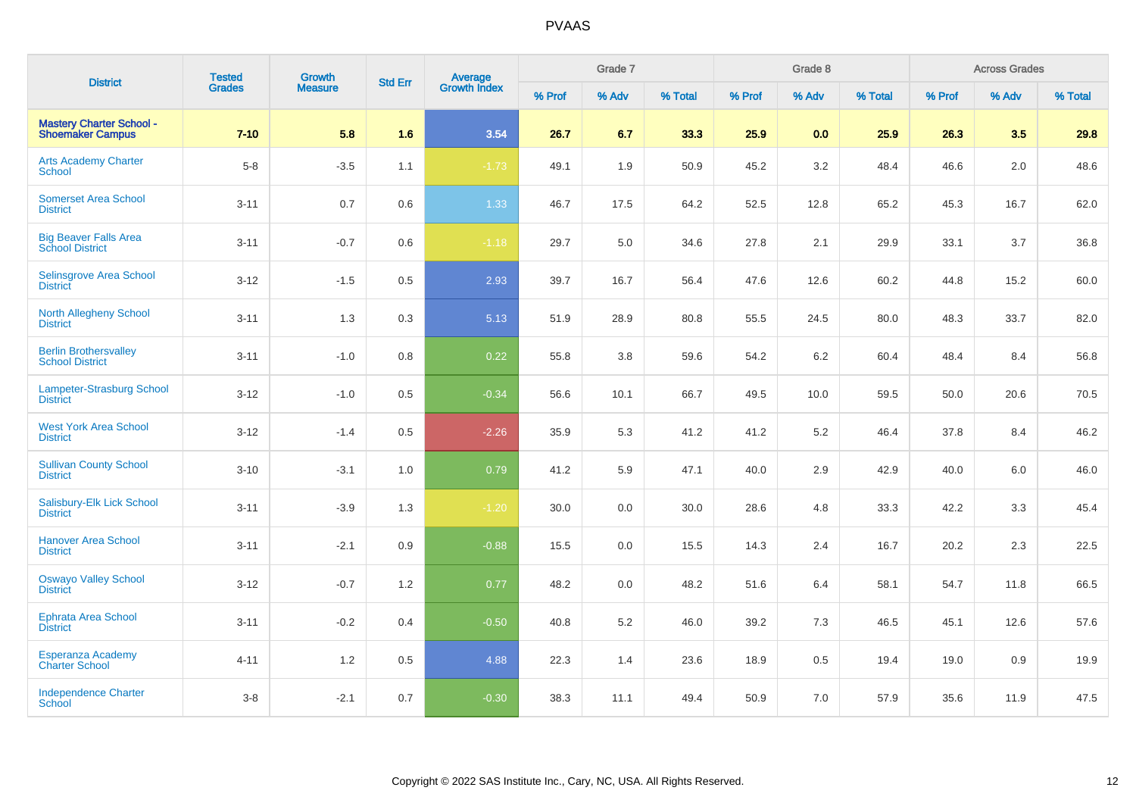| <b>District</b>                                            | <b>Tested</b> | <b>Growth</b>  | <b>Std Err</b> | <b>Average</b><br>Growth Index |        | Grade 7 |         |        | Grade 8 |         |        | <b>Across Grades</b> |         |
|------------------------------------------------------------|---------------|----------------|----------------|--------------------------------|--------|---------|---------|--------|---------|---------|--------|----------------------|---------|
|                                                            | <b>Grades</b> | <b>Measure</b> |                |                                | % Prof | % Adv   | % Total | % Prof | % Adv   | % Total | % Prof | % Adv                | % Total |
| <b>Mastery Charter School -</b><br><b>Shoemaker Campus</b> | $7 - 10$      | 5.8            | 1.6            | 3.54                           | 26.7   | 6.7     | 33.3    | 25.9   | 0.0     | 25.9    | 26.3   | 3.5                  | 29.8    |
| <b>Arts Academy Charter</b><br>School                      | $5 - 8$       | $-3.5$         | 1.1            | $-1.73$                        | 49.1   | 1.9     | 50.9    | 45.2   | 3.2     | 48.4    | 46.6   | 2.0                  | 48.6    |
| <b>Somerset Area School</b><br><b>District</b>             | $3 - 11$      | 0.7            | 0.6            | 1.33                           | 46.7   | 17.5    | 64.2    | 52.5   | 12.8    | 65.2    | 45.3   | 16.7                 | 62.0    |
| <b>Big Beaver Falls Area</b><br><b>School District</b>     | $3 - 11$      | $-0.7$         | 0.6            | $-1.18$                        | 29.7   | 5.0     | 34.6    | 27.8   | 2.1     | 29.9    | 33.1   | 3.7                  | 36.8    |
| <b>Selinsgrove Area School</b><br><b>District</b>          | $3 - 12$      | $-1.5$         | 0.5            | 2.93                           | 39.7   | 16.7    | 56.4    | 47.6   | 12.6    | 60.2    | 44.8   | 15.2                 | 60.0    |
| <b>North Allegheny School</b><br><b>District</b>           | $3 - 11$      | 1.3            | 0.3            | 5.13                           | 51.9   | 28.9    | 80.8    | 55.5   | 24.5    | 80.0    | 48.3   | 33.7                 | 82.0    |
| <b>Berlin Brothersvalley</b><br><b>School District</b>     | $3 - 11$      | $-1.0$         | 0.8            | 0.22                           | 55.8   | 3.8     | 59.6    | 54.2   | 6.2     | 60.4    | 48.4   | 8.4                  | 56.8    |
| Lampeter-Strasburg School<br><b>District</b>               | $3 - 12$      | $-1.0$         | 0.5            | $-0.34$                        | 56.6   | 10.1    | 66.7    | 49.5   | 10.0    | 59.5    | 50.0   | 20.6                 | 70.5    |
| <b>West York Area School</b><br><b>District</b>            | $3 - 12$      | $-1.4$         | 0.5            | $-2.26$                        | 35.9   | 5.3     | 41.2    | 41.2   | 5.2     | 46.4    | 37.8   | 8.4                  | 46.2    |
| <b>Sullivan County School</b><br><b>District</b>           | $3 - 10$      | $-3.1$         | 1.0            | 0.79                           | 41.2   | 5.9     | 47.1    | 40.0   | 2.9     | 42.9    | 40.0   | 6.0                  | 46.0    |
| Salisbury-Elk Lick School<br><b>District</b>               | $3 - 11$      | $-3.9$         | 1.3            | $-1.20$                        | 30.0   | 0.0     | 30.0    | 28.6   | 4.8     | 33.3    | 42.2   | 3.3                  | 45.4    |
| <b>Hanover Area School</b><br><b>District</b>              | $3 - 11$      | $-2.1$         | 0.9            | $-0.88$                        | 15.5   | $0.0\,$ | 15.5    | 14.3   | 2.4     | 16.7    | 20.2   | 2.3                  | 22.5    |
| <b>Oswayo Valley School</b><br><b>District</b>             | $3 - 12$      | $-0.7$         | 1.2            | 0.77                           | 48.2   | 0.0     | 48.2    | 51.6   | 6.4     | 58.1    | 54.7   | 11.8                 | 66.5    |
| Ephrata Area School<br><b>District</b>                     | $3 - 11$      | $-0.2$         | 0.4            | $-0.50$                        | 40.8   | 5.2     | 46.0    | 39.2   | 7.3     | 46.5    | 45.1   | 12.6                 | 57.6    |
| Esperanza Academy<br><b>Charter School</b>                 | $4 - 11$      | $1.2$          | 0.5            | 4.88                           | 22.3   | 1.4     | 23.6    | 18.9   | 0.5     | 19.4    | 19.0   | 0.9                  | 19.9    |
| <b>Independence Charter</b><br><b>School</b>               | $3-8$         | $-2.1$         | 0.7            | $-0.30$                        | 38.3   | 11.1    | 49.4    | 50.9   | 7.0     | 57.9    | 35.6   | 11.9                 | 47.5    |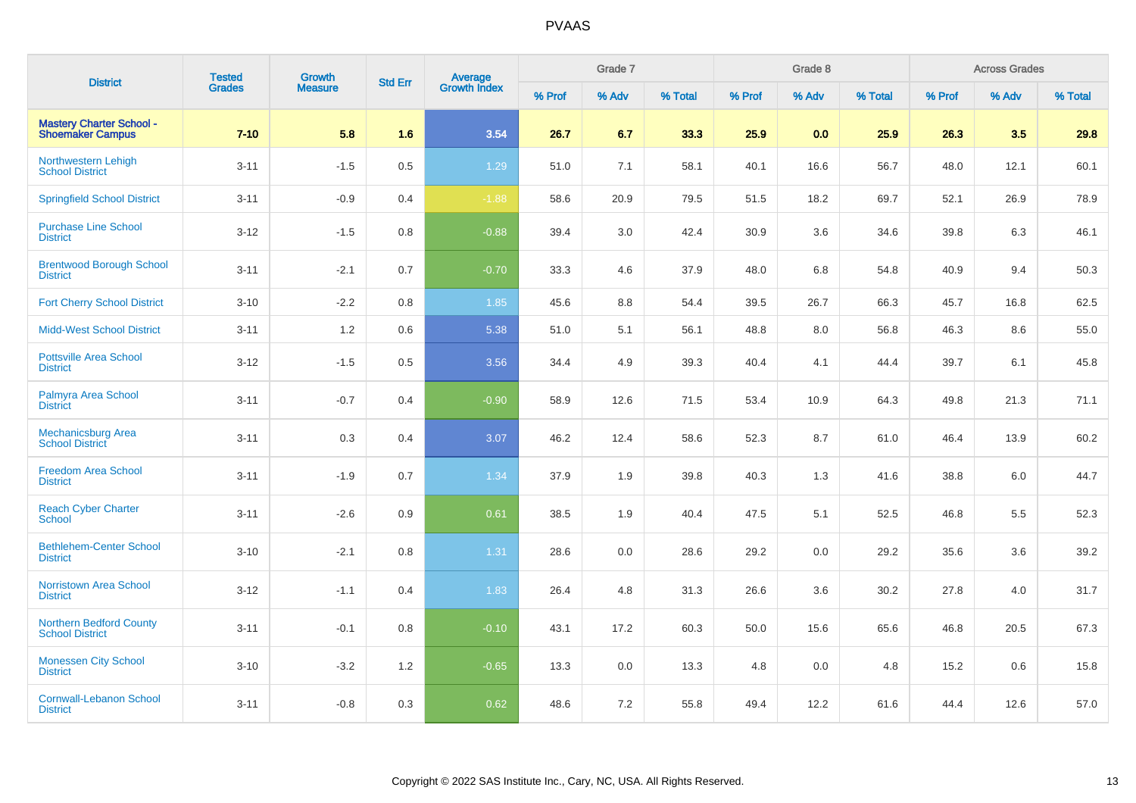| <b>District</b>                                            | <b>Tested</b> | <b>Growth</b><br><b>Measure</b> | <b>Std Err</b> | Average<br>Growth Index |        | Grade 7 |         |        | Grade 8 |         |        | <b>Across Grades</b> |         |
|------------------------------------------------------------|---------------|---------------------------------|----------------|-------------------------|--------|---------|---------|--------|---------|---------|--------|----------------------|---------|
|                                                            | Grades        |                                 |                |                         | % Prof | % Adv   | % Total | % Prof | % Adv   | % Total | % Prof | % Adv                | % Total |
| <b>Mastery Charter School -</b><br><b>Shoemaker Campus</b> | $7 - 10$      | 5.8                             | 1.6            | 3.54                    | 26.7   | 6.7     | 33.3    | 25.9   | 0.0     | 25.9    | 26.3   | 3.5                  | 29.8    |
| Northwestern Lehigh<br><b>School District</b>              | $3 - 11$      | $-1.5$                          | 0.5            | 1.29                    | 51.0   | 7.1     | 58.1    | 40.1   | 16.6    | 56.7    | 48.0   | 12.1                 | 60.1    |
| <b>Springfield School District</b>                         | $3 - 11$      | $-0.9$                          | 0.4            | $-1.88$                 | 58.6   | 20.9    | 79.5    | 51.5   | 18.2    | 69.7    | 52.1   | 26.9                 | 78.9    |
| <b>Purchase Line School</b><br><b>District</b>             | $3-12$        | $-1.5$                          | 0.8            | $-0.88$                 | 39.4   | 3.0     | 42.4    | 30.9   | 3.6     | 34.6    | 39.8   | 6.3                  | 46.1    |
| <b>Brentwood Borough School</b><br><b>District</b>         | $3 - 11$      | $-2.1$                          | 0.7            | $-0.70$                 | 33.3   | 4.6     | 37.9    | 48.0   | 6.8     | 54.8    | 40.9   | 9.4                  | 50.3    |
| <b>Fort Cherry School District</b>                         | $3 - 10$      | $-2.2$                          | 0.8            | 1.85                    | 45.6   | 8.8     | 54.4    | 39.5   | 26.7    | 66.3    | 45.7   | 16.8                 | 62.5    |
| <b>Midd-West School District</b>                           | $3 - 11$      | 1.2                             | 0.6            | 5.38                    | 51.0   | 5.1     | 56.1    | 48.8   | 8.0     | 56.8    | 46.3   | 8.6                  | 55.0    |
| <b>Pottsville Area School</b><br><b>District</b>           | $3 - 12$      | $-1.5$                          | 0.5            | 3.56                    | 34.4   | 4.9     | 39.3    | 40.4   | 4.1     | 44.4    | 39.7   | 6.1                  | 45.8    |
| Palmyra Area School<br><b>District</b>                     | $3 - 11$      | $-0.7$                          | 0.4            | $-0.90$                 | 58.9   | 12.6    | 71.5    | 53.4   | 10.9    | 64.3    | 49.8   | 21.3                 | 71.1    |
| Mechanicsburg Area<br><b>School District</b>               | $3 - 11$      | $0.3\,$                         | 0.4            | 3.07                    | 46.2   | 12.4    | 58.6    | 52.3   | 8.7     | 61.0    | 46.4   | 13.9                 | 60.2    |
| <b>Freedom Area School</b><br><b>District</b>              | $3 - 11$      | $-1.9$                          | 0.7            | 1.34                    | 37.9   | 1.9     | 39.8    | 40.3   | 1.3     | 41.6    | 38.8   | 6.0                  | 44.7    |
| <b>Reach Cyber Charter</b><br><b>School</b>                | $3 - 11$      | $-2.6$                          | 0.9            | 0.61                    | 38.5   | 1.9     | 40.4    | 47.5   | 5.1     | 52.5    | 46.8   | 5.5                  | 52.3    |
| <b>Bethlehem-Center School</b><br><b>District</b>          | $3 - 10$      | $-2.1$                          | 0.8            | 1.31                    | 28.6   | 0.0     | 28.6    | 29.2   | 0.0     | 29.2    | 35.6   | 3.6                  | 39.2    |
| <b>Norristown Area School</b><br><b>District</b>           | $3-12$        | $-1.1$                          | 0.4            | 1.83                    | 26.4   | 4.8     | 31.3    | 26.6   | 3.6     | 30.2    | 27.8   | 4.0                  | 31.7    |
| <b>Northern Bedford County</b><br><b>School District</b>   | $3 - 11$      | $-0.1$                          | 0.8            | $-0.10$                 | 43.1   | 17.2    | 60.3    | 50.0   | 15.6    | 65.6    | 46.8   | 20.5                 | 67.3    |
| <b>Monessen City School</b><br><b>District</b>             | $3 - 10$      | $-3.2$                          | 1.2            | $-0.65$                 | 13.3   | 0.0     | 13.3    | 4.8    | 0.0     | 4.8     | 15.2   | 0.6                  | 15.8    |
| <b>Cornwall-Lebanon School</b><br><b>District</b>          | $3 - 11$      | $-0.8$                          | 0.3            | 0.62                    | 48.6   | 7.2     | 55.8    | 49.4   | 12.2    | 61.6    | 44.4   | 12.6                 | 57.0    |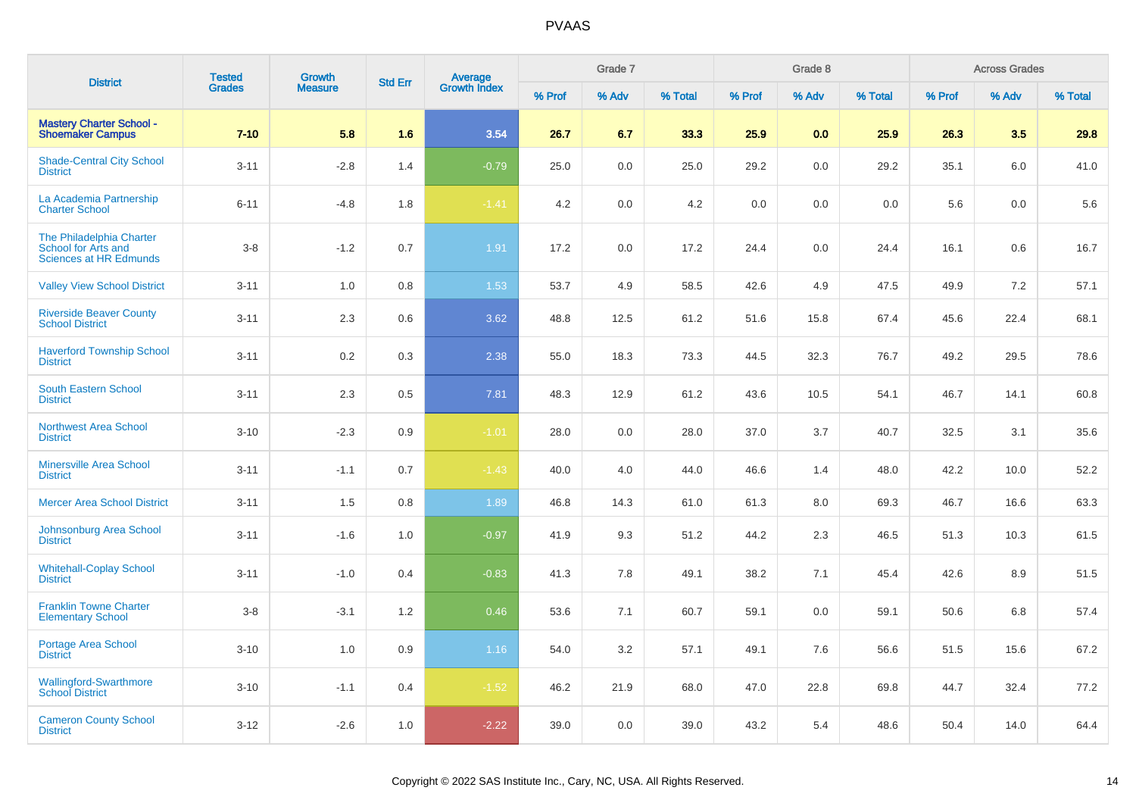| <b>District</b>                                                           | <b>Tested</b> | <b>Growth</b>  | <b>Std Err</b> |                                |        | Grade 7 |         |        | Grade 8 |         |        | <b>Across Grades</b> |         |
|---------------------------------------------------------------------------|---------------|----------------|----------------|--------------------------------|--------|---------|---------|--------|---------|---------|--------|----------------------|---------|
|                                                                           | <b>Grades</b> | <b>Measure</b> |                | <b>Average</b><br>Growth Index | % Prof | % Adv   | % Total | % Prof | % Adv   | % Total | % Prof | % Adv                | % Total |
| <b>Mastery Charter School -</b><br><b>Shoemaker Campus</b>                | $7 - 10$      | 5.8            | 1.6            | 3.54                           | 26.7   | 6.7     | 33.3    | 25.9   | 0.0     | 25.9    | 26.3   | 3.5                  | 29.8    |
| <b>Shade-Central City School</b><br><b>District</b>                       | $3 - 11$      | $-2.8$         | 1.4            | $-0.79$                        | 25.0   | 0.0     | 25.0    | 29.2   | 0.0     | 29.2    | 35.1   | 6.0                  | 41.0    |
| La Academia Partnership<br><b>Charter School</b>                          | $6 - 11$      | $-4.8$         | 1.8            | $-1.41$                        | 4.2    | 0.0     | 4.2     | 0.0    | 0.0     | 0.0     | 5.6    | 0.0                  | 5.6     |
| The Philadelphia Charter<br>School for Arts and<br>Sciences at HR Edmunds | $3-8$         | $-1.2$         | 0.7            | 1.91                           | 17.2   | 0.0     | 17.2    | 24.4   | 0.0     | 24.4    | 16.1   | 0.6                  | 16.7    |
| <b>Valley View School District</b>                                        | $3 - 11$      | 1.0            | 0.8            | 1.53                           | 53.7   | 4.9     | 58.5    | 42.6   | 4.9     | 47.5    | 49.9   | 7.2                  | 57.1    |
| <b>Riverside Beaver County</b><br><b>School District</b>                  | $3 - 11$      | 2.3            | 0.6            | 3.62                           | 48.8   | 12.5    | 61.2    | 51.6   | 15.8    | 67.4    | 45.6   | 22.4                 | 68.1    |
| <b>Haverford Township School</b><br><b>District</b>                       | $3 - 11$      | 0.2            | 0.3            | 2.38                           | 55.0   | 18.3    | 73.3    | 44.5   | 32.3    | 76.7    | 49.2   | 29.5                 | 78.6    |
| <b>South Eastern School</b><br><b>District</b>                            | $3 - 11$      | 2.3            | 0.5            | 7.81                           | 48.3   | 12.9    | 61.2    | 43.6   | 10.5    | 54.1    | 46.7   | 14.1                 | 60.8    |
| <b>Northwest Area School</b><br><b>District</b>                           | $3 - 10$      | $-2.3$         | 0.9            | $-1.01$                        | 28.0   | $0.0\,$ | 28.0    | 37.0   | 3.7     | 40.7    | 32.5   | 3.1                  | 35.6    |
| <b>Minersville Area School</b><br><b>District</b>                         | $3 - 11$      | $-1.1$         | 0.7            | $-1.43$                        | 40.0   | 4.0     | 44.0    | 46.6   | 1.4     | 48.0    | 42.2   | 10.0                 | 52.2    |
| <b>Mercer Area School District</b>                                        | $3 - 11$      | 1.5            | 0.8            | 1.89                           | 46.8   | 14.3    | 61.0    | 61.3   | 8.0     | 69.3    | 46.7   | 16.6                 | 63.3    |
| Johnsonburg Area School<br><b>District</b>                                | $3 - 11$      | $-1.6$         | 1.0            | $-0.97$                        | 41.9   | 9.3     | 51.2    | 44.2   | 2.3     | 46.5    | 51.3   | 10.3                 | 61.5    |
| <b>Whitehall-Coplay School</b><br><b>District</b>                         | $3 - 11$      | $-1.0$         | 0.4            | $-0.83$                        | 41.3   | 7.8     | 49.1    | 38.2   | 7.1     | 45.4    | 42.6   | 8.9                  | 51.5    |
| <b>Franklin Towne Charter</b><br><b>Elementary School</b>                 | $3 - 8$       | $-3.1$         | 1.2            | 0.46                           | 53.6   | 7.1     | 60.7    | 59.1   | 0.0     | 59.1    | 50.6   | 6.8                  | 57.4    |
| <b>Portage Area School</b><br><b>District</b>                             | $3 - 10$      | 1.0            | 0.9            | 1.16                           | 54.0   | 3.2     | 57.1    | 49.1   | 7.6     | 56.6    | 51.5   | 15.6                 | 67.2    |
| Wallingford-Swarthmore<br>School District                                 | $3 - 10$      | $-1.1$         | 0.4            | $-1.52$                        | 46.2   | 21.9    | 68.0    | 47.0   | 22.8    | 69.8    | 44.7   | 32.4                 | 77.2    |
| <b>Cameron County School</b><br><b>District</b>                           | $3 - 12$      | $-2.6$         | 1.0            | $-2.22$                        | 39.0   | 0.0     | 39.0    | 43.2   | 5.4     | 48.6    | 50.4   | 14.0                 | 64.4    |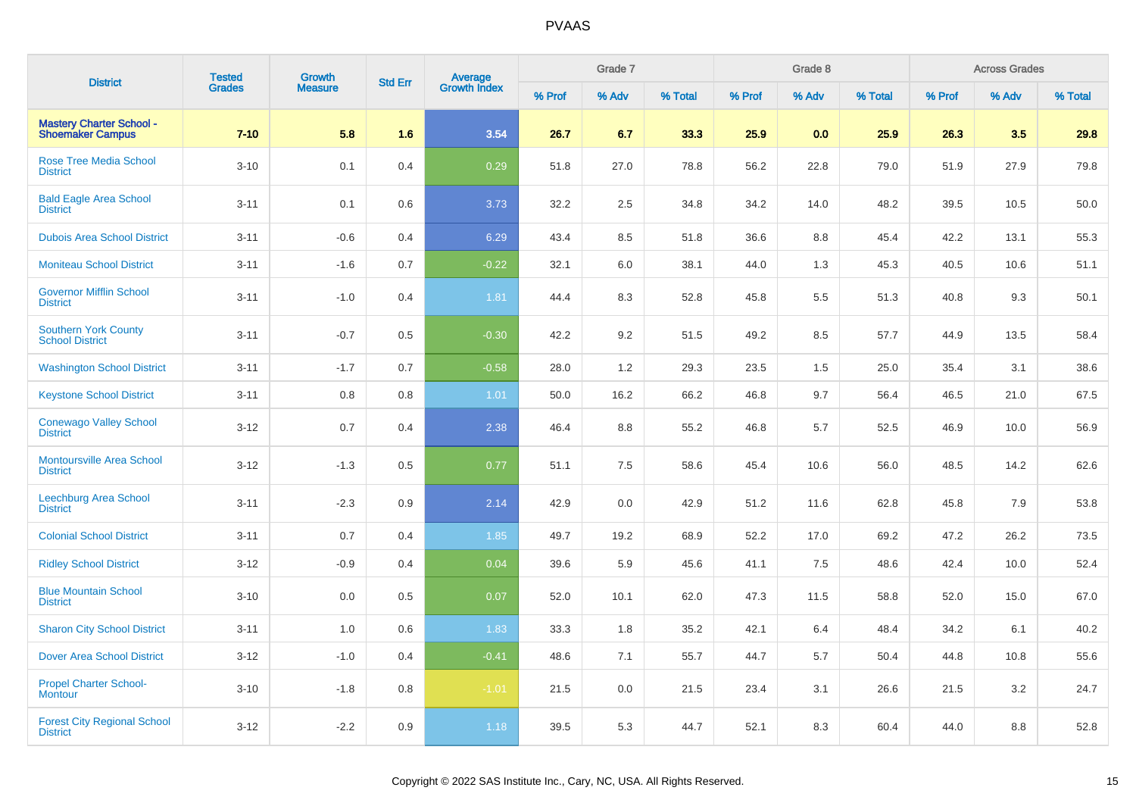| <b>District</b>                                            | <b>Tested</b> | <b>Growth</b>  | <b>Std Err</b> | <b>Average</b><br>Growth Index |        | Grade 7 |         |        | Grade 8 |         |        | <b>Across Grades</b> |         |
|------------------------------------------------------------|---------------|----------------|----------------|--------------------------------|--------|---------|---------|--------|---------|---------|--------|----------------------|---------|
|                                                            | <b>Grades</b> | <b>Measure</b> |                |                                | % Prof | % Adv   | % Total | % Prof | % Adv   | % Total | % Prof | % Adv                | % Total |
| <b>Mastery Charter School -</b><br><b>Shoemaker Campus</b> | $7 - 10$      | 5.8            | 1.6            | 3.54                           | 26.7   | 6.7     | 33.3    | 25.9   | 0.0     | 25.9    | 26.3   | 3.5                  | 29.8    |
| <b>Rose Tree Media School</b><br><b>District</b>           | $3 - 10$      | 0.1            | 0.4            | 0.29                           | 51.8   | 27.0    | 78.8    | 56.2   | 22.8    | 79.0    | 51.9   | 27.9                 | 79.8    |
| <b>Bald Eagle Area School</b><br><b>District</b>           | $3 - 11$      | 0.1            | 0.6            | 3.73                           | 32.2   | 2.5     | 34.8    | 34.2   | 14.0    | 48.2    | 39.5   | 10.5                 | 50.0    |
| <b>Dubois Area School District</b>                         | $3 - 11$      | $-0.6$         | 0.4            | 6.29                           | 43.4   | 8.5     | 51.8    | 36.6   | 8.8     | 45.4    | 42.2   | 13.1                 | 55.3    |
| <b>Moniteau School District</b>                            | $3 - 11$      | $-1.6$         | 0.7            | $-0.22$                        | 32.1   | 6.0     | 38.1    | 44.0   | 1.3     | 45.3    | 40.5   | 10.6                 | 51.1    |
| <b>Governor Mifflin School</b><br><b>District</b>          | $3 - 11$      | $-1.0$         | 0.4            | 1.81                           | 44.4   | 8.3     | 52.8    | 45.8   | 5.5     | 51.3    | 40.8   | 9.3                  | 50.1    |
| <b>Southern York County</b><br><b>School District</b>      | $3 - 11$      | $-0.7$         | 0.5            | $-0.30$                        | 42.2   | 9.2     | 51.5    | 49.2   | 8.5     | 57.7    | 44.9   | 13.5                 | 58.4    |
| <b>Washington School District</b>                          | $3 - 11$      | $-1.7$         | 0.7            | $-0.58$                        | 28.0   | 1.2     | 29.3    | 23.5   | 1.5     | 25.0    | 35.4   | 3.1                  | 38.6    |
| <b>Keystone School District</b>                            | $3 - 11$      | 0.8            | 0.8            | 1.01                           | 50.0   | 16.2    | 66.2    | 46.8   | 9.7     | 56.4    | 46.5   | 21.0                 | 67.5    |
| <b>Conewago Valley School</b><br><b>District</b>           | $3 - 12$      | 0.7            | 0.4            | 2.38                           | 46.4   | 8.8     | 55.2    | 46.8   | 5.7     | 52.5    | 46.9   | 10.0                 | 56.9    |
| <b>Montoursville Area School</b><br><b>District</b>        | $3 - 12$      | $-1.3$         | 0.5            | 0.77                           | 51.1   | 7.5     | 58.6    | 45.4   | 10.6    | 56.0    | 48.5   | 14.2                 | 62.6    |
| <b>Leechburg Area School</b><br><b>District</b>            | $3 - 11$      | $-2.3$         | 0.9            | 2.14                           | 42.9   | 0.0     | 42.9    | 51.2   | 11.6    | 62.8    | 45.8   | 7.9                  | 53.8    |
| <b>Colonial School District</b>                            | $3 - 11$      | 0.7            | 0.4            | 1.85                           | 49.7   | 19.2    | 68.9    | 52.2   | 17.0    | 69.2    | 47.2   | 26.2                 | 73.5    |
| <b>Ridley School District</b>                              | $3 - 12$      | $-0.9$         | 0.4            | 0.04                           | 39.6   | 5.9     | 45.6    | 41.1   | 7.5     | 48.6    | 42.4   | 10.0                 | 52.4    |
| <b>Blue Mountain School</b><br><b>District</b>             | $3 - 10$      | 0.0            | 0.5            | 0.07                           | 52.0   | 10.1    | 62.0    | 47.3   | 11.5    | 58.8    | 52.0   | 15.0                 | 67.0    |
| <b>Sharon City School District</b>                         | $3 - 11$      | 1.0            | 0.6            | 1.83                           | 33.3   | 1.8     | 35.2    | 42.1   | 6.4     | 48.4    | 34.2   | 6.1                  | 40.2    |
| <b>Dover Area School District</b>                          | $3 - 12$      | $-1.0$         | 0.4            | $-0.41$                        | 48.6   | 7.1     | 55.7    | 44.7   | 5.7     | 50.4    | 44.8   | 10.8                 | 55.6    |
| <b>Propel Charter School-</b><br>Montour                   | $3 - 10$      | $-1.8$         | 0.8            | $-1.01$                        | 21.5   | 0.0     | 21.5    | 23.4   | 3.1     | 26.6    | 21.5   | 3.2                  | 24.7    |
| <b>Forest City Regional School</b><br><b>District</b>      | $3 - 12$      | $-2.2$         | 0.9            | 1.18                           | 39.5   | 5.3     | 44.7    | 52.1   | 8.3     | 60.4    | 44.0   | 8.8                  | 52.8    |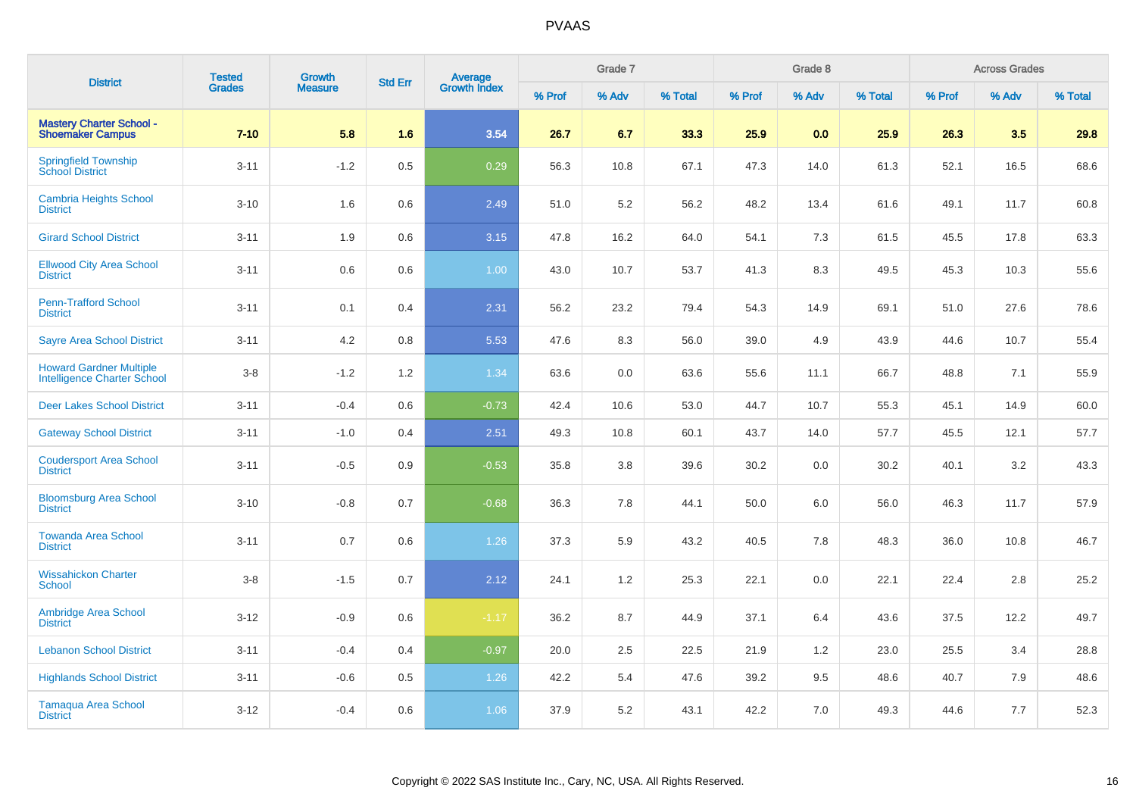| <b>District</b>                                                      | <b>Tested</b> | Growth         | <b>Std Err</b> | Average<br>Growth Index |        | Grade 7 |         |        | Grade 8 |         |        | <b>Across Grades</b> |         |
|----------------------------------------------------------------------|---------------|----------------|----------------|-------------------------|--------|---------|---------|--------|---------|---------|--------|----------------------|---------|
|                                                                      | <b>Grades</b> | <b>Measure</b> |                |                         | % Prof | % Adv   | % Total | % Prof | % Adv   | % Total | % Prof | % Adv                | % Total |
| <b>Mastery Charter School -</b><br><b>Shoemaker Campus</b>           | $7 - 10$      | 5.8            | 1.6            | 3.54                    | 26.7   | 6.7     | 33.3    | 25.9   | 0.0     | 25.9    | 26.3   | 3.5                  | 29.8    |
| <b>Springfield Township</b><br><b>School District</b>                | $3 - 11$      | $-1.2$         | 0.5            | 0.29                    | 56.3   | 10.8    | 67.1    | 47.3   | 14.0    | 61.3    | 52.1   | 16.5                 | 68.6    |
| <b>Cambria Heights School</b><br><b>District</b>                     | $3 - 10$      | 1.6            | 0.6            | 2.49                    | 51.0   | 5.2     | 56.2    | 48.2   | 13.4    | 61.6    | 49.1   | 11.7                 | 60.8    |
| <b>Girard School District</b>                                        | $3 - 11$      | 1.9            | 0.6            | 3.15                    | 47.8   | 16.2    | 64.0    | 54.1   | 7.3     | 61.5    | 45.5   | 17.8                 | 63.3    |
| <b>Ellwood City Area School</b><br><b>District</b>                   | $3 - 11$      | $0.6\,$        | 0.6            | 1.00                    | 43.0   | 10.7    | 53.7    | 41.3   | 8.3     | 49.5    | 45.3   | 10.3                 | 55.6    |
| <b>Penn-Trafford School</b><br><b>District</b>                       | $3 - 11$      | 0.1            | 0.4            | 2.31                    | 56.2   | 23.2    | 79.4    | 54.3   | 14.9    | 69.1    | 51.0   | 27.6                 | 78.6    |
| <b>Sayre Area School District</b>                                    | $3 - 11$      | 4.2            | 0.8            | 5.53                    | 47.6   | 8.3     | 56.0    | 39.0   | 4.9     | 43.9    | 44.6   | 10.7                 | 55.4    |
| <b>Howard Gardner Multiple</b><br><b>Intelligence Charter School</b> | $3-8$         | $-1.2$         | 1.2            | 1.34                    | 63.6   | $0.0\,$ | 63.6    | 55.6   | 11.1    | 66.7    | 48.8   | 7.1                  | 55.9    |
| <b>Deer Lakes School District</b>                                    | $3 - 11$      | $-0.4$         | 0.6            | $-0.73$                 | 42.4   | 10.6    | 53.0    | 44.7   | 10.7    | 55.3    | 45.1   | 14.9                 | 60.0    |
| <b>Gateway School District</b>                                       | $3 - 11$      | $-1.0$         | 0.4            | 2.51                    | 49.3   | 10.8    | 60.1    | 43.7   | 14.0    | 57.7    | 45.5   | 12.1                 | 57.7    |
| <b>Coudersport Area School</b><br><b>District</b>                    | $3 - 11$      | $-0.5$         | 0.9            | $-0.53$                 | 35.8   | 3.8     | 39.6    | 30.2   | 0.0     | 30.2    | 40.1   | 3.2                  | 43.3    |
| <b>Bloomsburg Area School</b><br><b>District</b>                     | $3 - 10$      | $-0.8$         | 0.7            | $-0.68$                 | 36.3   | 7.8     | 44.1    | 50.0   | 6.0     | 56.0    | 46.3   | 11.7                 | 57.9    |
| <b>Towanda Area School</b><br><b>District</b>                        | $3 - 11$      | 0.7            | 0.6            | 1.26                    | 37.3   | 5.9     | 43.2    | 40.5   | 7.8     | 48.3    | 36.0   | 10.8                 | 46.7    |
| <b>Wissahickon Charter</b><br><b>School</b>                          | $3-8$         | $-1.5$         | 0.7            | 2.12                    | 24.1   | 1.2     | 25.3    | 22.1   | 0.0     | 22.1    | 22.4   | 2.8                  | 25.2    |
| <b>Ambridge Area School</b><br><b>District</b>                       | $3 - 12$      | $-0.9$         | 0.6            | $-1.17$                 | 36.2   | 8.7     | 44.9    | 37.1   | 6.4     | 43.6    | 37.5   | 12.2                 | 49.7    |
| <b>Lebanon School District</b>                                       | $3 - 11$      | $-0.4$         | 0.4            | $-0.97$                 | 20.0   | 2.5     | 22.5    | 21.9   | 1.2     | 23.0    | 25.5   | 3.4                  | 28.8    |
| <b>Highlands School District</b>                                     | $3 - 11$      | $-0.6$         | 0.5            | 1.26                    | 42.2   | 5.4     | 47.6    | 39.2   | 9.5     | 48.6    | 40.7   | 7.9                  | 48.6    |
| <b>Tamaqua Area School</b><br><b>District</b>                        | $3 - 12$      | $-0.4$         | 0.6            | 1.06                    | 37.9   | 5.2     | 43.1    | 42.2   | 7.0     | 49.3    | 44.6   | 7.7                  | 52.3    |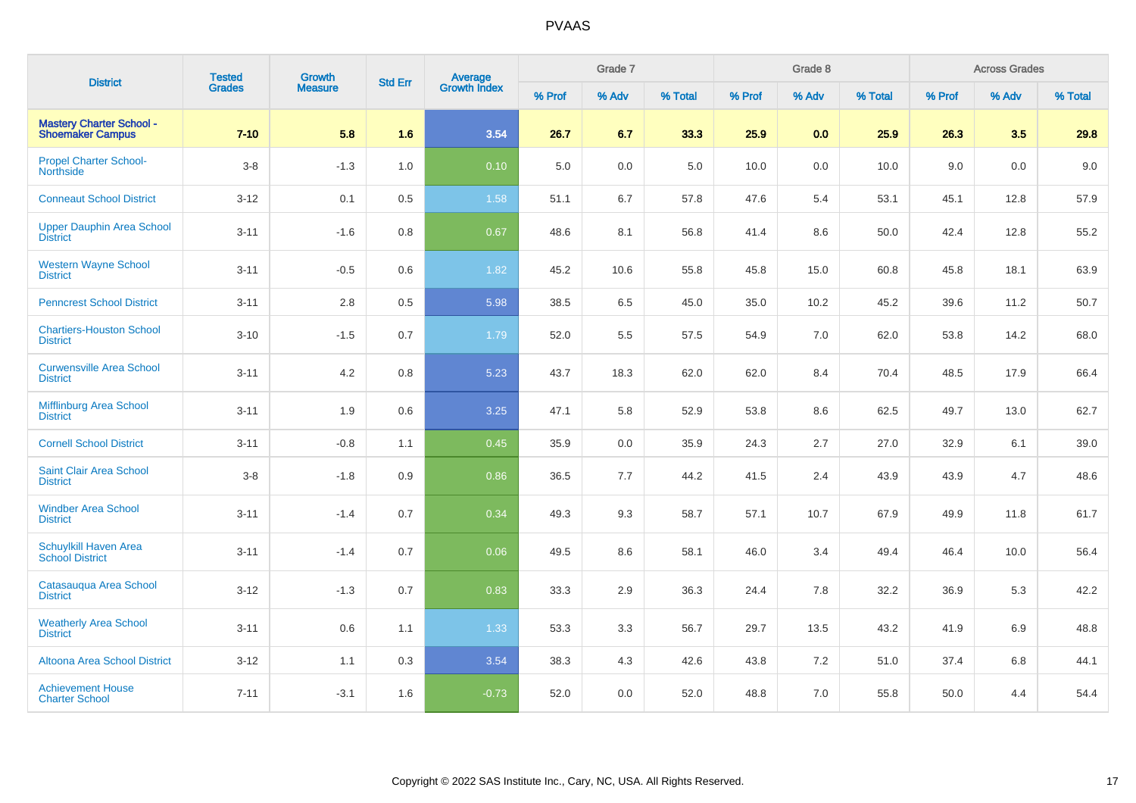| <b>District</b>                                            | <b>Tested</b> | <b>Growth</b>  | <b>Std Err</b> |                                |        | Grade 7 |         |        | Grade 8 |         |        | <b>Across Grades</b> |         |
|------------------------------------------------------------|---------------|----------------|----------------|--------------------------------|--------|---------|---------|--------|---------|---------|--------|----------------------|---------|
|                                                            | <b>Grades</b> | <b>Measure</b> |                | <b>Average</b><br>Growth Index | % Prof | % Adv   | % Total | % Prof | % Adv   | % Total | % Prof | % Adv                | % Total |
| <b>Mastery Charter School -</b><br><b>Shoemaker Campus</b> | $7 - 10$      | 5.8            | 1.6            | 3.54                           | 26.7   | 6.7     | 33.3    | 25.9   | 0.0     | 25.9    | 26.3   | 3.5                  | 29.8    |
| <b>Propel Charter School-</b><br><b>Northside</b>          | $3-8$         | $-1.3$         | 1.0            | 0.10                           | 5.0    | 0.0     | 5.0     | 10.0   | 0.0     | 10.0    | 9.0    | 0.0                  | 9.0     |
| <b>Conneaut School District</b>                            | $3 - 12$      | 0.1            | 0.5            | 1.58                           | 51.1   | 6.7     | 57.8    | 47.6   | 5.4     | 53.1    | 45.1   | 12.8                 | 57.9    |
| <b>Upper Dauphin Area School</b><br><b>District</b>        | $3 - 11$      | $-1.6$         | 0.8            | 0.67                           | 48.6   | 8.1     | 56.8    | 41.4   | 8.6     | 50.0    | 42.4   | 12.8                 | 55.2    |
| <b>Western Wayne School</b><br><b>District</b>             | $3 - 11$      | $-0.5$         | 0.6            | 1.82                           | 45.2   | 10.6    | 55.8    | 45.8   | 15.0    | 60.8    | 45.8   | 18.1                 | 63.9    |
| <b>Penncrest School District</b>                           | $3 - 11$      | 2.8            | 0.5            | 5.98                           | 38.5   | 6.5     | 45.0    | 35.0   | 10.2    | 45.2    | 39.6   | 11.2                 | 50.7    |
| <b>Chartiers-Houston School</b><br><b>District</b>         | $3 - 10$      | $-1.5$         | 0.7            | 1.79                           | 52.0   | 5.5     | 57.5    | 54.9   | 7.0     | 62.0    | 53.8   | 14.2                 | 68.0    |
| <b>Curwensville Area School</b><br><b>District</b>         | $3 - 11$      | 4.2            | 0.8            | 5.23                           | 43.7   | 18.3    | 62.0    | 62.0   | 8.4     | 70.4    | 48.5   | 17.9                 | 66.4    |
| <b>Mifflinburg Area School</b><br><b>District</b>          | $3 - 11$      | 1.9            | 0.6            | 3.25                           | 47.1   | 5.8     | 52.9    | 53.8   | 8.6     | 62.5    | 49.7   | 13.0                 | 62.7    |
| <b>Cornell School District</b>                             | $3 - 11$      | $-0.8$         | 1.1            | 0.45                           | 35.9   | 0.0     | 35.9    | 24.3   | 2.7     | 27.0    | 32.9   | 6.1                  | 39.0    |
| <b>Saint Clair Area School</b><br><b>District</b>          | $3-8$         | $-1.8$         | 0.9            | 0.86                           | 36.5   | 7.7     | 44.2    | 41.5   | 2.4     | 43.9    | 43.9   | 4.7                  | 48.6    |
| <b>Windber Area School</b><br><b>District</b>              | $3 - 11$      | $-1.4$         | 0.7            | 0.34                           | 49.3   | 9.3     | 58.7    | 57.1   | 10.7    | 67.9    | 49.9   | 11.8                 | 61.7    |
| Schuylkill Haven Area<br><b>School District</b>            | $3 - 11$      | $-1.4$         | 0.7            | 0.06                           | 49.5   | 8.6     | 58.1    | 46.0   | 3.4     | 49.4    | 46.4   | 10.0                 | 56.4    |
| Catasauqua Area School<br><b>District</b>                  | $3 - 12$      | $-1.3$         | 0.7            | 0.83                           | 33.3   | 2.9     | 36.3    | 24.4   | 7.8     | 32.2    | 36.9   | 5.3                  | 42.2    |
| <b>Weatherly Area School</b><br><b>District</b>            | $3 - 11$      | 0.6            | 1.1            | 1.33                           | 53.3   | 3.3     | 56.7    | 29.7   | 13.5    | 43.2    | 41.9   | 6.9                  | 48.8    |
| <b>Altoona Area School District</b>                        | $3 - 12$      | 1.1            | 0.3            | 3.54                           | 38.3   | 4.3     | 42.6    | 43.8   | 7.2     | 51.0    | 37.4   | 6.8                  | 44.1    |
| <b>Achievement House</b><br><b>Charter School</b>          | $7 - 11$      | $-3.1$         | 1.6            | $-0.73$                        | 52.0   | 0.0     | 52.0    | 48.8   | 7.0     | 55.8    | 50.0   | 4.4                  | 54.4    |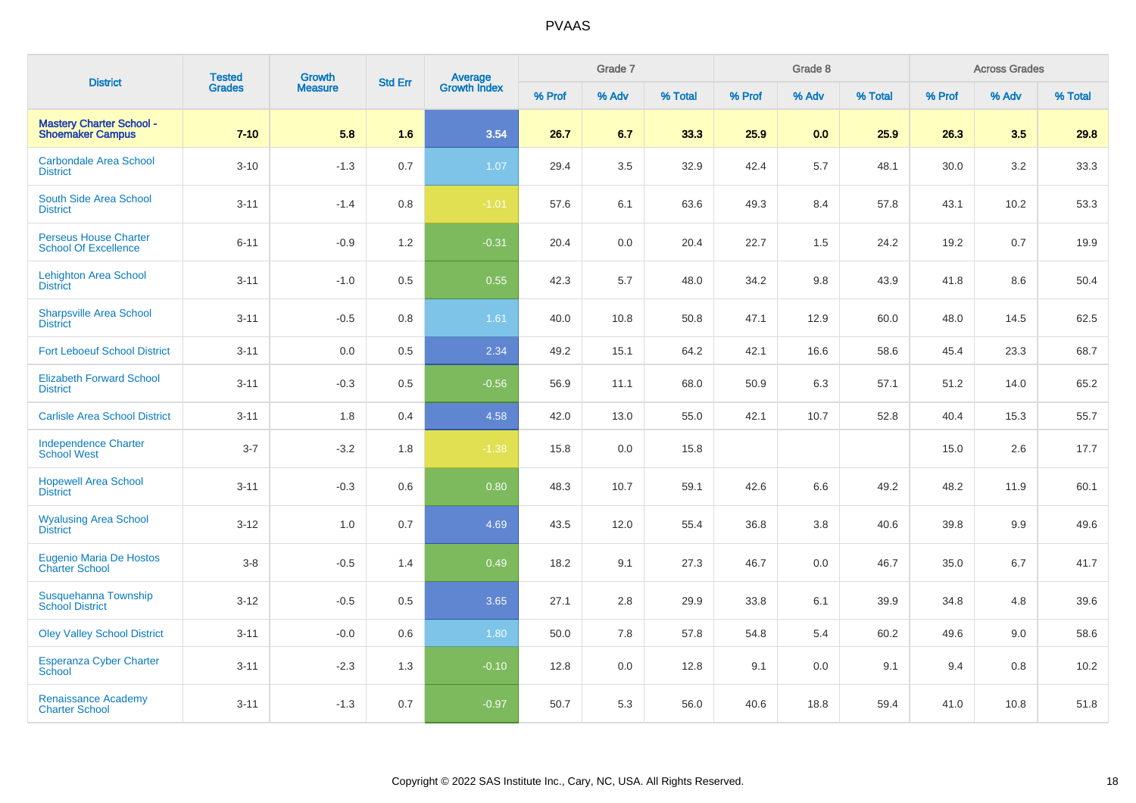| <b>District</b>                                             | <b>Tested</b> | Growth         | <b>Std Err</b> |                                |        | Grade 7 |         |        | Grade 8 |         |        | <b>Across Grades</b> |         |
|-------------------------------------------------------------|---------------|----------------|----------------|--------------------------------|--------|---------|---------|--------|---------|---------|--------|----------------------|---------|
|                                                             | <b>Grades</b> | <b>Measure</b> |                | <b>Average</b><br>Growth Index | % Prof | % Adv   | % Total | % Prof | % Adv   | % Total | % Prof | % Adv                | % Total |
| <b>Mastery Charter School -</b><br><b>Shoemaker Campus</b>  | $7 - 10$      | 5.8            | 1.6            | 3.54                           | 26.7   | 6.7     | 33.3    | 25.9   | 0.0     | 25.9    | 26.3   | 3.5                  | 29.8    |
| <b>Carbondale Area School</b><br><b>District</b>            | $3 - 10$      | $-1.3$         | 0.7            | 1.07                           | 29.4   | 3.5     | 32.9    | 42.4   | 5.7     | 48.1    | 30.0   | 3.2                  | 33.3    |
| South Side Area School<br><b>District</b>                   | $3 - 11$      | $-1.4$         | 0.8            | $-1.01$                        | 57.6   | 6.1     | 63.6    | 49.3   | 8.4     | 57.8    | 43.1   | 10.2                 | 53.3    |
| <b>Perseus House Charter</b><br><b>School Of Excellence</b> | $6 - 11$      | $-0.9$         | 1.2            | $-0.31$                        | 20.4   | 0.0     | 20.4    | 22.7   | 1.5     | 24.2    | 19.2   | 0.7                  | 19.9    |
| <b>Lehighton Area School</b><br><b>District</b>             | $3 - 11$      | $-1.0$         | 0.5            | 0.55                           | 42.3   | 5.7     | 48.0    | 34.2   | 9.8     | 43.9    | 41.8   | 8.6                  | 50.4    |
| <b>Sharpsville Area School</b><br><b>District</b>           | $3 - 11$      | $-0.5$         | 0.8            | 1.61                           | 40.0   | 10.8    | 50.8    | 47.1   | 12.9    | 60.0    | 48.0   | 14.5                 | 62.5    |
| <b>Fort Leboeuf School District</b>                         | $3 - 11$      | 0.0            | 0.5            | 2.34                           | 49.2   | 15.1    | 64.2    | 42.1   | 16.6    | 58.6    | 45.4   | 23.3                 | 68.7    |
| <b>Elizabeth Forward School</b><br><b>District</b>          | $3 - 11$      | $-0.3$         | 0.5            | $-0.56$                        | 56.9   | 11.1    | 68.0    | 50.9   | 6.3     | 57.1    | 51.2   | 14.0                 | 65.2    |
| <b>Carlisle Area School District</b>                        | $3 - 11$      | 1.8            | 0.4            | 4.58                           | 42.0   | 13.0    | 55.0    | 42.1   | 10.7    | 52.8    | 40.4   | 15.3                 | 55.7    |
| <b>Independence Charter</b><br><b>School West</b>           | $3 - 7$       | $-3.2$         | 1.8            | $-1.38$                        | 15.8   | 0.0     | 15.8    |        |         |         | 15.0   | 2.6                  | 17.7    |
| <b>Hopewell Area School</b><br><b>District</b>              | $3 - 11$      | $-0.3$         | 0.6            | 0.80                           | 48.3   | 10.7    | 59.1    | 42.6   | 6.6     | 49.2    | 48.2   | 11.9                 | 60.1    |
| <b>Wyalusing Area School</b><br><b>District</b>             | $3 - 12$      | 1.0            | 0.7            | 4.69                           | 43.5   | 12.0    | 55.4    | 36.8   | 3.8     | 40.6    | 39.8   | 9.9                  | 49.6    |
| <b>Eugenio Maria De Hostos</b><br><b>Charter School</b>     | $3-8$         | $-0.5$         | 1.4            | 0.49                           | 18.2   | 9.1     | 27.3    | 46.7   | 0.0     | 46.7    | 35.0   | 6.7                  | 41.7    |
| Susquehanna Township<br><b>School District</b>              | $3 - 12$      | $-0.5$         | 0.5            | 3.65                           | 27.1   | 2.8     | 29.9    | 33.8   | 6.1     | 39.9    | 34.8   | 4.8                  | 39.6    |
| <b>Oley Valley School District</b>                          | $3 - 11$      | $-0.0$         | 0.6            | 1.80                           | 50.0   | 7.8     | 57.8    | 54.8   | 5.4     | 60.2    | 49.6   | 9.0                  | 58.6    |
| <b>Esperanza Cyber Charter</b><br>School                    | $3 - 11$      | $-2.3$         | 1.3            | $-0.10$                        | 12.8   | 0.0     | 12.8    | 9.1    | 0.0     | 9.1     | 9.4    | 0.8                  | 10.2    |
| <b>Renaissance Academy</b><br><b>Charter School</b>         | $3 - 11$      | $-1.3$         | 0.7            | $-0.97$                        | 50.7   | 5.3     | 56.0    | 40.6   | 18.8    | 59.4    | 41.0   | 10.8                 | 51.8    |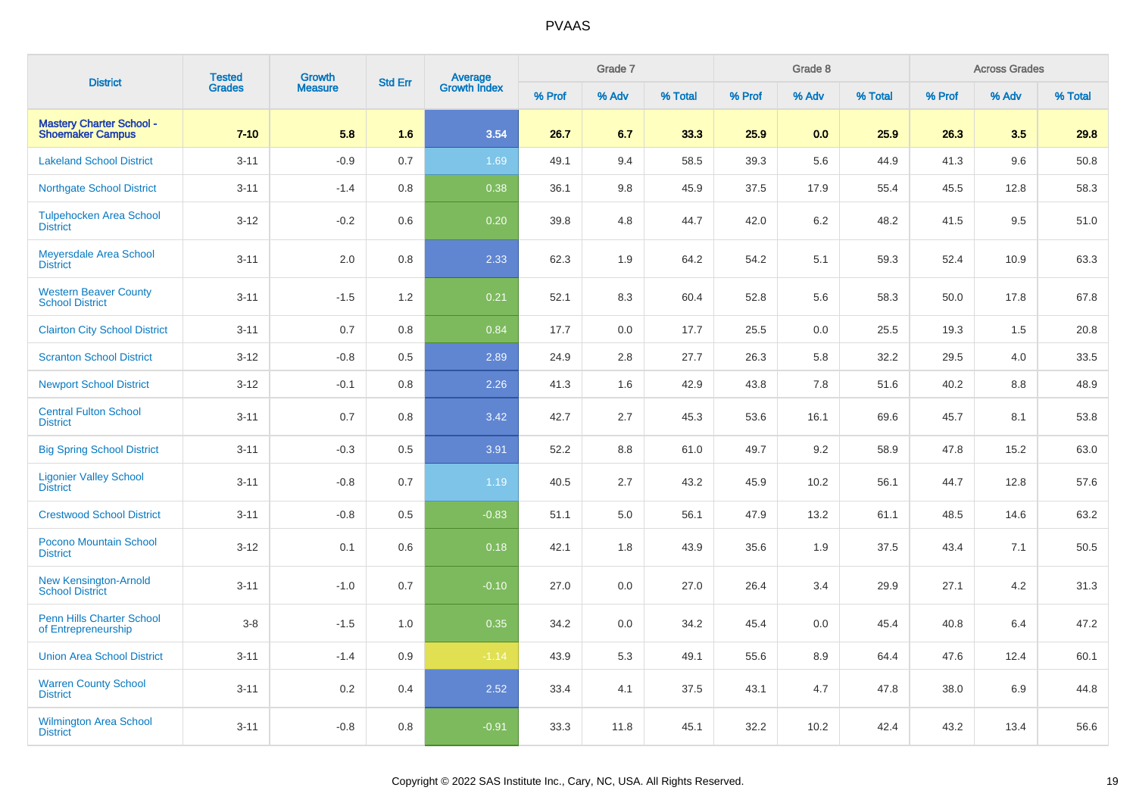| <b>District</b>                                            | <b>Tested</b> | Growth         | <b>Std Err</b> | <b>Average</b><br>Growth Index |        | Grade 7 |         |        | Grade 8 |         |        | <b>Across Grades</b> |         |
|------------------------------------------------------------|---------------|----------------|----------------|--------------------------------|--------|---------|---------|--------|---------|---------|--------|----------------------|---------|
|                                                            | <b>Grades</b> | <b>Measure</b> |                |                                | % Prof | % Adv   | % Total | % Prof | % Adv   | % Total | % Prof | % Adv                | % Total |
| <b>Mastery Charter School -</b><br><b>Shoemaker Campus</b> | $7 - 10$      | 5.8            | 1.6            | 3.54                           | 26.7   | 6.7     | 33.3    | 25.9   | 0.0     | 25.9    | 26.3   | 3.5                  | 29.8    |
| <b>Lakeland School District</b>                            | $3 - 11$      | $-0.9$         | 0.7            | 1.69                           | 49.1   | 9.4     | 58.5    | 39.3   | 5.6     | 44.9    | 41.3   | 9.6                  | 50.8    |
| <b>Northgate School District</b>                           | $3 - 11$      | $-1.4$         | 0.8            | 0.38                           | 36.1   | 9.8     | 45.9    | 37.5   | 17.9    | 55.4    | 45.5   | 12.8                 | 58.3    |
| <b>Tulpehocken Area School</b><br><b>District</b>          | $3 - 12$      | $-0.2$         | 0.6            | 0.20                           | 39.8   | 4.8     | 44.7    | 42.0   | 6.2     | 48.2    | 41.5   | 9.5                  | 51.0    |
| Meyersdale Area School<br><b>District</b>                  | $3 - 11$      | 2.0            | 0.8            | 2.33                           | 62.3   | 1.9     | 64.2    | 54.2   | 5.1     | 59.3    | 52.4   | 10.9                 | 63.3    |
| <b>Western Beaver County</b><br><b>School District</b>     | $3 - 11$      | $-1.5$         | 1.2            | 0.21                           | 52.1   | 8.3     | 60.4    | 52.8   | 5.6     | 58.3    | 50.0   | 17.8                 | 67.8    |
| <b>Clairton City School District</b>                       | $3 - 11$      | 0.7            | 0.8            | 0.84                           | 17.7   | 0.0     | 17.7    | 25.5   | 0.0     | 25.5    | 19.3   | 1.5                  | 20.8    |
| <b>Scranton School District</b>                            | $3-12$        | $-0.8$         | 0.5            | 2.89                           | 24.9   | 2.8     | 27.7    | 26.3   | 5.8     | 32.2    | 29.5   | 4.0                  | 33.5    |
| <b>Newport School District</b>                             | $3-12$        | $-0.1$         | 0.8            | 2.26                           | 41.3   | 1.6     | 42.9    | 43.8   | 7.8     | 51.6    | 40.2   | 8.8                  | 48.9    |
| <b>Central Fulton School</b><br><b>District</b>            | $3 - 11$      | 0.7            | 0.8            | 3.42                           | 42.7   | 2.7     | 45.3    | 53.6   | 16.1    | 69.6    | 45.7   | 8.1                  | 53.8    |
| <b>Big Spring School District</b>                          | $3 - 11$      | $-0.3$         | 0.5            | 3.91                           | 52.2   | 8.8     | 61.0    | 49.7   | 9.2     | 58.9    | 47.8   | 15.2                 | 63.0    |
| <b>Ligonier Valley School</b><br><b>District</b>           | $3 - 11$      | $-0.8$         | 0.7            | 1.19                           | 40.5   | 2.7     | 43.2    | 45.9   | 10.2    | 56.1    | 44.7   | 12.8                 | 57.6    |
| <b>Crestwood School District</b>                           | $3 - 11$      | $-0.8$         | 0.5            | $-0.83$                        | 51.1   | 5.0     | 56.1    | 47.9   | 13.2    | 61.1    | 48.5   | 14.6                 | 63.2    |
| Pocono Mountain School<br><b>District</b>                  | $3 - 12$      | 0.1            | 0.6            | 0.18                           | 42.1   | 1.8     | 43.9    | 35.6   | 1.9     | 37.5    | 43.4   | 7.1                  | 50.5    |
| <b>New Kensington-Arnold</b><br><b>School District</b>     | $3 - 11$      | $-1.0$         | 0.7            | $-0.10$                        | 27.0   | 0.0     | 27.0    | 26.4   | 3.4     | 29.9    | 27.1   | 4.2                  | 31.3    |
| <b>Penn Hills Charter School</b><br>of Entrepreneurship    | $3-8$         | $-1.5$         | 1.0            | 0.35                           | 34.2   | 0.0     | 34.2    | 45.4   | 0.0     | 45.4    | 40.8   | 6.4                  | 47.2    |
| <b>Union Area School District</b>                          | $3 - 11$      | $-1.4$         | 0.9            | $-1.14$                        | 43.9   | 5.3     | 49.1    | 55.6   | 8.9     | 64.4    | 47.6   | 12.4                 | 60.1    |
| <b>Warren County School</b><br><b>District</b>             | $3 - 11$      | 0.2            | 0.4            | 2.52                           | 33.4   | 4.1     | 37.5    | 43.1   | 4.7     | 47.8    | 38.0   | 6.9                  | 44.8    |
| <b>Wilmington Area School</b><br><b>District</b>           | $3 - 11$      | $-0.8$         | 0.8            | $-0.91$                        | 33.3   | 11.8    | 45.1    | 32.2   | 10.2    | 42.4    | 43.2   | 13.4                 | 56.6    |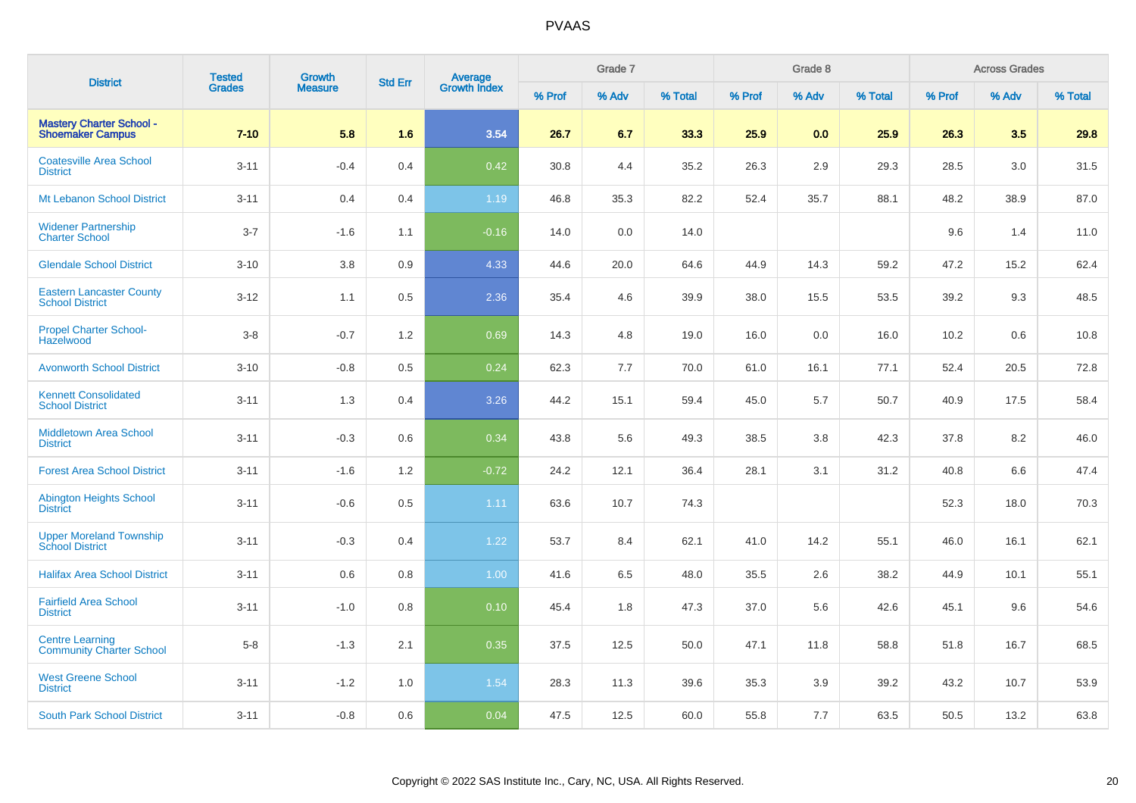|                                                            | <b>Tested</b> | Growth         |                |                                |        | Grade 7 |         |        | Grade 8 |         |        | <b>Across Grades</b> |         |
|------------------------------------------------------------|---------------|----------------|----------------|--------------------------------|--------|---------|---------|--------|---------|---------|--------|----------------------|---------|
| <b>District</b>                                            | <b>Grades</b> | <b>Measure</b> | <b>Std Err</b> | <b>Average</b><br>Growth Index | % Prof | % Adv   | % Total | % Prof | % Adv   | % Total | % Prof | % Adv                | % Total |
| <b>Mastery Charter School -</b><br><b>Shoemaker Campus</b> | $7 - 10$      | 5.8            | 1.6            | 3.54                           | 26.7   | 6.7     | 33.3    | 25.9   | 0.0     | 25.9    | 26.3   | 3.5                  | 29.8    |
| <b>Coatesville Area School</b><br><b>District</b>          | $3 - 11$      | $-0.4$         | 0.4            | 0.42                           | 30.8   | 4.4     | 35.2    | 26.3   | 2.9     | 29.3    | 28.5   | 3.0                  | 31.5    |
| Mt Lebanon School District                                 | $3 - 11$      | 0.4            | 0.4            | 1.19                           | 46.8   | 35.3    | 82.2    | 52.4   | 35.7    | 88.1    | 48.2   | 38.9                 | 87.0    |
| <b>Widener Partnership</b><br><b>Charter School</b>        | $3 - 7$       | $-1.6$         | 1.1            | $-0.16$                        | 14.0   | 0.0     | 14.0    |        |         |         | 9.6    | 1.4                  | 11.0    |
| <b>Glendale School District</b>                            | $3 - 10$      | 3.8            | 0.9            | 4.33                           | 44.6   | 20.0    | 64.6    | 44.9   | 14.3    | 59.2    | 47.2   | 15.2                 | 62.4    |
| <b>Eastern Lancaster County</b><br><b>School District</b>  | $3 - 12$      | 1.1            | 0.5            | 2.36                           | 35.4   | 4.6     | 39.9    | 38.0   | 15.5    | 53.5    | 39.2   | 9.3                  | 48.5    |
| <b>Propel Charter School-</b><br>Hazelwood                 | $3-8$         | $-0.7$         | 1.2            | 0.69                           | 14.3   | 4.8     | 19.0    | 16.0   | 0.0     | 16.0    | 10.2   | 0.6                  | 10.8    |
| <b>Avonworth School District</b>                           | $3 - 10$      | $-0.8$         | 0.5            | 0.24                           | 62.3   | 7.7     | 70.0    | 61.0   | 16.1    | 77.1    | 52.4   | 20.5                 | 72.8    |
| <b>Kennett Consolidated</b><br><b>School District</b>      | $3 - 11$      | 1.3            | 0.4            | 3.26                           | 44.2   | 15.1    | 59.4    | 45.0   | 5.7     | 50.7    | 40.9   | 17.5                 | 58.4    |
| <b>Middletown Area School</b><br><b>District</b>           | $3 - 11$      | $-0.3$         | 0.6            | 0.34                           | 43.8   | 5.6     | 49.3    | 38.5   | 3.8     | 42.3    | 37.8   | 8.2                  | 46.0    |
| <b>Forest Area School District</b>                         | $3 - 11$      | $-1.6$         | 1.2            | $-0.72$                        | 24.2   | 12.1    | 36.4    | 28.1   | 3.1     | 31.2    | 40.8   | 6.6                  | 47.4    |
| <b>Abington Heights School</b><br><b>District</b>          | $3 - 11$      | $-0.6$         | 0.5            | 1.11                           | 63.6   | 10.7    | 74.3    |        |         |         | 52.3   | 18.0                 | 70.3    |
| <b>Upper Moreland Township</b><br><b>School District</b>   | $3 - 11$      | $-0.3$         | 0.4            | 1.22                           | 53.7   | 8.4     | 62.1    | 41.0   | 14.2    | 55.1    | 46.0   | 16.1                 | 62.1    |
| <b>Halifax Area School District</b>                        | $3 - 11$      | 0.6            | 0.8            | 1.00                           | 41.6   | 6.5     | 48.0    | 35.5   | 2.6     | 38.2    | 44.9   | 10.1                 | 55.1    |
| <b>Fairfield Area School</b><br><b>District</b>            | $3 - 11$      | $-1.0$         | 0.8            | 0.10                           | 45.4   | 1.8     | 47.3    | 37.0   | 5.6     | 42.6    | 45.1   | 9.6                  | 54.6    |
| <b>Centre Learning</b><br><b>Community Charter School</b>  | $5-8$         | $-1.3$         | 2.1            | 0.35                           | 37.5   | 12.5    | 50.0    | 47.1   | 11.8    | 58.8    | 51.8   | 16.7                 | 68.5    |
| <b>West Greene School</b><br><b>District</b>               | $3 - 11$      | $-1.2$         | 1.0            | 1.54                           | 28.3   | 11.3    | 39.6    | 35.3   | 3.9     | 39.2    | 43.2   | 10.7                 | 53.9    |
| <b>South Park School District</b>                          | $3 - 11$      | $-0.8$         | 0.6            | 0.04                           | 47.5   | 12.5    | 60.0    | 55.8   | 7.7     | 63.5    | 50.5   | 13.2                 | 63.8    |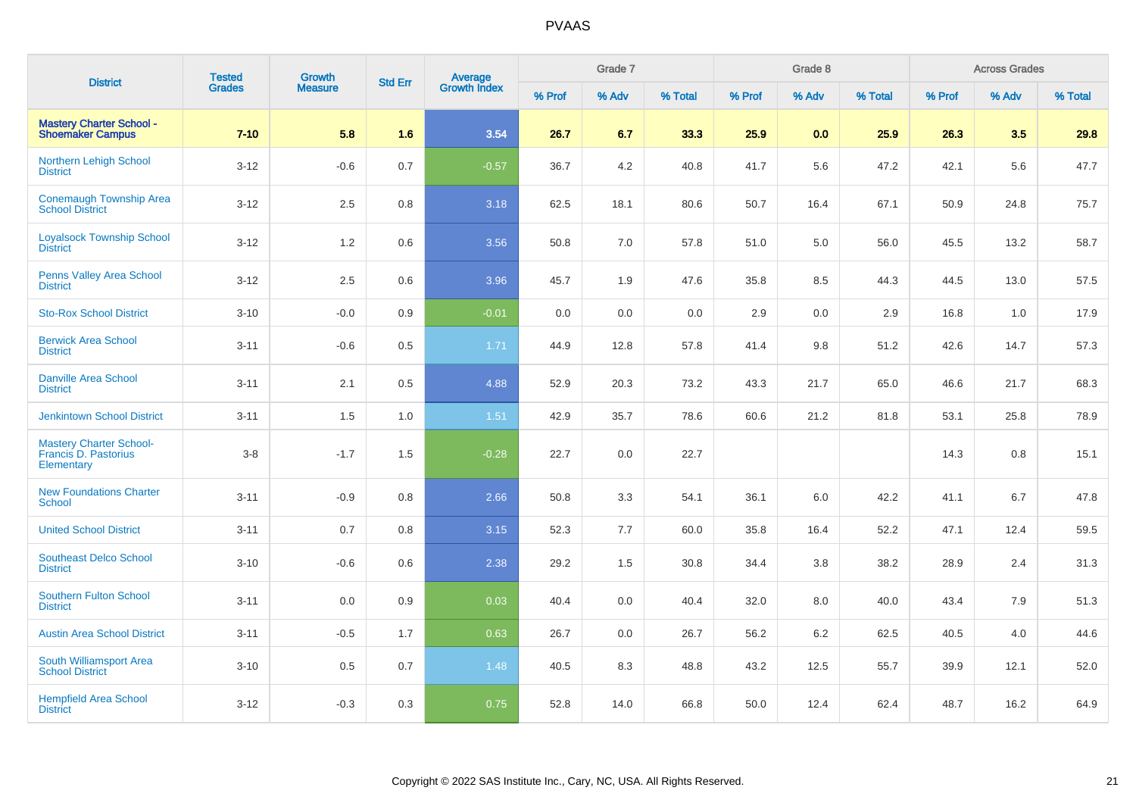| <b>District</b>                                                      | <b>Tested</b> | Growth         | <b>Std Err</b> | <b>Average</b><br>Growth Index |        | Grade 7 |         |        | Grade 8 |         |        | <b>Across Grades</b> |         |
|----------------------------------------------------------------------|---------------|----------------|----------------|--------------------------------|--------|---------|---------|--------|---------|---------|--------|----------------------|---------|
|                                                                      | <b>Grades</b> | <b>Measure</b> |                |                                | % Prof | % Adv   | % Total | % Prof | % Adv   | % Total | % Prof | % Adv                | % Total |
| <b>Mastery Charter School -</b><br><b>Shoemaker Campus</b>           | $7 - 10$      | 5.8            | 1.6            | 3.54                           | 26.7   | 6.7     | 33.3    | 25.9   | 0.0     | 25.9    | 26.3   | 3.5                  | 29.8    |
| Northern Lehigh School<br><b>District</b>                            | $3 - 12$      | $-0.6$         | 0.7            | $-0.57$                        | 36.7   | 4.2     | 40.8    | 41.7   | 5.6     | 47.2    | 42.1   | 5.6                  | 47.7    |
| <b>Conemaugh Township Area</b><br><b>School District</b>             | $3 - 12$      | 2.5            | 0.8            | 3.18                           | 62.5   | 18.1    | 80.6    | 50.7   | 16.4    | 67.1    | 50.9   | 24.8                 | 75.7    |
| <b>Loyalsock Township School</b><br><b>District</b>                  | $3 - 12$      | 1.2            | 0.6            | 3.56                           | 50.8   | 7.0     | 57.8    | 51.0   | 5.0     | 56.0    | 45.5   | 13.2                 | 58.7    |
| <b>Penns Valley Area School</b><br><b>District</b>                   | $3 - 12$      | 2.5            | 0.6            | 3.96                           | 45.7   | 1.9     | 47.6    | 35.8   | 8.5     | 44.3    | 44.5   | 13.0                 | 57.5    |
| <b>Sto-Rox School District</b>                                       | $3 - 10$      | $-0.0$         | 0.9            | $-0.01$                        | 0.0    | 0.0     | 0.0     | 2.9    | 0.0     | 2.9     | 16.8   | 1.0                  | 17.9    |
| <b>Berwick Area School</b><br><b>District</b>                        | $3 - 11$      | $-0.6$         | 0.5            | 1.71                           | 44.9   | 12.8    | 57.8    | 41.4   | 9.8     | 51.2    | 42.6   | 14.7                 | 57.3    |
| <b>Danville Area School</b><br><b>District</b>                       | $3 - 11$      | 2.1            | 0.5            | 4.88                           | 52.9   | 20.3    | 73.2    | 43.3   | 21.7    | 65.0    | 46.6   | 21.7                 | 68.3    |
| <b>Jenkintown School District</b>                                    | $3 - 11$      | 1.5            | 1.0            | 1.51                           | 42.9   | 35.7    | 78.6    | 60.6   | 21.2    | 81.8    | 53.1   | 25.8                 | 78.9    |
| <b>Mastery Charter School-</b><br>Francis D. Pastorius<br>Elementary | $3-8$         | $-1.7$         | 1.5            | $-0.28$                        | 22.7   | 0.0     | 22.7    |        |         |         | 14.3   | 0.8                  | 15.1    |
| <b>New Foundations Charter</b><br>School                             | $3 - 11$      | $-0.9$         | 0.8            | 2.66                           | 50.8   | 3.3     | 54.1    | 36.1   | 6.0     | 42.2    | 41.1   | 6.7                  | 47.8    |
| <b>United School District</b>                                        | $3 - 11$      | 0.7            | 0.8            | 3.15                           | 52.3   | 7.7     | 60.0    | 35.8   | 16.4    | 52.2    | 47.1   | 12.4                 | 59.5    |
| <b>Southeast Delco School</b><br><b>District</b>                     | $3 - 10$      | $-0.6$         | 0.6            | 2.38                           | 29.2   | 1.5     | 30.8    | 34.4   | 3.8     | 38.2    | 28.9   | 2.4                  | 31.3    |
| <b>Southern Fulton School</b><br><b>District</b>                     | $3 - 11$      | 0.0            | 0.9            | 0.03                           | 40.4   | 0.0     | 40.4    | 32.0   | 8.0     | 40.0    | 43.4   | 7.9                  | 51.3    |
| <b>Austin Area School District</b>                                   | $3 - 11$      | $-0.5$         | 1.7            | 0.63                           | 26.7   | 0.0     | 26.7    | 56.2   | 6.2     | 62.5    | 40.5   | 4.0                  | 44.6    |
| South Williamsport Area<br><b>School District</b>                    | $3 - 10$      | 0.5            | 0.7            | 1.48                           | 40.5   | 8.3     | 48.8    | 43.2   | 12.5    | 55.7    | 39.9   | 12.1                 | 52.0    |
| <b>Hempfield Area School</b><br><b>District</b>                      | $3 - 12$      | $-0.3$         | 0.3            | 0.75                           | 52.8   | 14.0    | 66.8    | 50.0   | 12.4    | 62.4    | 48.7   | 16.2                 | 64.9    |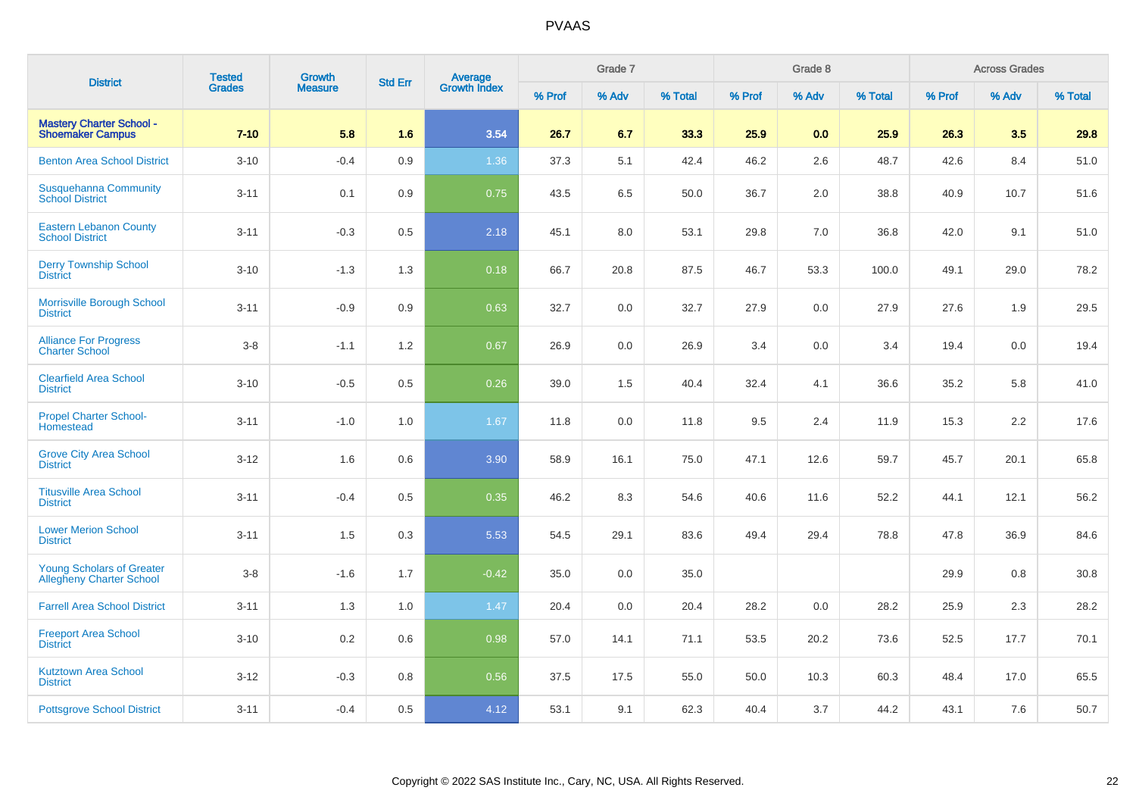| <b>District</b>                                                     | <b>Tested</b> | Growth         | <b>Std Err</b> | <b>Average</b><br>Growth Index |        | Grade 7 |         |        | Grade 8 |         |        | <b>Across Grades</b> |         |
|---------------------------------------------------------------------|---------------|----------------|----------------|--------------------------------|--------|---------|---------|--------|---------|---------|--------|----------------------|---------|
|                                                                     | <b>Grades</b> | <b>Measure</b> |                |                                | % Prof | % Adv   | % Total | % Prof | % Adv   | % Total | % Prof | % Adv                | % Total |
| <b>Mastery Charter School -</b><br><b>Shoemaker Campus</b>          | $7 - 10$      | 5.8            | 1.6            | 3.54                           | 26.7   | 6.7     | 33.3    | 25.9   | 0.0     | 25.9    | 26.3   | 3.5                  | 29.8    |
| <b>Benton Area School District</b>                                  | $3 - 10$      | $-0.4$         | 0.9            | 1.36                           | 37.3   | 5.1     | 42.4    | 46.2   | 2.6     | 48.7    | 42.6   | 8.4                  | 51.0    |
| <b>Susquehanna Community</b><br><b>School District</b>              | $3 - 11$      | 0.1            | 0.9            | 0.75                           | 43.5   | 6.5     | 50.0    | 36.7   | 2.0     | 38.8    | 40.9   | 10.7                 | 51.6    |
| <b>Eastern Lebanon County</b><br><b>School District</b>             | $3 - 11$      | $-0.3$         | 0.5            | 2.18                           | 45.1   | 8.0     | 53.1    | 29.8   | 7.0     | 36.8    | 42.0   | 9.1                  | 51.0    |
| <b>Derry Township School</b><br><b>District</b>                     | $3 - 10$      | $-1.3$         | 1.3            | 0.18                           | 66.7   | 20.8    | 87.5    | 46.7   | 53.3    | 100.0   | 49.1   | 29.0                 | 78.2    |
| Morrisville Borough School<br><b>District</b>                       | $3 - 11$      | $-0.9$         | 0.9            | 0.63                           | 32.7   | 0.0     | 32.7    | 27.9   | 0.0     | 27.9    | 27.6   | 1.9                  | 29.5    |
| <b>Alliance For Progress</b><br><b>Charter School</b>               | $3-8$         | $-1.1$         | 1.2            | 0.67                           | 26.9   | 0.0     | 26.9    | 3.4    | 0.0     | 3.4     | 19.4   | 0.0                  | 19.4    |
| <b>Clearfield Area School</b><br><b>District</b>                    | $3 - 10$      | $-0.5$         | 0.5            | 0.26                           | 39.0   | 1.5     | 40.4    | 32.4   | 4.1     | 36.6    | 35.2   | 5.8                  | 41.0    |
| <b>Propel Charter School-</b><br>Homestead                          | $3 - 11$      | $-1.0$         | 1.0            | 1.67                           | 11.8   | 0.0     | 11.8    | 9.5    | 2.4     | 11.9    | 15.3   | 2.2                  | 17.6    |
| <b>Grove City Area School</b><br><b>District</b>                    | $3 - 12$      | 1.6            | 0.6            | 3.90                           | 58.9   | 16.1    | 75.0    | 47.1   | 12.6    | 59.7    | 45.7   | 20.1                 | 65.8    |
| <b>Titusville Area School</b><br><b>District</b>                    | $3 - 11$      | $-0.4$         | 0.5            | 0.35                           | 46.2   | 8.3     | 54.6    | 40.6   | 11.6    | 52.2    | 44.1   | 12.1                 | 56.2    |
| <b>Lower Merion School</b><br><b>District</b>                       | $3 - 11$      | 1.5            | 0.3            | 5.53                           | 54.5   | 29.1    | 83.6    | 49.4   | 29.4    | 78.8    | 47.8   | 36.9                 | 84.6    |
| <b>Young Scholars of Greater</b><br><b>Allegheny Charter School</b> | $3-8$         | $-1.6$         | 1.7            | $-0.42$                        | 35.0   | 0.0     | 35.0    |        |         |         | 29.9   | 0.8                  | 30.8    |
| <b>Farrell Area School District</b>                                 | $3 - 11$      | 1.3            | 1.0            | 1.47                           | 20.4   | 0.0     | 20.4    | 28.2   | 0.0     | 28.2    | 25.9   | 2.3                  | 28.2    |
| <b>Freeport Area School</b><br><b>District</b>                      | $3 - 10$      | 0.2            | 0.6            | 0.98                           | 57.0   | 14.1    | 71.1    | 53.5   | 20.2    | 73.6    | 52.5   | 17.7                 | 70.1    |
| <b>Kutztown Area School</b><br><b>District</b>                      | $3-12$        | $-0.3$         | 0.8            | 0.56                           | 37.5   | 17.5    | 55.0    | 50.0   | 10.3    | 60.3    | 48.4   | 17.0                 | 65.5    |
| <b>Pottsgrove School District</b>                                   | $3 - 11$      | $-0.4$         | 0.5            | 4.12                           | 53.1   | 9.1     | 62.3    | 40.4   | 3.7     | 44.2    | 43.1   | 7.6                  | 50.7    |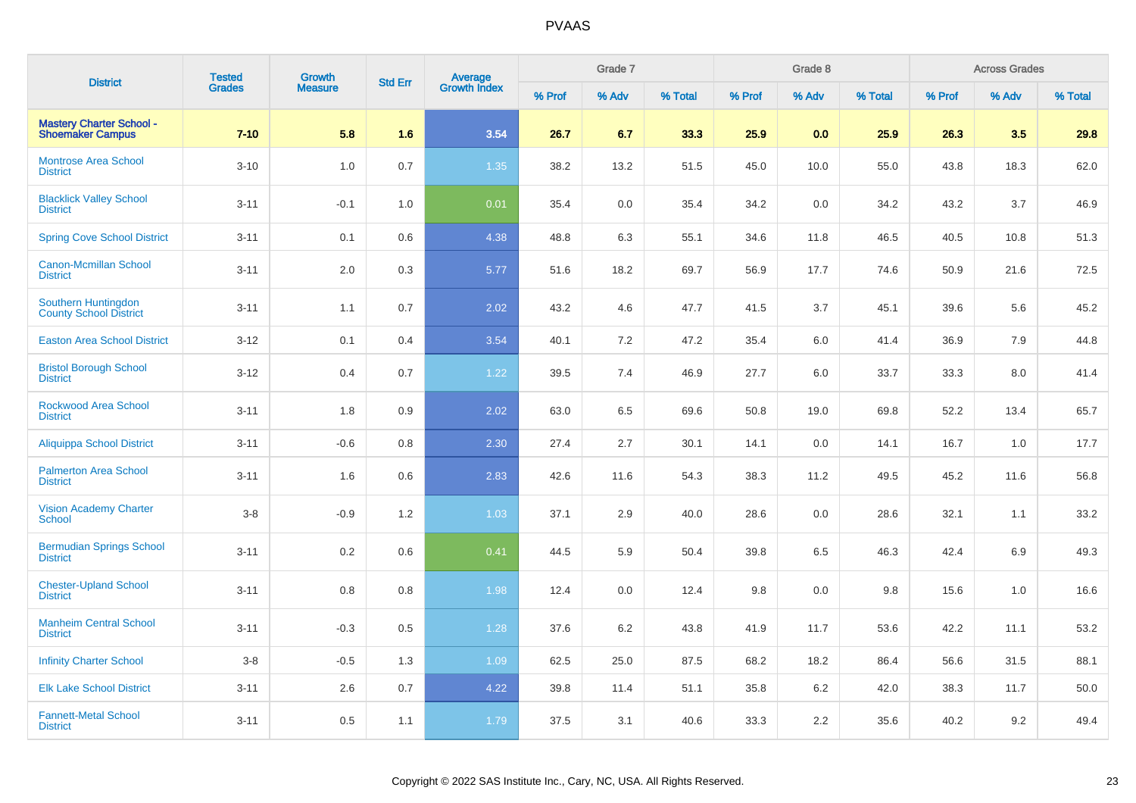| <b>District</b>                                            | <b>Tested</b> | <b>Growth</b>  | <b>Std Err</b> | Average<br>Growth Index |        | Grade 7 |         |        | Grade 8 |         |        | <b>Across Grades</b> |         |
|------------------------------------------------------------|---------------|----------------|----------------|-------------------------|--------|---------|---------|--------|---------|---------|--------|----------------------|---------|
|                                                            | <b>Grades</b> | <b>Measure</b> |                |                         | % Prof | % Adv   | % Total | % Prof | % Adv   | % Total | % Prof | % Adv                | % Total |
| <b>Mastery Charter School -</b><br><b>Shoemaker Campus</b> | $7 - 10$      | 5.8            | 1.6            | 3.54                    | 26.7   | 6.7     | 33.3    | 25.9   | 0.0     | 25.9    | 26.3   | 3.5                  | 29.8    |
| Montrose Area School<br><b>District</b>                    | $3 - 10$      | 1.0            | 0.7            | 1.35                    | 38.2   | 13.2    | 51.5    | 45.0   | 10.0    | 55.0    | 43.8   | 18.3                 | 62.0    |
| <b>Blacklick Valley School</b><br><b>District</b>          | $3 - 11$      | $-0.1$         | 1.0            | 0.01                    | 35.4   | 0.0     | 35.4    | 34.2   | 0.0     | 34.2    | 43.2   | 3.7                  | 46.9    |
| <b>Spring Cove School District</b>                         | $3 - 11$      | 0.1            | 0.6            | 4.38                    | 48.8   | 6.3     | 55.1    | 34.6   | 11.8    | 46.5    | 40.5   | 10.8                 | 51.3    |
| <b>Canon-Mcmillan School</b><br><b>District</b>            | $3 - 11$      | 2.0            | 0.3            | 5.77                    | 51.6   | 18.2    | 69.7    | 56.9   | 17.7    | 74.6    | 50.9   | 21.6                 | 72.5    |
| Southern Huntingdon<br><b>County School District</b>       | $3 - 11$      | 1.1            | 0.7            | 2.02                    | 43.2   | 4.6     | 47.7    | 41.5   | 3.7     | 45.1    | 39.6   | 5.6                  | 45.2    |
| <b>Easton Area School District</b>                         | $3 - 12$      | 0.1            | 0.4            | 3.54                    | 40.1   | 7.2     | 47.2    | 35.4   | 6.0     | 41.4    | 36.9   | 7.9                  | 44.8    |
| <b>Bristol Borough School</b><br><b>District</b>           | $3 - 12$      | 0.4            | 0.7            | 1.22                    | 39.5   | 7.4     | 46.9    | 27.7   | 6.0     | 33.7    | 33.3   | 8.0                  | 41.4    |
| <b>Rockwood Area School</b><br><b>District</b>             | $3 - 11$      | 1.8            | 0.9            | 2.02                    | 63.0   | 6.5     | 69.6    | 50.8   | 19.0    | 69.8    | 52.2   | 13.4                 | 65.7    |
| <b>Aliquippa School District</b>                           | $3 - 11$      | $-0.6$         | 0.8            | 2.30                    | 27.4   | 2.7     | 30.1    | 14.1   | 0.0     | 14.1    | 16.7   | 1.0                  | 17.7    |
| <b>Palmerton Area School</b><br><b>District</b>            | $3 - 11$      | 1.6            | 0.6            | 2.83                    | 42.6   | 11.6    | 54.3    | 38.3   | 11.2    | 49.5    | 45.2   | 11.6                 | 56.8    |
| <b>Vision Academy Charter</b><br><b>School</b>             | $3 - 8$       | $-0.9$         | 1.2            | 1.03                    | 37.1   | 2.9     | 40.0    | 28.6   | 0.0     | 28.6    | 32.1   | 1.1                  | 33.2    |
| <b>Bermudian Springs School</b><br><b>District</b>         | $3 - 11$      | 0.2            | 0.6            | 0.41                    | 44.5   | 5.9     | 50.4    | 39.8   | 6.5     | 46.3    | 42.4   | 6.9                  | 49.3    |
| <b>Chester-Upland School</b><br><b>District</b>            | $3 - 11$      | 0.8            | 0.8            | 1.98                    | 12.4   | 0.0     | 12.4    | 9.8    | 0.0     | 9.8     | 15.6   | 1.0                  | 16.6    |
| <b>Manheim Central School</b><br><b>District</b>           | $3 - 11$      | $-0.3$         | 0.5            | 1.28                    | 37.6   | 6.2     | 43.8    | 41.9   | 11.7    | 53.6    | 42.2   | 11.1                 | 53.2    |
| <b>Infinity Charter School</b>                             | $3-8$         | $-0.5$         | 1.3            | 1.09                    | 62.5   | 25.0    | 87.5    | 68.2   | 18.2    | 86.4    | 56.6   | 31.5                 | 88.1    |
| <b>Elk Lake School District</b>                            | $3 - 11$      | 2.6            | 0.7            | 4.22                    | 39.8   | 11.4    | 51.1    | 35.8   | 6.2     | 42.0    | 38.3   | 11.7                 | 50.0    |
| <b>Fannett-Metal School</b><br><b>District</b>             | $3 - 11$      | 0.5            | 1.1            | 1.79                    | 37.5   | 3.1     | 40.6    | 33.3   | 2.2     | 35.6    | 40.2   | 9.2                  | 49.4    |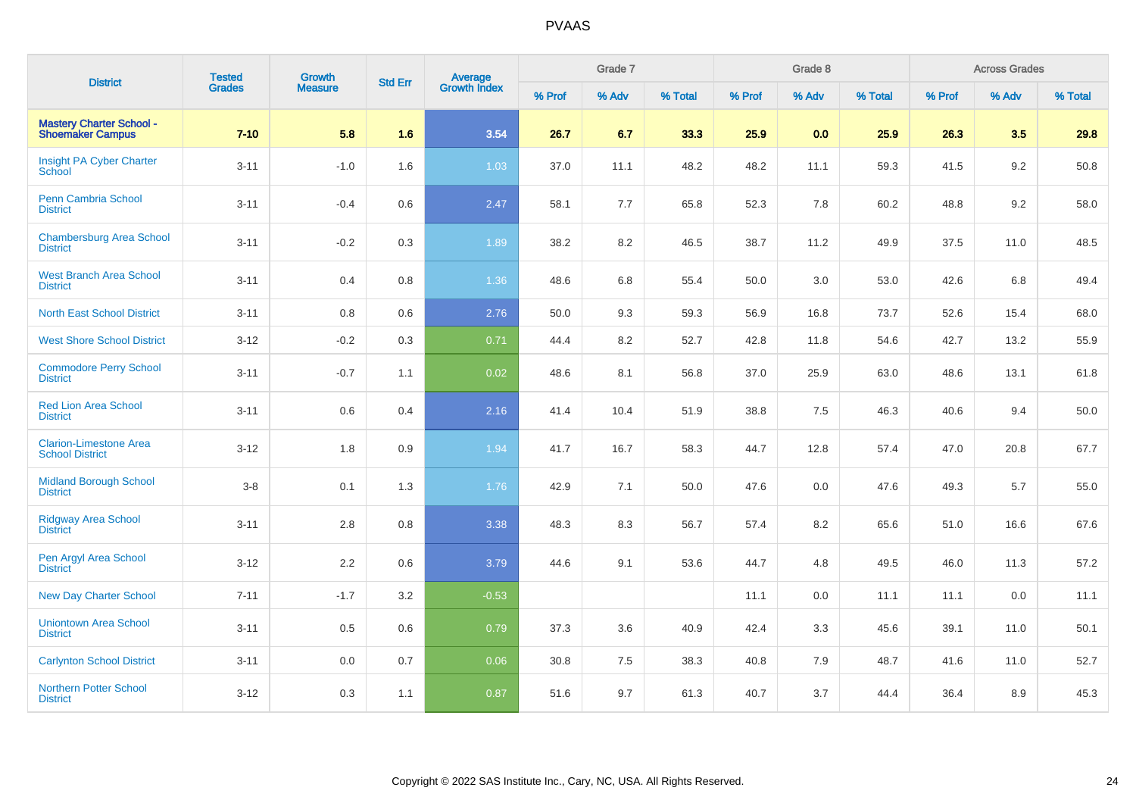| <b>District</b>                                            | <b>Tested</b> | <b>Growth</b>  | <b>Std Err</b> |                                |        | Grade 7 |         |        | Grade 8 |         |        | <b>Across Grades</b> |         |
|------------------------------------------------------------|---------------|----------------|----------------|--------------------------------|--------|---------|---------|--------|---------|---------|--------|----------------------|---------|
|                                                            | <b>Grades</b> | <b>Measure</b> |                | <b>Average</b><br>Growth Index | % Prof | % Adv   | % Total | % Prof | % Adv   | % Total | % Prof | % Adv                | % Total |
| <b>Mastery Charter School -</b><br><b>Shoemaker Campus</b> | $7 - 10$      | 5.8            | 1.6            | 3.54                           | 26.7   | 6.7     | 33.3    | 25.9   | 0.0     | 25.9    | 26.3   | 3.5                  | 29.8    |
| Insight PA Cyber Charter<br>School                         | $3 - 11$      | $-1.0$         | 1.6            | 1.03                           | 37.0   | 11.1    | 48.2    | 48.2   | 11.1    | 59.3    | 41.5   | 9.2                  | 50.8    |
| Penn Cambria School<br><b>District</b>                     | $3 - 11$      | $-0.4$         | 0.6            | 2.47                           | 58.1   | 7.7     | 65.8    | 52.3   | 7.8     | 60.2    | 48.8   | 9.2                  | 58.0    |
| <b>Chambersburg Area School</b><br><b>District</b>         | $3 - 11$      | $-0.2$         | 0.3            | 1.89                           | 38.2   | 8.2     | 46.5    | 38.7   | 11.2    | 49.9    | 37.5   | 11.0                 | 48.5    |
| <b>West Branch Area School</b><br><b>District</b>          | $3 - 11$      | 0.4            | 0.8            | 1.36                           | 48.6   | 6.8     | 55.4    | 50.0   | 3.0     | 53.0    | 42.6   | 6.8                  | 49.4    |
| <b>North East School District</b>                          | $3 - 11$      | 0.8            | 0.6            | 2.76                           | 50.0   | 9.3     | 59.3    | 56.9   | 16.8    | 73.7    | 52.6   | 15.4                 | 68.0    |
| <b>West Shore School District</b>                          | $3-12$        | $-0.2$         | 0.3            | 0.71                           | 44.4   | 8.2     | 52.7    | 42.8   | 11.8    | 54.6    | 42.7   | 13.2                 | 55.9    |
| <b>Commodore Perry School</b><br><b>District</b>           | $3 - 11$      | $-0.7$         | 1.1            | 0.02                           | 48.6   | 8.1     | 56.8    | 37.0   | 25.9    | 63.0    | 48.6   | 13.1                 | 61.8    |
| <b>Red Lion Area School</b><br><b>District</b>             | $3 - 11$      | 0.6            | 0.4            | 2.16                           | 41.4   | 10.4    | 51.9    | 38.8   | 7.5     | 46.3    | 40.6   | 9.4                  | 50.0    |
| <b>Clarion-Limestone Area</b><br><b>School District</b>    | $3 - 12$      | 1.8            | 0.9            | 1.94                           | 41.7   | 16.7    | 58.3    | 44.7   | 12.8    | 57.4    | 47.0   | 20.8                 | 67.7    |
| <b>Midland Borough School</b><br><b>District</b>           | $3-8$         | 0.1            | 1.3            | 1.76                           | 42.9   | 7.1     | 50.0    | 47.6   | $0.0\,$ | 47.6    | 49.3   | 5.7                  | 55.0    |
| <b>Ridgway Area School</b><br><b>District</b>              | $3 - 11$      | 2.8            | 0.8            | 3.38                           | 48.3   | 8.3     | 56.7    | 57.4   | 8.2     | 65.6    | 51.0   | 16.6                 | 67.6    |
| Pen Argyl Area School<br><b>District</b>                   | $3 - 12$      | 2.2            | 0.6            | 3.79                           | 44.6   | 9.1     | 53.6    | 44.7   | 4.8     | 49.5    | 46.0   | 11.3                 | 57.2    |
| <b>New Day Charter School</b>                              | $7 - 11$      | $-1.7$         | 3.2            | $-0.53$                        |        |         |         | 11.1   | 0.0     | 11.1    | 11.1   | 0.0                  | 11.1    |
| <b>Uniontown Area School</b><br><b>District</b>            | $3 - 11$      | 0.5            | 0.6            | 0.79                           | 37.3   | 3.6     | 40.9    | 42.4   | 3.3     | 45.6    | 39.1   | 11.0                 | 50.1    |
| <b>Carlynton School District</b>                           | $3 - 11$      | $0.0\,$        | 0.7            | 0.06                           | 30.8   | 7.5     | 38.3    | 40.8   | 7.9     | 48.7    | 41.6   | 11.0                 | 52.7    |
| <b>Northern Potter School</b><br><b>District</b>           | $3 - 12$      | 0.3            | 1.1            | 0.87                           | 51.6   | 9.7     | 61.3    | 40.7   | 3.7     | 44.4    | 36.4   | 8.9                  | 45.3    |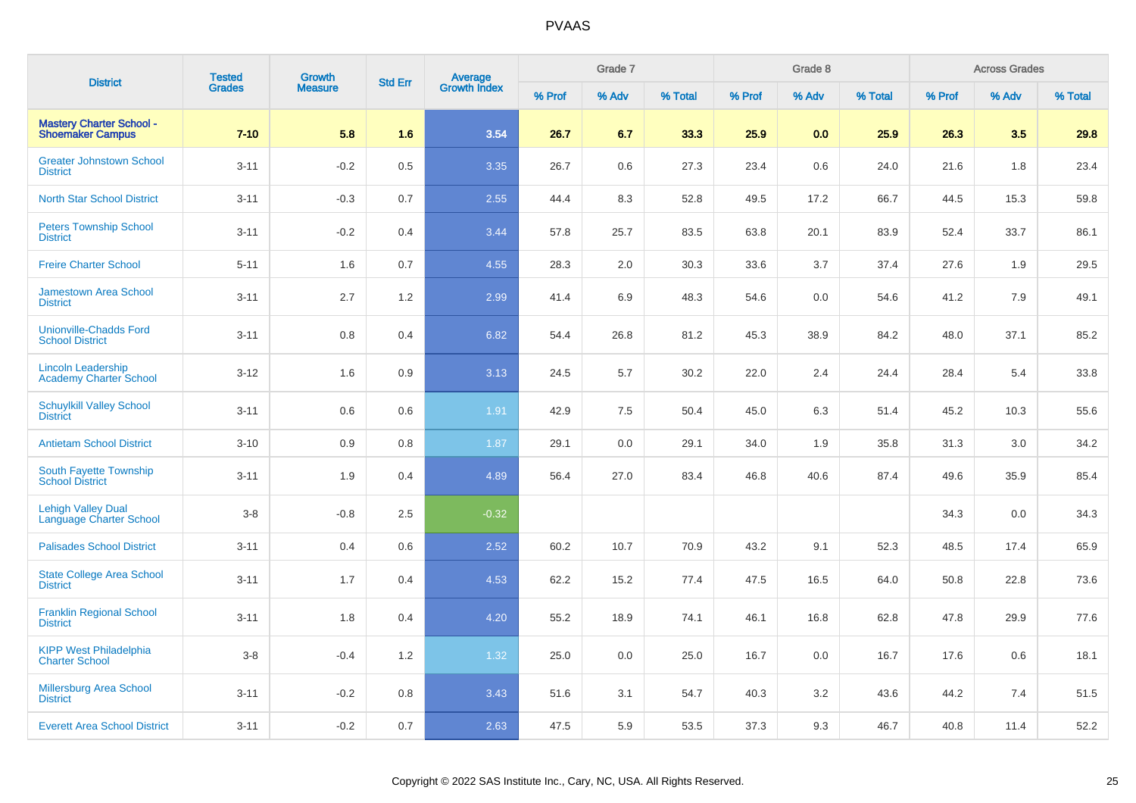| <b>District</b>                                            | <b>Tested</b> | Growth         | <b>Std Err</b> | <b>Average</b><br>Growth Index |        | Grade 7 |         |        | Grade 8 |         |        | <b>Across Grades</b> |         |
|------------------------------------------------------------|---------------|----------------|----------------|--------------------------------|--------|---------|---------|--------|---------|---------|--------|----------------------|---------|
|                                                            | <b>Grades</b> | <b>Measure</b> |                |                                | % Prof | % Adv   | % Total | % Prof | % Adv   | % Total | % Prof | % Adv                | % Total |
| <b>Mastery Charter School -</b><br><b>Shoemaker Campus</b> | $7 - 10$      | 5.8            | 1.6            | 3.54                           | 26.7   | 6.7     | 33.3    | 25.9   | 0.0     | 25.9    | 26.3   | 3.5                  | 29.8    |
| <b>Greater Johnstown School</b><br><b>District</b>         | $3 - 11$      | $-0.2$         | 0.5            | 3.35                           | 26.7   | 0.6     | 27.3    | 23.4   | 0.6     | 24.0    | 21.6   | 1.8                  | 23.4    |
| <b>North Star School District</b>                          | $3 - 11$      | $-0.3$         | 0.7            | 2.55                           | 44.4   | 8.3     | 52.8    | 49.5   | 17.2    | 66.7    | 44.5   | 15.3                 | 59.8    |
| <b>Peters Township School</b><br><b>District</b>           | $3 - 11$      | $-0.2$         | 0.4            | 3.44                           | 57.8   | 25.7    | 83.5    | 63.8   | 20.1    | 83.9    | 52.4   | 33.7                 | 86.1    |
| <b>Freire Charter School</b>                               | $5 - 11$      | 1.6            | 0.7            | 4.55                           | 28.3   | 2.0     | 30.3    | 33.6   | 3.7     | 37.4    | 27.6   | 1.9                  | 29.5    |
| <b>Jamestown Area School</b><br><b>District</b>            | $3 - 11$      | 2.7            | 1.2            | 2.99                           | 41.4   | 6.9     | 48.3    | 54.6   | 0.0     | 54.6    | 41.2   | 7.9                  | 49.1    |
| <b>Unionville-Chadds Ford</b><br><b>School District</b>    | $3 - 11$      | 0.8            | 0.4            | 6.82                           | 54.4   | 26.8    | 81.2    | 45.3   | 38.9    | 84.2    | 48.0   | 37.1                 | 85.2    |
| <b>Lincoln Leadership</b><br><b>Academy Charter School</b> | $3-12$        | 1.6            | 0.9            | 3.13                           | 24.5   | 5.7     | 30.2    | 22.0   | 2.4     | 24.4    | 28.4   | 5.4                  | 33.8    |
| <b>Schuylkill Valley School</b><br><b>District</b>         | $3 - 11$      | 0.6            | 0.6            | 1.91                           | 42.9   | $7.5\,$ | 50.4    | 45.0   | 6.3     | 51.4    | 45.2   | 10.3                 | 55.6    |
| <b>Antietam School District</b>                            | $3 - 10$      | 0.9            | 0.8            | 1.87                           | 29.1   | 0.0     | 29.1    | 34.0   | 1.9     | 35.8    | 31.3   | 3.0                  | 34.2    |
| South Fayette Township<br><b>School District</b>           | $3 - 11$      | 1.9            | 0.4            | 4.89                           | 56.4   | 27.0    | 83.4    | 46.8   | 40.6    | 87.4    | 49.6   | 35.9                 | 85.4    |
| <b>Lehigh Valley Dual</b><br>Language Charter School       | $3-8$         | $-0.8$         | 2.5            | $-0.32$                        |        |         |         |        |         |         | 34.3   | 0.0                  | 34.3    |
| <b>Palisades School District</b>                           | $3 - 11$      | 0.4            | 0.6            | 2.52                           | 60.2   | 10.7    | 70.9    | 43.2   | 9.1     | 52.3    | 48.5   | 17.4                 | 65.9    |
| <b>State College Area School</b><br><b>District</b>        | $3 - 11$      | 1.7            | 0.4            | 4.53                           | 62.2   | 15.2    | 77.4    | 47.5   | 16.5    | 64.0    | 50.8   | 22.8                 | 73.6    |
| <b>Franklin Regional School</b><br><b>District</b>         | $3 - 11$      | 1.8            | 0.4            | 4.20                           | 55.2   | 18.9    | 74.1    | 46.1   | 16.8    | 62.8    | 47.8   | 29.9                 | 77.6    |
| <b>KIPP West Philadelphia</b><br><b>Charter School</b>     | $3-8$         | $-0.4$         | 1.2            | 1.32                           | 25.0   | 0.0     | 25.0    | 16.7   | 0.0     | 16.7    | 17.6   | 0.6                  | 18.1    |
| <b>Millersburg Area School</b><br><b>District</b>          | $3 - 11$      | $-0.2$         | 0.8            | 3.43                           | 51.6   | 3.1     | 54.7    | 40.3   | 3.2     | 43.6    | 44.2   | 7.4                  | 51.5    |
| <b>Everett Area School District</b>                        | $3 - 11$      | $-0.2$         | 0.7            | 2.63                           | 47.5   | 5.9     | 53.5    | 37.3   | 9.3     | 46.7    | 40.8   | 11.4                 | 52.2    |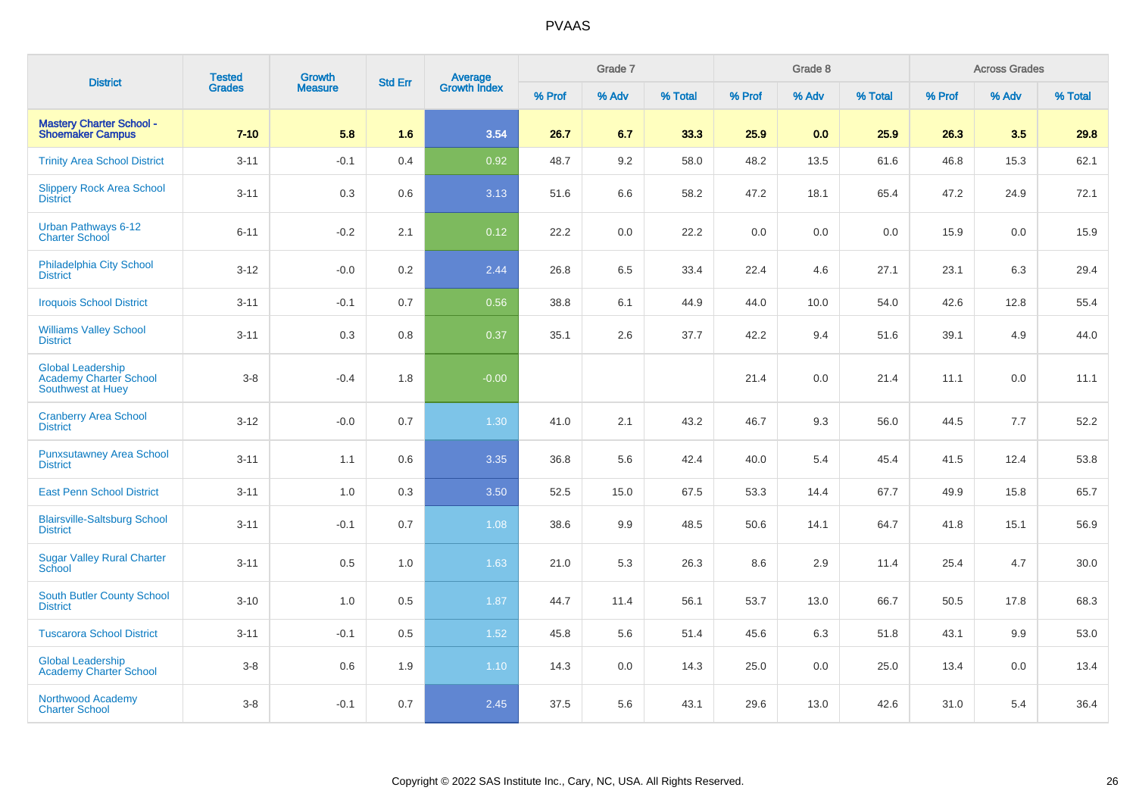| <b>District</b>                                                         | <b>Tested</b> | Growth         | <b>Std Err</b> | <b>Average</b><br>Growth Index |        | Grade 7 |         |         | Grade 8 |         |        | <b>Across Grades</b> |         |
|-------------------------------------------------------------------------|---------------|----------------|----------------|--------------------------------|--------|---------|---------|---------|---------|---------|--------|----------------------|---------|
|                                                                         | <b>Grades</b> | <b>Measure</b> |                |                                | % Prof | % Adv   | % Total | % Prof  | % Adv   | % Total | % Prof | % Adv                | % Total |
| <b>Mastery Charter School -</b><br><b>Shoemaker Campus</b>              | $7 - 10$      | 5.8            | 1.6            | 3.54                           | 26.7   | 6.7     | 33.3    | 25.9    | 0.0     | 25.9    | 26.3   | 3.5                  | 29.8    |
| <b>Trinity Area School District</b>                                     | $3 - 11$      | $-0.1$         | 0.4            | 0.92                           | 48.7   | 9.2     | 58.0    | 48.2    | 13.5    | 61.6    | 46.8   | 15.3                 | 62.1    |
| <b>Slippery Rock Area School</b><br><b>District</b>                     | $3 - 11$      | 0.3            | 0.6            | 3.13                           | 51.6   | 6.6     | 58.2    | 47.2    | 18.1    | 65.4    | 47.2   | 24.9                 | 72.1    |
| Urban Pathways 6-12<br><b>Charter School</b>                            | $6 - 11$      | $-0.2$         | 2.1            | 0.12                           | 22.2   | 0.0     | 22.2    | $0.0\,$ | 0.0     | 0.0     | 15.9   | 0.0                  | 15.9    |
| <b>Philadelphia City School</b><br><b>District</b>                      | $3 - 12$      | $-0.0$         | $0.2\,$        | 2.44                           | 26.8   | 6.5     | 33.4    | 22.4    | 4.6     | 27.1    | 23.1   | 6.3                  | 29.4    |
| <b>Iroquois School District</b>                                         | $3 - 11$      | $-0.1$         | 0.7            | 0.56                           | 38.8   | 6.1     | 44.9    | 44.0    | 10.0    | 54.0    | 42.6   | 12.8                 | 55.4    |
| <b>Williams Valley School</b><br><b>District</b>                        | $3 - 11$      | 0.3            | 0.8            | 0.37                           | 35.1   | 2.6     | 37.7    | 42.2    | 9.4     | 51.6    | 39.1   | 4.9                  | 44.0    |
| <b>Global Leadership</b><br>Academy Charter School<br>Southwest at Huey | $3-8$         | $-0.4$         | 1.8            | $-0.00$                        |        |         |         | 21.4    | 0.0     | 21.4    | 11.1   | 0.0                  | 11.1    |
| <b>Cranberry Area School</b><br><b>District</b>                         | $3 - 12$      | $-0.0$         | 0.7            | 1.30                           | 41.0   | 2.1     | 43.2    | 46.7    | 9.3     | 56.0    | 44.5   | 7.7                  | 52.2    |
| <b>Punxsutawney Area School</b><br><b>District</b>                      | $3 - 11$      | 1.1            | 0.6            | 3.35                           | 36.8   | 5.6     | 42.4    | 40.0    | 5.4     | 45.4    | 41.5   | 12.4                 | 53.8    |
| <b>East Penn School District</b>                                        | $3 - 11$      | 1.0            | 0.3            | 3.50                           | 52.5   | 15.0    | 67.5    | 53.3    | 14.4    | 67.7    | 49.9   | 15.8                 | 65.7    |
| <b>Blairsville-Saltsburg School</b><br><b>District</b>                  | $3 - 11$      | $-0.1$         | 0.7            | 1.08                           | 38.6   | 9.9     | 48.5    | 50.6    | 14.1    | 64.7    | 41.8   | 15.1                 | 56.9    |
| <b>Sugar Valley Rural Charter</b><br><b>School</b>                      | $3 - 11$      | 0.5            | 1.0            | 1.63                           | 21.0   | 5.3     | 26.3    | 8.6     | 2.9     | 11.4    | 25.4   | 4.7                  | 30.0    |
| South Butler County School<br><b>District</b>                           | $3 - 10$      | 1.0            | 0.5            | 1.87                           | 44.7   | 11.4    | 56.1    | 53.7    | 13.0    | 66.7    | 50.5   | 17.8                 | 68.3    |
| <b>Tuscarora School District</b>                                        | $3 - 11$      | $-0.1$         | 0.5            | 1.52                           | 45.8   | 5.6     | 51.4    | 45.6    | 6.3     | 51.8    | 43.1   | 9.9                  | 53.0    |
| <b>Global Leadership</b><br><b>Academy Charter School</b>               | $3-8$         | 0.6            | 1.9            | 1.10                           | 14.3   | 0.0     | 14.3    | 25.0    | 0.0     | 25.0    | 13.4   | 0.0                  | 13.4    |
| Northwood Academy<br><b>Charter School</b>                              | $3-8$         | $-0.1$         | 0.7            | 2.45                           | 37.5   | 5.6     | 43.1    | 29.6    | 13.0    | 42.6    | 31.0   | 5.4                  | 36.4    |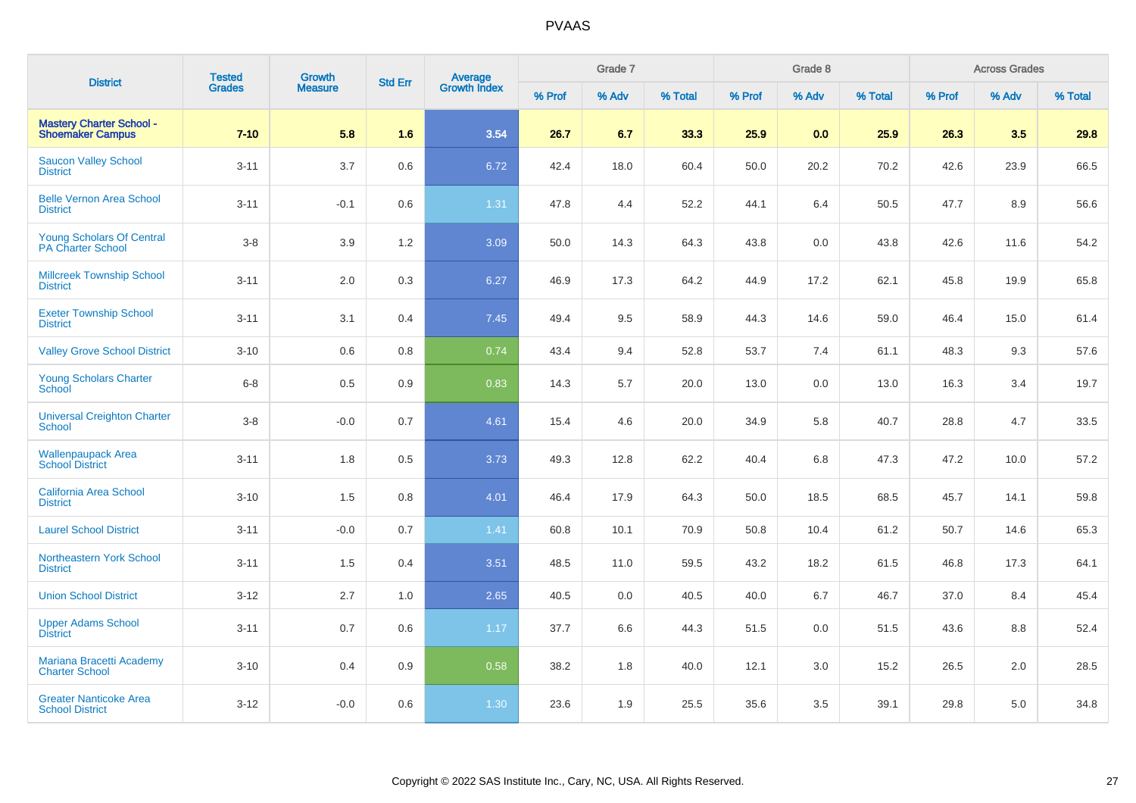| <b>District</b>                                            | <b>Tested</b> | Growth         | <b>Std Err</b> |                                |        | Grade 7 |         |        | Grade 8 |         |        | <b>Across Grades</b> |         |
|------------------------------------------------------------|---------------|----------------|----------------|--------------------------------|--------|---------|---------|--------|---------|---------|--------|----------------------|---------|
|                                                            | <b>Grades</b> | <b>Measure</b> |                | <b>Average</b><br>Growth Index | % Prof | % Adv   | % Total | % Prof | % Adv   | % Total | % Prof | % Adv                | % Total |
| <b>Mastery Charter School -</b><br><b>Shoemaker Campus</b> | $7 - 10$      | 5.8            | 1.6            | 3.54                           | 26.7   | 6.7     | 33.3    | 25.9   | 0.0     | 25.9    | 26.3   | 3.5                  | 29.8    |
| <b>Saucon Valley School</b><br><b>District</b>             | $3 - 11$      | 3.7            | 0.6            | 6.72                           | 42.4   | 18.0    | 60.4    | 50.0   | 20.2    | 70.2    | 42.6   | 23.9                 | 66.5    |
| <b>Belle Vernon Area School</b><br><b>District</b>         | $3 - 11$      | $-0.1$         | 0.6            | 1.31                           | 47.8   | 4.4     | 52.2    | 44.1   | 6.4     | 50.5    | 47.7   | 8.9                  | 56.6    |
| <b>Young Scholars Of Central</b><br>PA Charter School      | $3 - 8$       | 3.9            | 1.2            | 3.09                           | 50.0   | 14.3    | 64.3    | 43.8   | 0.0     | 43.8    | 42.6   | 11.6                 | 54.2    |
| <b>Millcreek Township School</b><br><b>District</b>        | $3 - 11$      | 2.0            | 0.3            | 6.27                           | 46.9   | 17.3    | 64.2    | 44.9   | 17.2    | 62.1    | 45.8   | 19.9                 | 65.8    |
| <b>Exeter Township School</b><br><b>District</b>           | $3 - 11$      | 3.1            | 0.4            | 7.45                           | 49.4   | 9.5     | 58.9    | 44.3   | 14.6    | 59.0    | 46.4   | 15.0                 | 61.4    |
| <b>Valley Grove School District</b>                        | $3 - 10$      | 0.6            | 0.8            | 0.74                           | 43.4   | 9.4     | 52.8    | 53.7   | 7.4     | 61.1    | 48.3   | 9.3                  | 57.6    |
| Young Scholars Charter<br>School                           | $6 - 8$       | $0.5\,$        | 0.9            | 0.83                           | 14.3   | 5.7     | 20.0    | 13.0   | 0.0     | 13.0    | 16.3   | 3.4                  | 19.7    |
| <b>Universal Creighton Charter</b><br><b>School</b>        | $3 - 8$       | $-0.0$         | 0.7            | 4.61                           | 15.4   | 4.6     | 20.0    | 34.9   | 5.8     | 40.7    | 28.8   | 4.7                  | 33.5    |
| <b>Wallenpaupack Area</b><br><b>School District</b>        | $3 - 11$      | 1.8            | 0.5            | 3.73                           | 49.3   | 12.8    | 62.2    | 40.4   | 6.8     | 47.3    | 47.2   | 10.0                 | 57.2    |
| <b>California Area School</b><br><b>District</b>           | $3 - 10$      | 1.5            | 0.8            | 4.01                           | 46.4   | 17.9    | 64.3    | 50.0   | 18.5    | 68.5    | 45.7   | 14.1                 | 59.8    |
| <b>Laurel School District</b>                              | $3 - 11$      | $-0.0$         | 0.7            | 1.41                           | 60.8   | 10.1    | 70.9    | 50.8   | 10.4    | 61.2    | 50.7   | 14.6                 | 65.3    |
| <b>Northeastern York School</b><br><b>District</b>         | $3 - 11$      | 1.5            | 0.4            | 3.51                           | 48.5   | 11.0    | 59.5    | 43.2   | 18.2    | 61.5    | 46.8   | 17.3                 | 64.1    |
| <b>Union School District</b>                               | $3 - 12$      | 2.7            | 1.0            | 2.65                           | 40.5   | 0.0     | 40.5    | 40.0   | 6.7     | 46.7    | 37.0   | 8.4                  | 45.4    |
| <b>Upper Adams School</b><br><b>District</b>               | $3 - 11$      | 0.7            | 0.6            | 1.17                           | 37.7   | 6.6     | 44.3    | 51.5   | 0.0     | 51.5    | 43.6   | 8.8                  | 52.4    |
| Mariana Bracetti Academy<br><b>Charter School</b>          | $3 - 10$      | 0.4            | 0.9            | 0.58                           | 38.2   | 1.8     | 40.0    | 12.1   | 3.0     | 15.2    | 26.5   | 2.0                  | 28.5    |
| <b>Greater Nanticoke Area</b><br><b>School District</b>    | $3 - 12$      | $-0.0$         | 0.6            | 1.30                           | 23.6   | 1.9     | 25.5    | 35.6   | 3.5     | 39.1    | 29.8   | 5.0                  | 34.8    |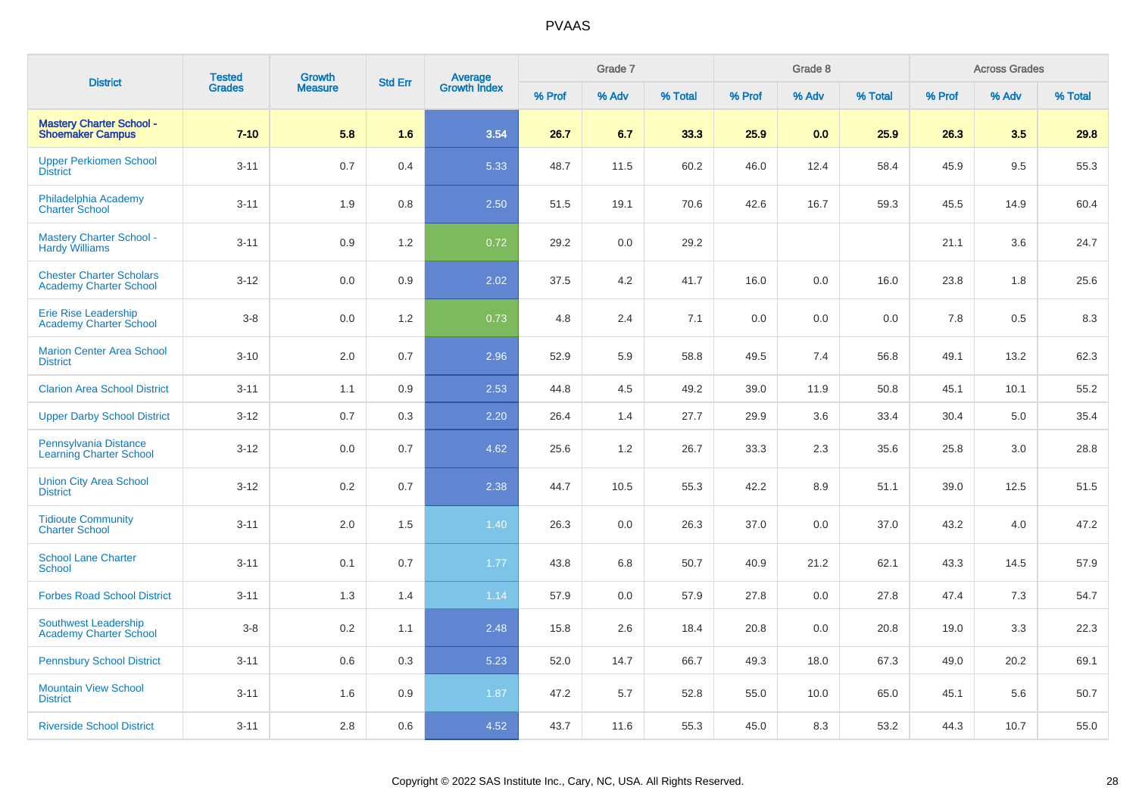| <b>District</b>                                                  | <b>Tested</b> | Growth         | <b>Std Err</b> |                                |        | Grade 7 |         |        | Grade 8 |         |        | <b>Across Grades</b> |         |
|------------------------------------------------------------------|---------------|----------------|----------------|--------------------------------|--------|---------|---------|--------|---------|---------|--------|----------------------|---------|
|                                                                  | <b>Grades</b> | <b>Measure</b> |                | <b>Average</b><br>Growth Index | % Prof | % Adv   | % Total | % Prof | % Adv   | % Total | % Prof | % Adv                | % Total |
| <b>Mastery Charter School -</b><br><b>Shoemaker Campus</b>       | $7 - 10$      | 5.8            | 1.6            | 3.54                           | 26.7   | 6.7     | 33.3    | 25.9   | 0.0     | 25.9    | 26.3   | 3.5                  | 29.8    |
| <b>Upper Perkiomen School</b><br><b>District</b>                 | $3 - 11$      | 0.7            | 0.4            | 5.33                           | 48.7   | 11.5    | 60.2    | 46.0   | 12.4    | 58.4    | 45.9   | 9.5                  | 55.3    |
| Philadelphia Academy<br><b>Charter School</b>                    | $3 - 11$      | 1.9            | 0.8            | 2.50                           | 51.5   | 19.1    | 70.6    | 42.6   | 16.7    | 59.3    | 45.5   | 14.9                 | 60.4    |
| <b>Mastery Charter School -</b><br><b>Hardy Williams</b>         | $3 - 11$      | 0.9            | 1.2            | 0.72                           | 29.2   | 0.0     | 29.2    |        |         |         | 21.1   | 3.6                  | 24.7    |
| <b>Chester Charter Scholars</b><br><b>Academy Charter School</b> | $3 - 12$      | 0.0            | 0.9            | 2.02                           | 37.5   | 4.2     | 41.7    | 16.0   | 0.0     | 16.0    | 23.8   | 1.8                  | 25.6    |
| <b>Erie Rise Leadership</b><br><b>Academy Charter School</b>     | $3-8$         | 0.0            | 1.2            | 0.73                           | 4.8    | 2.4     | 7.1     | 0.0    | 0.0     | 0.0     | 7.8    | 0.5                  | 8.3     |
| <b>Marion Center Area School</b><br><b>District</b>              | $3 - 10$      | 2.0            | 0.7            | 2.96                           | 52.9   | 5.9     | 58.8    | 49.5   | 7.4     | 56.8    | 49.1   | 13.2                 | 62.3    |
| <b>Clarion Area School District</b>                              | $3 - 11$      | 1.1            | 0.9            | 2.53                           | 44.8   | 4.5     | 49.2    | 39.0   | 11.9    | 50.8    | 45.1   | 10.1                 | 55.2    |
| <b>Upper Darby School District</b>                               | $3 - 12$      | 0.7            | 0.3            | 2.20                           | 26.4   | 1.4     | 27.7    | 29.9   | 3.6     | 33.4    | 30.4   | $5.0\,$              | 35.4    |
| Pennsylvania Distance<br><b>Learning Charter School</b>          | $3-12$        | 0.0            | 0.7            | 4.62                           | 25.6   | 1.2     | 26.7    | 33.3   | 2.3     | 35.6    | 25.8   | 3.0                  | 28.8    |
| <b>Union City Area School</b><br><b>District</b>                 | $3-12$        | 0.2            | 0.7            | 2.38                           | 44.7   | 10.5    | 55.3    | 42.2   | 8.9     | 51.1    | 39.0   | 12.5                 | 51.5    |
| <b>Tidioute Community</b><br><b>Charter School</b>               | $3 - 11$      | 2.0            | 1.5            | 1.40                           | 26.3   | 0.0     | 26.3    | 37.0   | 0.0     | 37.0    | 43.2   | 4.0                  | 47.2    |
| <b>School Lane Charter</b><br><b>School</b>                      | $3 - 11$      | 0.1            | 0.7            | 1.77                           | 43.8   | 6.8     | 50.7    | 40.9   | 21.2    | 62.1    | 43.3   | 14.5                 | 57.9    |
| <b>Forbes Road School District</b>                               | $3 - 11$      | 1.3            | 1.4            | 1.14                           | 57.9   | 0.0     | 57.9    | 27.8   | 0.0     | 27.8    | 47.4   | 7.3                  | 54.7    |
| <b>Southwest Leadership</b><br><b>Academy Charter School</b>     | $3-8$         | 0.2            | 1.1            | 2.48                           | 15.8   | 2.6     | 18.4    | 20.8   | 0.0     | 20.8    | 19.0   | 3.3                  | 22.3    |
| <b>Pennsbury School District</b>                                 | $3 - 11$      | 0.6            | 0.3            | 5.23                           | 52.0   | 14.7    | 66.7    | 49.3   | 18.0    | 67.3    | 49.0   | 20.2                 | 69.1    |
| <b>Mountain View School</b><br><b>District</b>                   | $3 - 11$      | 1.6            | 0.9            | 1.87                           | 47.2   | 5.7     | 52.8    | 55.0   | 10.0    | 65.0    | 45.1   | 5.6                  | 50.7    |
| <b>Riverside School District</b>                                 | $3 - 11$      | 2.8            | 0.6            | 4.52                           | 43.7   | 11.6    | 55.3    | 45.0   | 8.3     | 53.2    | 44.3   | 10.7                 | 55.0    |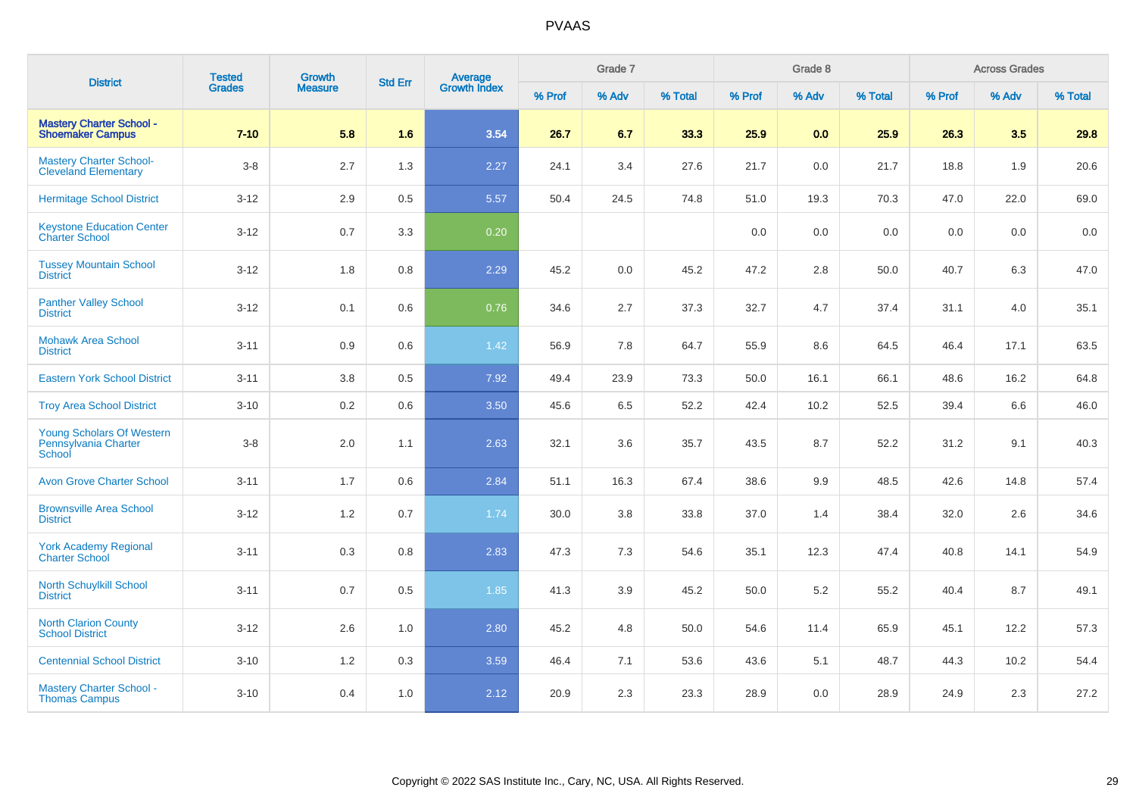| <b>District</b>                                                    | <b>Tested</b> | Growth         | <b>Std Err</b> |                                |        | Grade 7 |         |         | Grade 8 |         |         | <b>Across Grades</b> |         |
|--------------------------------------------------------------------|---------------|----------------|----------------|--------------------------------|--------|---------|---------|---------|---------|---------|---------|----------------------|---------|
|                                                                    | <b>Grades</b> | <b>Measure</b> |                | <b>Average</b><br>Growth Index | % Prof | % Adv   | % Total | % Prof  | % Adv   | % Total | % Prof  | % Adv                | % Total |
| <b>Mastery Charter School -</b><br><b>Shoemaker Campus</b>         | $7 - 10$      | 5.8            | 1.6            | 3.54                           | 26.7   | 6.7     | 33.3    | 25.9    | 0.0     | 25.9    | 26.3    | 3.5                  | 29.8    |
| <b>Mastery Charter School-</b><br><b>Cleveland Elementary</b>      | $3-8$         | 2.7            | 1.3            | 2.27                           | 24.1   | 3.4     | 27.6    | 21.7    | 0.0     | 21.7    | 18.8    | 1.9                  | 20.6    |
| <b>Hermitage School District</b>                                   | $3 - 12$      | 2.9            | $0.5\,$        | 5.57                           | 50.4   | 24.5    | 74.8    | 51.0    | 19.3    | 70.3    | 47.0    | 22.0                 | 69.0    |
| <b>Keystone Education Center</b><br><b>Charter School</b>          | $3 - 12$      | 0.7            | 3.3            | 0.20                           |        |         |         | $0.0\,$ | 0.0     | $0.0\,$ | $0.0\,$ | 0.0                  | 0.0     |
| <b>Tussey Mountain School</b><br><b>District</b>                   | $3 - 12$      | 1.8            | 0.8            | 2.29                           | 45.2   | 0.0     | 45.2    | 47.2    | 2.8     | 50.0    | 40.7    | 6.3                  | 47.0    |
| <b>Panther Valley School</b><br><b>District</b>                    | $3 - 12$      | 0.1            | 0.6            | 0.76                           | 34.6   | 2.7     | 37.3    | 32.7    | 4.7     | 37.4    | 31.1    | 4.0                  | 35.1    |
| <b>Mohawk Area School</b><br><b>District</b>                       | $3 - 11$      | $0.9\,$        | 0.6            | 1.42                           | 56.9   | 7.8     | 64.7    | 55.9    | 8.6     | 64.5    | 46.4    | 17.1                 | 63.5    |
| <b>Eastern York School District</b>                                | $3 - 11$      | 3.8            | 0.5            | 7.92                           | 49.4   | 23.9    | 73.3    | 50.0    | 16.1    | 66.1    | 48.6    | 16.2                 | 64.8    |
| <b>Troy Area School District</b>                                   | $3 - 10$      | 0.2            | $0.6\,$        | 3.50                           | 45.6   | 6.5     | 52.2    | 42.4    | 10.2    | 52.5    | 39.4    | 6.6                  | 46.0    |
| <b>Young Scholars Of Western</b><br>Pennsylvania Charter<br>School | $3-8$         | 2.0            | 1.1            | 2.63                           | 32.1   | 3.6     | 35.7    | 43.5    | 8.7     | 52.2    | 31.2    | 9.1                  | 40.3    |
| <b>Avon Grove Charter School</b>                                   | $3 - 11$      | 1.7            | 0.6            | 2.84                           | 51.1   | 16.3    | 67.4    | 38.6    | 9.9     | 48.5    | 42.6    | 14.8                 | 57.4    |
| <b>Brownsville Area School</b><br><b>District</b>                  | $3 - 12$      | 1.2            | 0.7            | 1.74                           | 30.0   | 3.8     | 33.8    | 37.0    | 1.4     | 38.4    | 32.0    | 2.6                  | 34.6    |
| <b>York Academy Regional</b><br><b>Charter School</b>              | $3 - 11$      | 0.3            | 0.8            | 2.83                           | 47.3   | 7.3     | 54.6    | 35.1    | 12.3    | 47.4    | 40.8    | 14.1                 | 54.9    |
| North Schuylkill School<br><b>District</b>                         | $3 - 11$      | 0.7            | 0.5            | 1.85                           | 41.3   | 3.9     | 45.2    | 50.0    | 5.2     | 55.2    | 40.4    | 8.7                  | 49.1    |
| <b>North Clarion County</b><br><b>School District</b>              | $3 - 12$      | 2.6            | 1.0            | 2.80                           | 45.2   | 4.8     | 50.0    | 54.6    | 11.4    | 65.9    | 45.1    | 12.2                 | 57.3    |
| <b>Centennial School District</b>                                  | $3 - 10$      | $1.2$          | 0.3            | 3.59                           | 46.4   | 7.1     | 53.6    | 43.6    | 5.1     | 48.7    | 44.3    | 10.2                 | 54.4    |
| <b>Mastery Charter School -</b><br><b>Thomas Campus</b>            | $3 - 10$      | 0.4            | 1.0            | 2.12                           | 20.9   | 2.3     | 23.3    | 28.9    | 0.0     | 28.9    | 24.9    | 2.3                  | 27.2    |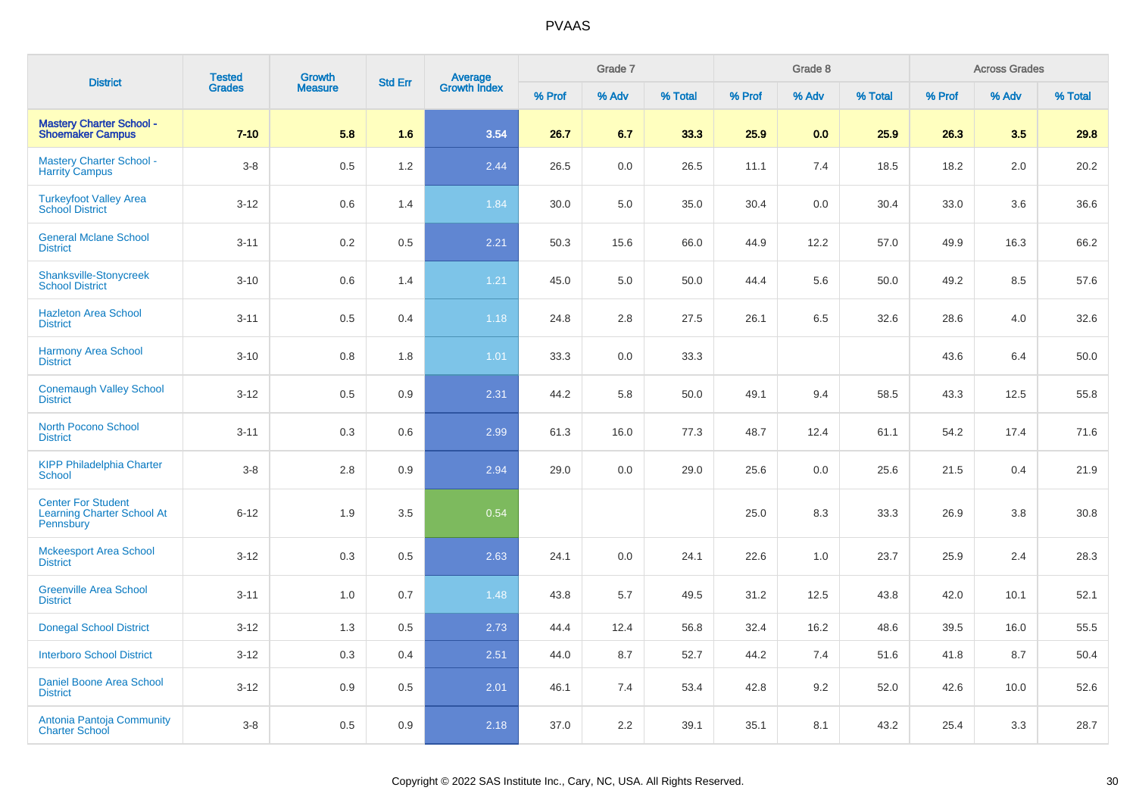| <b>District</b>                                                             | <b>Tested</b> | <b>Growth</b>  | <b>Std Err</b> |                                |        | Grade 7 |         |        | Grade 8 |         |        | <b>Across Grades</b> |         |
|-----------------------------------------------------------------------------|---------------|----------------|----------------|--------------------------------|--------|---------|---------|--------|---------|---------|--------|----------------------|---------|
|                                                                             | <b>Grades</b> | <b>Measure</b> |                | <b>Average</b><br>Growth Index | % Prof | % Adv   | % Total | % Prof | % Adv   | % Total | % Prof | % Adv                | % Total |
| <b>Mastery Charter School -</b><br><b>Shoemaker Campus</b>                  | $7 - 10$      | 5.8            | 1.6            | 3.54                           | 26.7   | 6.7     | 33.3    | 25.9   | 0.0     | 25.9    | 26.3   | 3.5                  | 29.8    |
| <b>Mastery Charter School -</b><br><b>Harrity Campus</b>                    | $3-8$         | 0.5            | 1.2            | 2.44                           | 26.5   | 0.0     | 26.5    | 11.1   | 7.4     | 18.5    | 18.2   | 2.0                  | 20.2    |
| <b>Turkeyfoot Valley Area</b><br><b>School District</b>                     | $3 - 12$      | 0.6            | 1.4            | 1.84                           | 30.0   | 5.0     | 35.0    | 30.4   | 0.0     | 30.4    | 33.0   | 3.6                  | 36.6    |
| <b>General Mclane School</b><br><b>District</b>                             | $3 - 11$      | 0.2            | 0.5            | 2.21                           | 50.3   | 15.6    | 66.0    | 44.9   | 12.2    | 57.0    | 49.9   | 16.3                 | 66.2    |
| <b>Shanksville-Stonycreek</b><br><b>School District</b>                     | $3 - 10$      | 0.6            | 1.4            | 1.21                           | 45.0   | 5.0     | 50.0    | 44.4   | 5.6     | 50.0    | 49.2   | 8.5                  | 57.6    |
| <b>Hazleton Area School</b><br><b>District</b>                              | $3 - 11$      | 0.5            | 0.4            | 1.18                           | 24.8   | 2.8     | 27.5    | 26.1   | 6.5     | 32.6    | 28.6   | 4.0                  | 32.6    |
| <b>Harmony Area School</b><br><b>District</b>                               | $3 - 10$      | 0.8            | 1.8            | 1.01                           | 33.3   | $0.0\,$ | 33.3    |        |         |         | 43.6   | 6.4                  | 50.0    |
| <b>Conemaugh Valley School</b><br><b>District</b>                           | $3 - 12$      | 0.5            | 0.9            | 2.31                           | 44.2   | 5.8     | 50.0    | 49.1   | 9.4     | 58.5    | 43.3   | 12.5                 | 55.8    |
| <b>North Pocono School</b><br><b>District</b>                               | $3 - 11$      | 0.3            | 0.6            | 2.99                           | 61.3   | 16.0    | 77.3    | 48.7   | 12.4    | 61.1    | 54.2   | 17.4                 | 71.6    |
| <b>KIPP Philadelphia Charter</b><br><b>School</b>                           | $3 - 8$       | 2.8            | 0.9            | 2.94                           | 29.0   | 0.0     | 29.0    | 25.6   | 0.0     | 25.6    | 21.5   | 0.4                  | 21.9    |
| <b>Center For Student</b><br><b>Learning Charter School At</b><br>Pennsbury | $6 - 12$      | 1.9            | 3.5            | 0.54                           |        |         |         | 25.0   | 8.3     | 33.3    | 26.9   | 3.8                  | 30.8    |
| <b>Mckeesport Area School</b><br><b>District</b>                            | $3 - 12$      | 0.3            | 0.5            | 2.63                           | 24.1   | 0.0     | 24.1    | 22.6   | 1.0     | 23.7    | 25.9   | 2.4                  | 28.3    |
| <b>Greenville Area School</b><br><b>District</b>                            | $3 - 11$      | 1.0            | 0.7            | 1.48                           | 43.8   | 5.7     | 49.5    | 31.2   | 12.5    | 43.8    | 42.0   | 10.1                 | 52.1    |
| <b>Donegal School District</b>                                              | $3-12$        | 1.3            | 0.5            | 2.73                           | 44.4   | 12.4    | 56.8    | 32.4   | 16.2    | 48.6    | 39.5   | 16.0                 | 55.5    |
| <b>Interboro School District</b>                                            | $3 - 12$      | 0.3            | 0.4            | 2.51                           | 44.0   | 8.7     | 52.7    | 44.2   | 7.4     | 51.6    | 41.8   | 8.7                  | 50.4    |
| Daniel Boone Area School<br><b>District</b>                                 | $3 - 12$      | 0.9            | 0.5            | 2.01                           | 46.1   | 7.4     | 53.4    | 42.8   | 9.2     | 52.0    | 42.6   | 10.0                 | 52.6    |
| Antonia Pantoja Community<br><b>Charter School</b>                          | $3-8$         | 0.5            | 0.9            | 2.18                           | 37.0   | 2.2     | 39.1    | 35.1   | 8.1     | 43.2    | 25.4   | 3.3                  | 28.7    |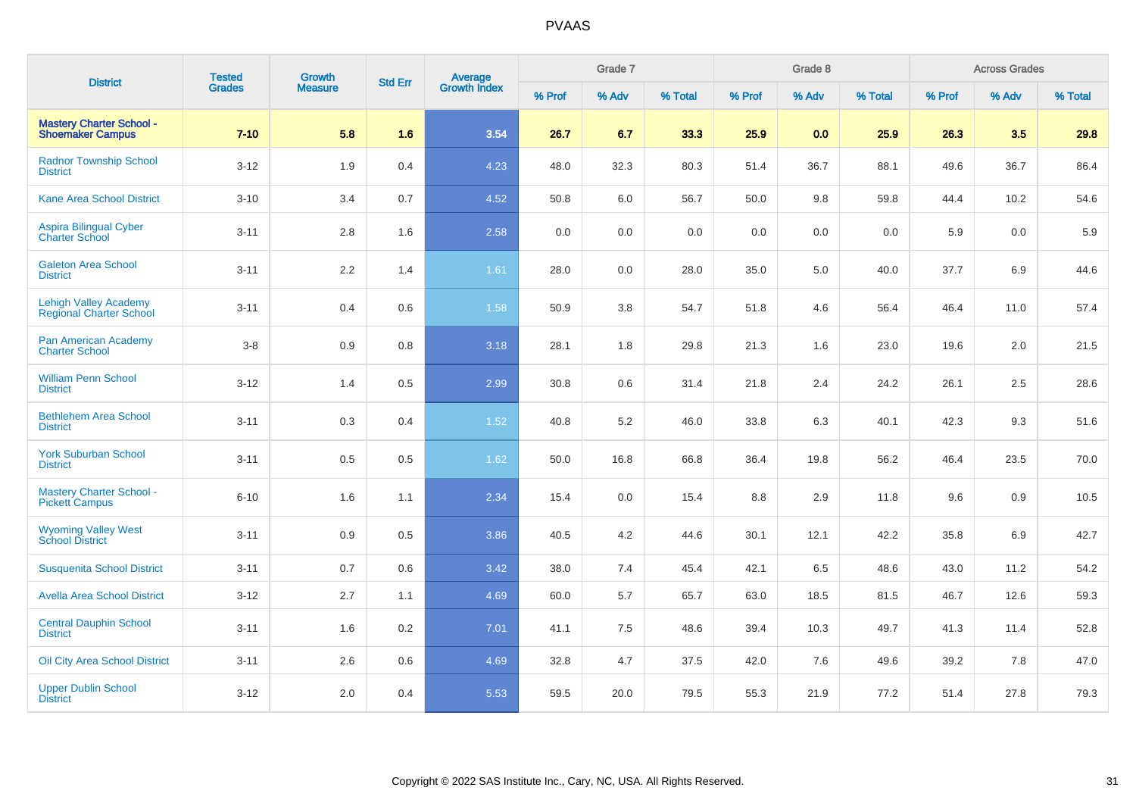| <b>District</b>                                                | <b>Tested</b> | Growth         | <b>Std Err</b> |                                |        | Grade 7 |         |        | Grade 8 |         |        | <b>Across Grades</b> |         |
|----------------------------------------------------------------|---------------|----------------|----------------|--------------------------------|--------|---------|---------|--------|---------|---------|--------|----------------------|---------|
|                                                                | <b>Grades</b> | <b>Measure</b> |                | <b>Average</b><br>Growth Index | % Prof | % Adv   | % Total | % Prof | % Adv   | % Total | % Prof | % Adv                | % Total |
| <b>Mastery Charter School -</b><br><b>Shoemaker Campus</b>     | $7 - 10$      | 5.8            | 1.6            | 3.54                           | 26.7   | 6.7     | 33.3    | 25.9   | 0.0     | 25.9    | 26.3   | 3.5                  | 29.8    |
| <b>Radnor Township School</b><br><b>District</b>               | $3 - 12$      | 1.9            | 0.4            | 4.23                           | 48.0   | 32.3    | 80.3    | 51.4   | 36.7    | 88.1    | 49.6   | 36.7                 | 86.4    |
| <b>Kane Area School District</b>                               | $3 - 10$      | 3.4            | 0.7            | 4.52                           | 50.8   | 6.0     | 56.7    | 50.0   | 9.8     | 59.8    | 44.4   | 10.2                 | 54.6    |
| Aspira Bilingual Cyber<br><b>Charter School</b>                | $3 - 11$      | 2.8            | 1.6            | 2.58                           | 0.0    | 0.0     | 0.0     | 0.0    | 0.0     | 0.0     | 5.9    | 0.0                  | 5.9     |
| <b>Galeton Area School</b><br><b>District</b>                  | $3 - 11$      | 2.2            | 1.4            | 1.61                           | 28.0   | 0.0     | 28.0    | 35.0   | 5.0     | 40.0    | 37.7   | 6.9                  | 44.6    |
| <b>Lehigh Valley Academy</b><br><b>Regional Charter School</b> | $3 - 11$      | 0.4            | 0.6            | 1.58                           | 50.9   | 3.8     | 54.7    | 51.8   | 4.6     | 56.4    | 46.4   | 11.0                 | 57.4    |
| Pan American Academy<br><b>Charter School</b>                  | $3-8$         | 0.9            | 0.8            | 3.18                           | 28.1   | 1.8     | 29.8    | 21.3   | 1.6     | 23.0    | 19.6   | 2.0                  | 21.5    |
| <b>William Penn School</b><br><b>District</b>                  | $3 - 12$      | 1.4            | 0.5            | 2.99                           | 30.8   | 0.6     | 31.4    | 21.8   | 2.4     | 24.2    | 26.1   | 2.5                  | 28.6    |
| <b>Bethlehem Area School</b><br><b>District</b>                | $3 - 11$      | 0.3            | 0.4            | 1.52                           | 40.8   | 5.2     | 46.0    | 33.8   | 6.3     | 40.1    | 42.3   | 9.3                  | 51.6    |
| <b>York Suburban School</b><br><b>District</b>                 | $3 - 11$      | 0.5            | 0.5            | 1.62                           | 50.0   | 16.8    | 66.8    | 36.4   | 19.8    | 56.2    | 46.4   | 23.5                 | 70.0    |
| <b>Mastery Charter School -</b><br><b>Pickett Campus</b>       | $6 - 10$      | 1.6            | 1.1            | 2.34                           | 15.4   | $0.0\,$ | 15.4    | 8.8    | 2.9     | 11.8    | 9.6    | 0.9                  | 10.5    |
| <b>Wyoming Valley West</b><br><b>School District</b>           | $3 - 11$      | 0.9            | 0.5            | 3.86                           | 40.5   | 4.2     | 44.6    | 30.1   | 12.1    | 42.2    | 35.8   | 6.9                  | 42.7    |
| <b>Susquenita School District</b>                              | $3 - 11$      | 0.7            | 0.6            | 3.42                           | 38.0   | 7.4     | 45.4    | 42.1   | 6.5     | 48.6    | 43.0   | 11.2                 | 54.2    |
| <b>Avella Area School District</b>                             | $3 - 12$      | 2.7            | 1.1            | 4.69                           | 60.0   | 5.7     | 65.7    | 63.0   | 18.5    | 81.5    | 46.7   | 12.6                 | 59.3    |
| <b>Central Dauphin School</b><br><b>District</b>               | $3 - 11$      | 1.6            | 0.2            | 7.01                           | 41.1   | 7.5     | 48.6    | 39.4   | 10.3    | 49.7    | 41.3   | 11.4                 | 52.8    |
| <b>Oil City Area School District</b>                           | $3 - 11$      | 2.6            | 0.6            | 4.69                           | 32.8   | 4.7     | 37.5    | 42.0   | 7.6     | 49.6    | 39.2   | 7.8                  | 47.0    |
| <b>Upper Dublin School</b><br><b>District</b>                  | $3 - 12$      | $2.0\,$        | 0.4            | 5.53                           | 59.5   | 20.0    | 79.5    | 55.3   | 21.9    | 77.2    | 51.4   | 27.8                 | 79.3    |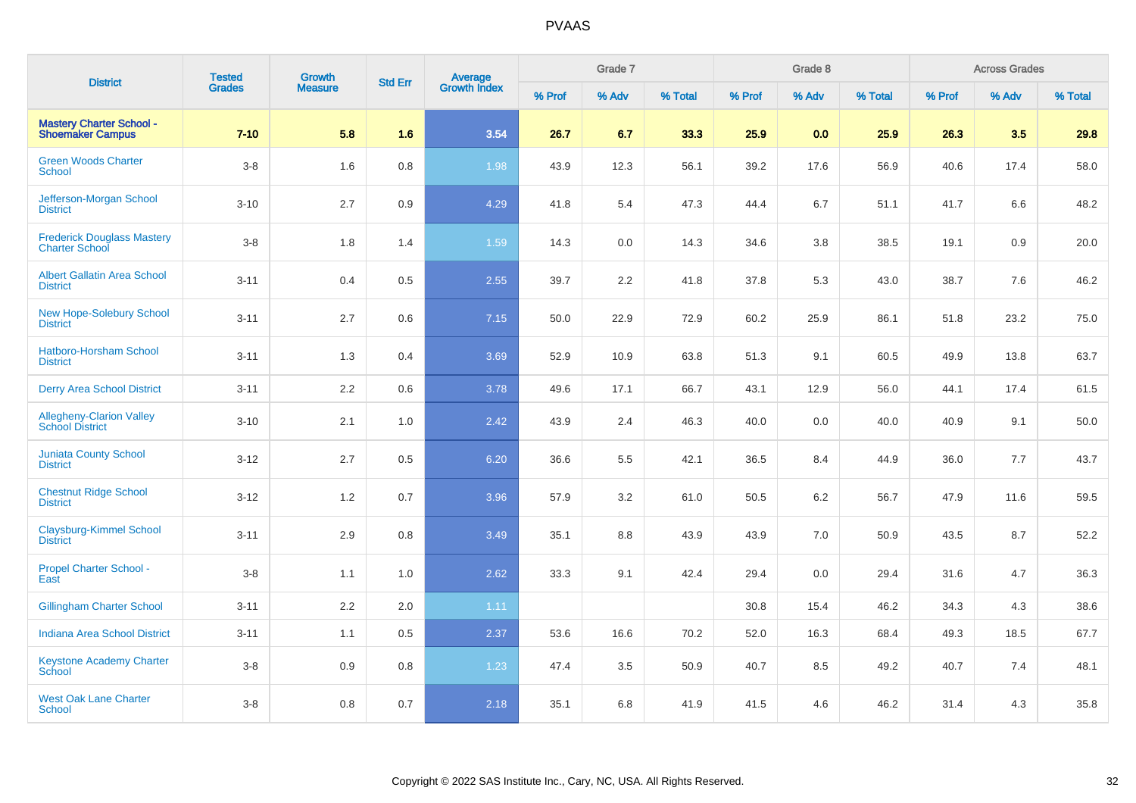| <b>District</b>                                            | <b>Tested</b> | Growth         | <b>Std Err</b> |                                |        | Grade 7 |         |        | Grade 8 |         |        | <b>Across Grades</b> |         |
|------------------------------------------------------------|---------------|----------------|----------------|--------------------------------|--------|---------|---------|--------|---------|---------|--------|----------------------|---------|
|                                                            | <b>Grades</b> | <b>Measure</b> |                | <b>Average</b><br>Growth Index | % Prof | % Adv   | % Total | % Prof | % Adv   | % Total | % Prof | % Adv                | % Total |
| <b>Mastery Charter School -</b><br><b>Shoemaker Campus</b> | $7 - 10$      | 5.8            | 1.6            | 3.54                           | 26.7   | 6.7     | 33.3    | 25.9   | 0.0     | 25.9    | 26.3   | 3.5                  | 29.8    |
| <b>Green Woods Charter</b><br><b>School</b>                | $3-8$         | 1.6            | 0.8            | 1.98                           | 43.9   | 12.3    | 56.1    | 39.2   | 17.6    | 56.9    | 40.6   | 17.4                 | 58.0    |
| Jefferson-Morgan School<br><b>District</b>                 | $3 - 10$      | 2.7            | 0.9            | 4.29                           | 41.8   | 5.4     | 47.3    | 44.4   | 6.7     | 51.1    | 41.7   | 6.6                  | 48.2    |
| <b>Frederick Douglass Mastery</b><br><b>Charter School</b> | $3-8$         | 1.8            | 1.4            | 1.59                           | 14.3   | 0.0     | 14.3    | 34.6   | 3.8     | 38.5    | 19.1   | 0.9                  | 20.0    |
| <b>Albert Gallatin Area School</b><br><b>District</b>      | $3 - 11$      | 0.4            | 0.5            | 2.55                           | 39.7   | 2.2     | 41.8    | 37.8   | 5.3     | 43.0    | 38.7   | 7.6                  | 46.2    |
| <b>New Hope-Solebury School</b><br><b>District</b>         | $3 - 11$      | 2.7            | 0.6            | 7.15                           | 50.0   | 22.9    | 72.9    | 60.2   | 25.9    | 86.1    | 51.8   | 23.2                 | 75.0    |
| <b>Hatboro-Horsham School</b><br><b>District</b>           | $3 - 11$      | 1.3            | 0.4            | 3.69                           | 52.9   | 10.9    | 63.8    | 51.3   | 9.1     | 60.5    | 49.9   | 13.8                 | 63.7    |
| <b>Derry Area School District</b>                          | $3 - 11$      | 2.2            | 0.6            | 3.78                           | 49.6   | 17.1    | 66.7    | 43.1   | 12.9    | 56.0    | 44.1   | 17.4                 | 61.5    |
| Allegheny-Clarion Valley<br>School District                | $3 - 10$      | 2.1            | 1.0            | 2.42                           | 43.9   | 2.4     | 46.3    | 40.0   | 0.0     | 40.0    | 40.9   | 9.1                  | 50.0    |
| <b>Juniata County School</b><br><b>District</b>            | $3 - 12$      | 2.7            | 0.5            | 6.20                           | 36.6   | 5.5     | 42.1    | 36.5   | 8.4     | 44.9    | 36.0   | 7.7                  | 43.7    |
| <b>Chestnut Ridge School</b><br><b>District</b>            | $3 - 12$      | 1.2            | 0.7            | 3.96                           | 57.9   | 3.2     | 61.0    | 50.5   | 6.2     | 56.7    | 47.9   | 11.6                 | 59.5    |
| <b>Claysburg-Kimmel School</b><br><b>District</b>          | $3 - 11$      | 2.9            | 0.8            | 3.49                           | 35.1   | $8.8\,$ | 43.9    | 43.9   | 7.0     | 50.9    | 43.5   | 8.7                  | 52.2    |
| Propel Charter School -<br>East                            | $3-8$         | 1.1            | 1.0            | 2.62                           | 33.3   | 9.1     | 42.4    | 29.4   | 0.0     | 29.4    | 31.6   | 4.7                  | 36.3    |
| <b>Gillingham Charter School</b>                           | $3 - 11$      | 2.2            | 2.0            | 1.11                           |        |         |         | 30.8   | 15.4    | 46.2    | 34.3   | 4.3                  | 38.6    |
| <b>Indiana Area School District</b>                        | $3 - 11$      | 1.1            | 0.5            | 2.37                           | 53.6   | 16.6    | 70.2    | 52.0   | 16.3    | 68.4    | 49.3   | 18.5                 | 67.7    |
| <b>Keystone Academy Charter</b><br>School                  | $3-8$         | 0.9            | 0.8            | 1.23                           | 47.4   | 3.5     | 50.9    | 40.7   | 8.5     | 49.2    | 40.7   | 7.4                  | 48.1    |
| <b>West Oak Lane Charter</b><br><b>School</b>              | $3-8$         | 0.8            | 0.7            | 2.18                           | 35.1   | 6.8     | 41.9    | 41.5   | 4.6     | 46.2    | 31.4   | 4.3                  | 35.8    |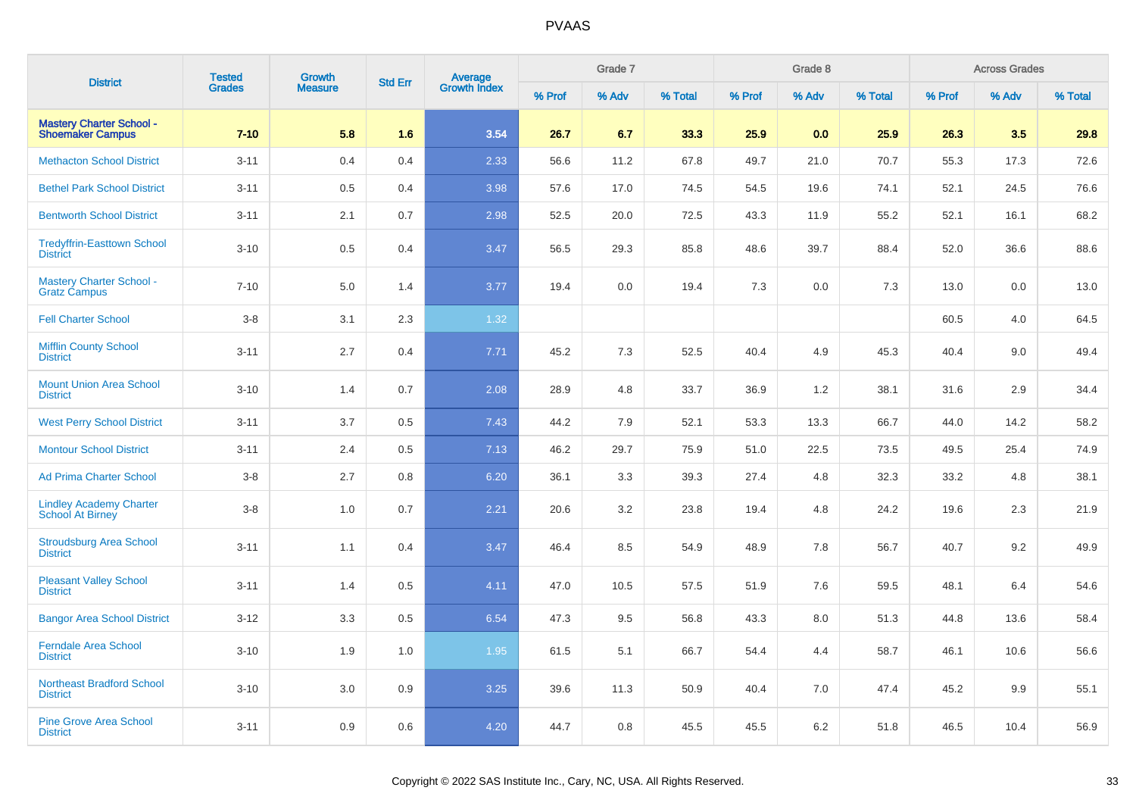| <b>District</b>                                            | <b>Tested</b> | <b>Growth</b>  | <b>Std Err</b> |                                |        | Grade 7 |         |        | Grade 8 |         |        | <b>Across Grades</b> |         |
|------------------------------------------------------------|---------------|----------------|----------------|--------------------------------|--------|---------|---------|--------|---------|---------|--------|----------------------|---------|
|                                                            | <b>Grades</b> | <b>Measure</b> |                | <b>Average</b><br>Growth Index | % Prof | % Adv   | % Total | % Prof | % Adv   | % Total | % Prof | % Adv                | % Total |
| <b>Mastery Charter School -</b><br><b>Shoemaker Campus</b> | $7 - 10$      | 5.8            | 1.6            | 3.54                           | 26.7   | 6.7     | 33.3    | 25.9   | 0.0     | 25.9    | 26.3   | 3.5                  | 29.8    |
| <b>Methacton School District</b>                           | $3 - 11$      | 0.4            | 0.4            | 2.33                           | 56.6   | 11.2    | 67.8    | 49.7   | 21.0    | 70.7    | 55.3   | 17.3                 | 72.6    |
| <b>Bethel Park School District</b>                         | $3 - 11$      | 0.5            | 0.4            | 3.98                           | 57.6   | 17.0    | 74.5    | 54.5   | 19.6    | 74.1    | 52.1   | 24.5                 | 76.6    |
| <b>Bentworth School District</b>                           | $3 - 11$      | 2.1            | 0.7            | 2.98                           | 52.5   | 20.0    | 72.5    | 43.3   | 11.9    | 55.2    | 52.1   | 16.1                 | 68.2    |
| <b>Tredyffrin-Easttown School</b><br><b>District</b>       | $3 - 10$      | 0.5            | 0.4            | 3.47                           | 56.5   | 29.3    | 85.8    | 48.6   | 39.7    | 88.4    | 52.0   | 36.6                 | 88.6    |
| <b>Mastery Charter School -</b><br>Gratz Ćampus            | $7 - 10$      | 5.0            | 1.4            | 3.77                           | 19.4   | 0.0     | 19.4    | 7.3    | 0.0     | 7.3     | 13.0   | 0.0                  | 13.0    |
| <b>Fell Charter School</b>                                 | $3-8$         | 3.1            | 2.3            | 1.32                           |        |         |         |        |         |         | 60.5   | 4.0                  | 64.5    |
| <b>Mifflin County School</b><br><b>District</b>            | $3 - 11$      | 2.7            | 0.4            | 7.71                           | 45.2   | 7.3     | 52.5    | 40.4   | 4.9     | 45.3    | 40.4   | 9.0                  | 49.4    |
| <b>Mount Union Area School</b><br><b>District</b>          | $3 - 10$      | 1.4            | 0.7            | 2.08                           | 28.9   | 4.8     | 33.7    | 36.9   | 1.2     | 38.1    | 31.6   | 2.9                  | 34.4    |
| <b>West Perry School District</b>                          | $3 - 11$      | 3.7            | 0.5            | 7.43                           | 44.2   | 7.9     | 52.1    | 53.3   | 13.3    | 66.7    | 44.0   | 14.2                 | 58.2    |
| <b>Montour School District</b>                             | $3 - 11$      | 2.4            | 0.5            | 7.13                           | 46.2   | 29.7    | 75.9    | 51.0   | 22.5    | 73.5    | 49.5   | 25.4                 | 74.9    |
| <b>Ad Prima Charter School</b>                             | $3 - 8$       | 2.7            | 0.8            | 6.20                           | 36.1   | 3.3     | 39.3    | 27.4   | 4.8     | 32.3    | 33.2   | 4.8                  | 38.1    |
| <b>Lindley Academy Charter</b><br>School At Birney         | $3-8$         | 1.0            | 0.7            | 2.21                           | 20.6   | 3.2     | 23.8    | 19.4   | 4.8     | 24.2    | 19.6   | 2.3                  | 21.9    |
| <b>Stroudsburg Area School</b><br><b>District</b>          | $3 - 11$      | 1.1            | 0.4            | 3.47                           | 46.4   | 8.5     | 54.9    | 48.9   | 7.8     | 56.7    | 40.7   | 9.2                  | 49.9    |
| <b>Pleasant Valley School</b><br><b>District</b>           | $3 - 11$      | 1.4            | 0.5            | 4.11                           | 47.0   | 10.5    | 57.5    | 51.9   | 7.6     | 59.5    | 48.1   | 6.4                  | 54.6    |
| <b>Bangor Area School District</b>                         | $3 - 12$      | 3.3            | 0.5            | 6.54                           | 47.3   | 9.5     | 56.8    | 43.3   | 8.0     | 51.3    | 44.8   | 13.6                 | 58.4    |
| <b>Ferndale Area School</b><br><b>District</b>             | $3 - 10$      | 1.9            | 1.0            | 1.95                           | 61.5   | 5.1     | 66.7    | 54.4   | 4.4     | 58.7    | 46.1   | 10.6                 | 56.6    |
| <b>Northeast Bradford School</b><br><b>District</b>        | $3 - 10$      | 3.0            | 0.9            | 3.25                           | 39.6   | 11.3    | 50.9    | 40.4   | 7.0     | 47.4    | 45.2   | 9.9                  | 55.1    |
| <b>Pine Grove Area School</b><br><b>District</b>           | $3 - 11$      | 0.9            | 0.6            | 4.20                           | 44.7   | 0.8     | 45.5    | 45.5   | 6.2     | 51.8    | 46.5   | 10.4                 | 56.9    |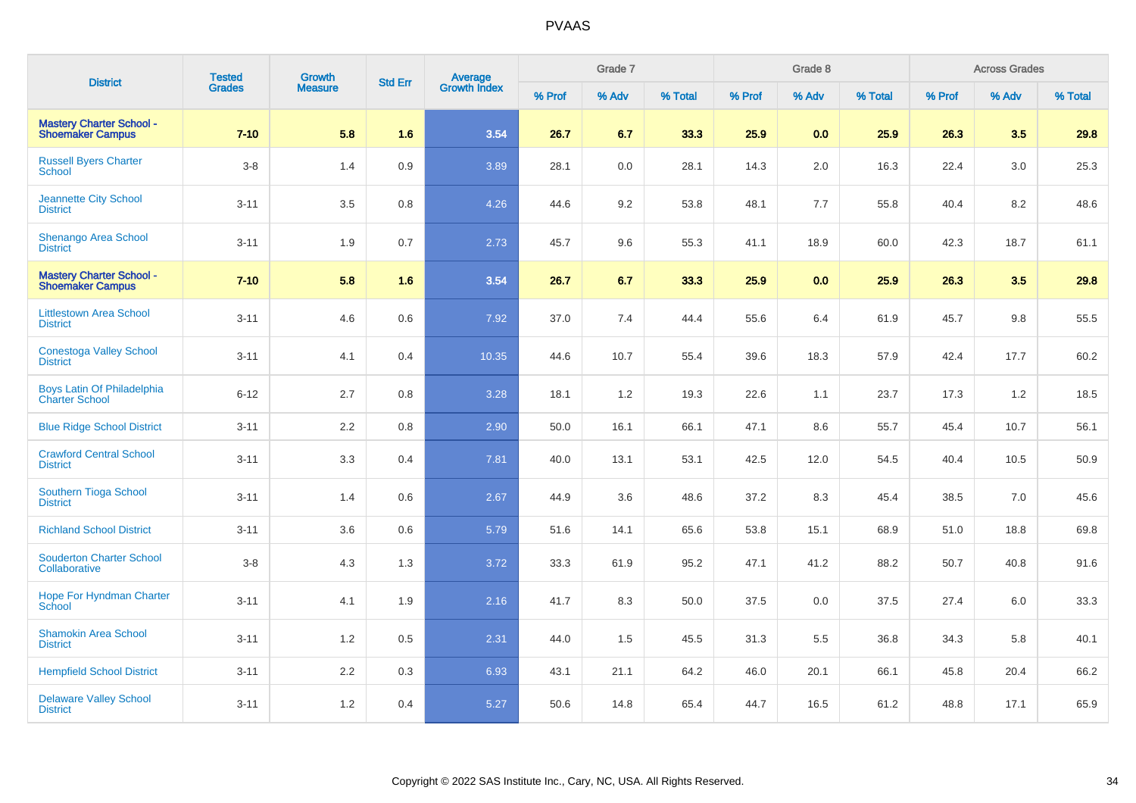| <b>District</b>                                            | <b>Tested</b> | Growth         | <b>Std Err</b> | Average<br>Growth Index |        | Grade 7 |         |        | Grade 8 |         |        | <b>Across Grades</b> |         |
|------------------------------------------------------------|---------------|----------------|----------------|-------------------------|--------|---------|---------|--------|---------|---------|--------|----------------------|---------|
|                                                            | Grades        | <b>Measure</b> |                |                         | % Prof | % Adv   | % Total | % Prof | % Adv   | % Total | % Prof | % Adv                | % Total |
| <b>Mastery Charter School -</b><br><b>Shoemaker Campus</b> | $7 - 10$      | 5.8            | 1.6            | 3.54                    | 26.7   | 6.7     | 33.3    | 25.9   | 0.0     | 25.9    | 26.3   | 3.5                  | 29.8    |
| <b>Russell Byers Charter</b><br><b>School</b>              | $3-8$         | 1.4            | 0.9            | 3.89                    | 28.1   | 0.0     | 28.1    | 14.3   | 2.0     | 16.3    | 22.4   | 3.0                  | 25.3    |
| Jeannette City School<br><b>District</b>                   | $3 - 11$      | 3.5            | 0.8            | 4.26                    | 44.6   | 9.2     | 53.8    | 48.1   | 7.7     | 55.8    | 40.4   | 8.2                  | 48.6    |
| <b>Shenango Area School</b><br><b>District</b>             | $3 - 11$      | 1.9            | 0.7            | 2.73                    | 45.7   | 9.6     | 55.3    | 41.1   | 18.9    | 60.0    | 42.3   | 18.7                 | 61.1    |
| <b>Mastery Charter School -</b><br><b>Shoemaker Campus</b> | $7 - 10$      | 5.8            | 1.6            | 3.54                    | 26.7   | 6.7     | 33.3    | 25.9   | 0.0     | 25.9    | 26.3   | 3.5                  | 29.8    |
| <b>Littlestown Area School</b><br><b>District</b>          | $3 - 11$      | 4.6            | 0.6            | 7.92                    | 37.0   | 7.4     | 44.4    | 55.6   | 6.4     | 61.9    | 45.7   | 9.8                  | 55.5    |
| <b>Conestoga Valley School</b><br><b>District</b>          | $3 - 11$      | 4.1            | 0.4            | 10.35                   | 44.6   | 10.7    | 55.4    | 39.6   | 18.3    | 57.9    | 42.4   | 17.7                 | 60.2    |
| <b>Boys Latin Of Philadelphia</b><br><b>Charter School</b> | $6 - 12$      | 2.7            | 0.8            | 3.28                    | 18.1   | 1.2     | 19.3    | 22.6   | 1.1     | 23.7    | 17.3   | 1.2                  | 18.5    |
| <b>Blue Ridge School District</b>                          | $3 - 11$      | 2.2            | $0.8\,$        | 2.90                    | 50.0   | 16.1    | 66.1    | 47.1   | 8.6     | 55.7    | 45.4   | 10.7                 | 56.1    |
| <b>Crawford Central School</b><br><b>District</b>          | $3 - 11$      | 3.3            | 0.4            | 7.81                    | 40.0   | 13.1    | 53.1    | 42.5   | 12.0    | 54.5    | 40.4   | 10.5                 | 50.9    |
| Southern Tioga School<br><b>District</b>                   | $3 - 11$      | 1.4            | 0.6            | 2.67                    | 44.9   | 3.6     | 48.6    | 37.2   | 8.3     | 45.4    | 38.5   | 7.0                  | 45.6    |
| <b>Richland School District</b>                            | $3 - 11$      | 3.6            | 0.6            | 5.79                    | 51.6   | 14.1    | 65.6    | 53.8   | 15.1    | 68.9    | 51.0   | 18.8                 | 69.8    |
| <b>Souderton Charter School</b><br>Collaborative           | $3-8$         | 4.3            | 1.3            | 3.72                    | 33.3   | 61.9    | 95.2    | 47.1   | 41.2    | 88.2    | 50.7   | 40.8                 | 91.6    |
| <b>Hope For Hyndman Charter</b><br><b>School</b>           | $3 - 11$      | 4.1            | 1.9            | 2.16                    | 41.7   | 8.3     | 50.0    | 37.5   | 0.0     | 37.5    | 27.4   | 6.0                  | 33.3    |
| <b>Shamokin Area School</b><br><b>District</b>             | $3 - 11$      | 1.2            | 0.5            | 2.31                    | 44.0   | 1.5     | 45.5    | 31.3   | 5.5     | 36.8    | 34.3   | 5.8                  | 40.1    |
| <b>Hempfield School District</b>                           | $3 - 11$      | 2.2            | 0.3            | 6.93                    | 43.1   | 21.1    | 64.2    | 46.0   | 20.1    | 66.1    | 45.8   | 20.4                 | 66.2    |
| <b>Delaware Valley School</b><br><b>District</b>           | $3 - 11$      | 1.2            | 0.4            | 5.27                    | 50.6   | 14.8    | 65.4    | 44.7   | 16.5    | 61.2    | 48.8   | 17.1                 | 65.9    |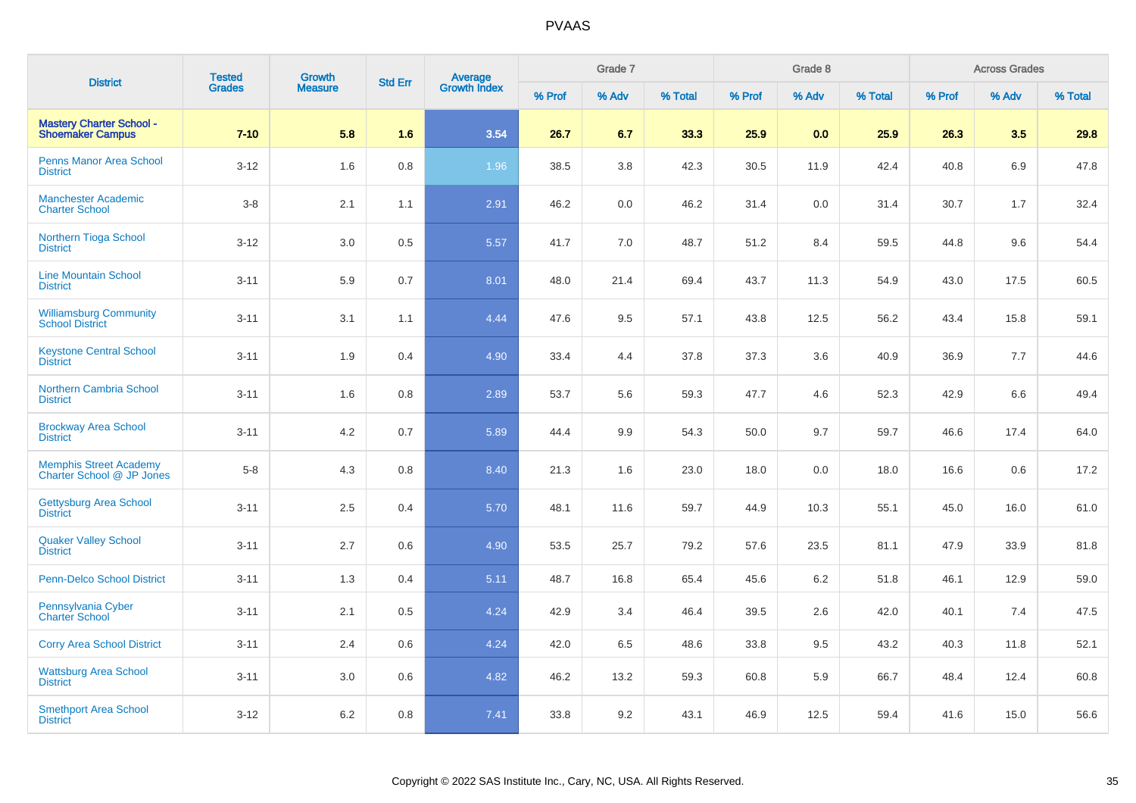| <b>District</b>                                            | <b>Tested</b> | <b>Growth</b>  | <b>Std Err</b> |                                |        | Grade 7 |         |        | Grade 8 |         |        | <b>Across Grades</b> |         |
|------------------------------------------------------------|---------------|----------------|----------------|--------------------------------|--------|---------|---------|--------|---------|---------|--------|----------------------|---------|
|                                                            | <b>Grades</b> | <b>Measure</b> |                | <b>Average</b><br>Growth Index | % Prof | % Adv   | % Total | % Prof | % Adv   | % Total | % Prof | % Adv                | % Total |
| <b>Mastery Charter School -</b><br><b>Shoemaker Campus</b> | $7 - 10$      | 5.8            | 1.6            | 3.54                           | 26.7   | 6.7     | 33.3    | 25.9   | 0.0     | 25.9    | 26.3   | 3.5                  | 29.8    |
| Penns Manor Area School<br><b>District</b>                 | $3 - 12$      | 1.6            | 0.8            | 1.96                           | 38.5   | 3.8     | 42.3    | 30.5   | 11.9    | 42.4    | 40.8   | 6.9                  | 47.8    |
| <b>Manchester Academic</b><br><b>Charter School</b>        | $3-8$         | 2.1            | 1.1            | 2.91                           | 46.2   | 0.0     | 46.2    | 31.4   | 0.0     | 31.4    | 30.7   | 1.7                  | 32.4    |
| Northern Tioga School<br><b>District</b>                   | $3 - 12$      | 3.0            | 0.5            | 5.57                           | 41.7   | 7.0     | 48.7    | 51.2   | 8.4     | 59.5    | 44.8   | 9.6                  | 54.4    |
| <b>Line Mountain School</b><br><b>District</b>             | $3 - 11$      | 5.9            | 0.7            | 8.01                           | 48.0   | 21.4    | 69.4    | 43.7   | 11.3    | 54.9    | 43.0   | 17.5                 | 60.5    |
| <b>Williamsburg Community</b><br><b>School District</b>    | $3 - 11$      | 3.1            | 1.1            | 4.44                           | 47.6   | 9.5     | 57.1    | 43.8   | 12.5    | 56.2    | 43.4   | 15.8                 | 59.1    |
| <b>Keystone Central School</b><br><b>District</b>          | $3 - 11$      | 1.9            | 0.4            | 4.90                           | 33.4   | 4.4     | 37.8    | 37.3   | 3.6     | 40.9    | 36.9   | 7.7                  | 44.6    |
| <b>Northern Cambria School</b><br><b>District</b>          | $3 - 11$      | 1.6            | 0.8            | 2.89                           | 53.7   | 5.6     | 59.3    | 47.7   | 4.6     | 52.3    | 42.9   | 6.6                  | 49.4    |
| <b>Brockway Area School</b><br><b>District</b>             | $3 - 11$      | 4.2            | 0.7            | 5.89                           | 44.4   | 9.9     | 54.3    | 50.0   | 9.7     | 59.7    | 46.6   | 17.4                 | 64.0    |
| Memphis Street Academy<br>Charter School @ JP Jones        | $5-8$         | 4.3            | 0.8            | 8.40                           | 21.3   | 1.6     | 23.0    | 18.0   | 0.0     | 18.0    | 16.6   | 0.6                  | 17.2    |
| <b>Gettysburg Area School</b><br><b>District</b>           | $3 - 11$      | 2.5            | 0.4            | 5.70                           | 48.1   | 11.6    | 59.7    | 44.9   | 10.3    | 55.1    | 45.0   | 16.0                 | 61.0    |
| <b>Quaker Valley School</b><br><b>District</b>             | $3 - 11$      | 2.7            | 0.6            | 4.90                           | 53.5   | 25.7    | 79.2    | 57.6   | 23.5    | 81.1    | 47.9   | 33.9                 | 81.8    |
| <b>Penn-Delco School District</b>                          | $3 - 11$      | 1.3            | 0.4            | 5.11                           | 48.7   | 16.8    | 65.4    | 45.6   | 6.2     | 51.8    | 46.1   | 12.9                 | 59.0    |
| Pennsylvania Cyber<br><b>Charter School</b>                | $3 - 11$      | 2.1            | 0.5            | 4.24                           | 42.9   | 3.4     | 46.4    | 39.5   | 2.6     | 42.0    | 40.1   | 7.4                  | 47.5    |
| <b>Corry Area School District</b>                          | $3 - 11$      | 2.4            | 0.6            | 4.24                           | 42.0   | 6.5     | 48.6    | 33.8   | 9.5     | 43.2    | 40.3   | 11.8                 | 52.1    |
| <b>Wattsburg Area School</b><br><b>District</b>            | $3 - 11$      | 3.0            | 0.6            | 4.82                           | 46.2   | 13.2    | 59.3    | 60.8   | 5.9     | 66.7    | 48.4   | 12.4                 | 60.8    |
| <b>Smethport Area School</b><br><b>District</b>            | $3 - 12$      | 6.2            | 0.8            | 7.41                           | 33.8   | 9.2     | 43.1    | 46.9   | 12.5    | 59.4    | 41.6   | 15.0                 | 56.6    |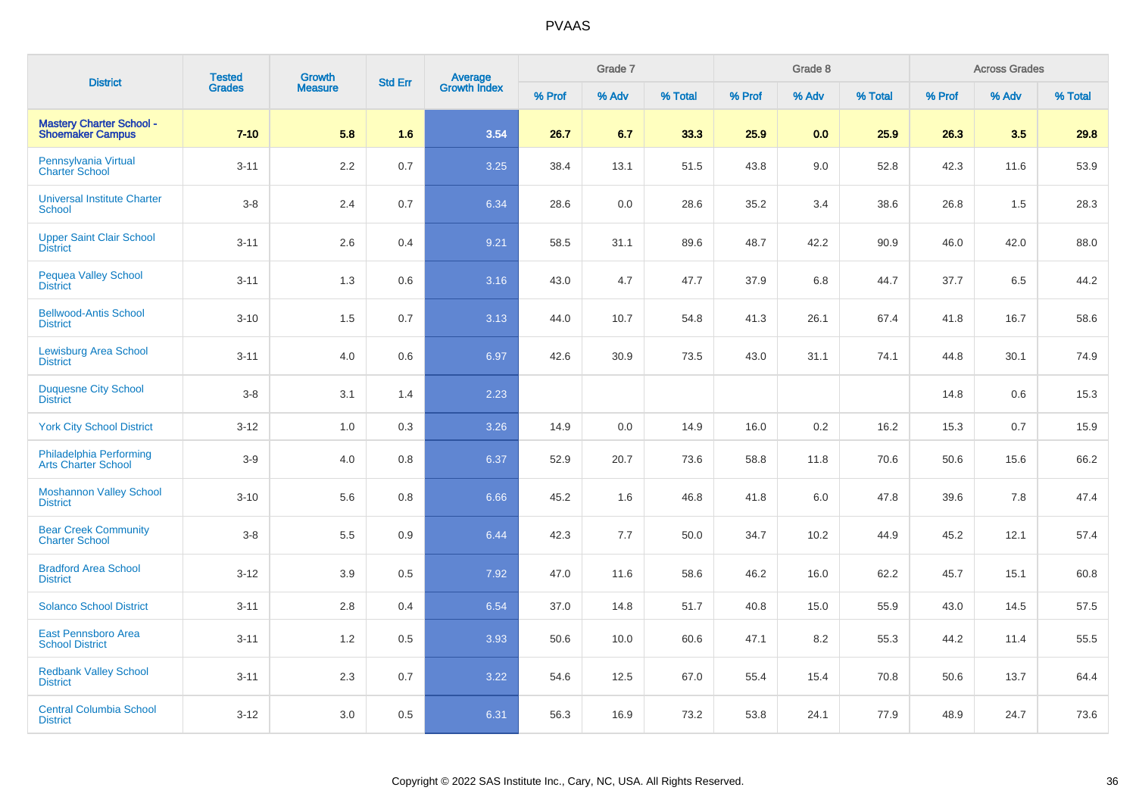| <b>District</b>                                            | <b>Tested</b><br><b>Grades</b> | <b>Growth</b><br><b>Measure</b> | <b>Std Err</b> | <b>Average</b><br>Growth Index | Grade 7 |       |         | Grade 8 |       |         | <b>Across Grades</b> |       |         |
|------------------------------------------------------------|--------------------------------|---------------------------------|----------------|--------------------------------|---------|-------|---------|---------|-------|---------|----------------------|-------|---------|
|                                                            |                                |                                 |                |                                | % Prof  | % Adv | % Total | % Prof  | % Adv | % Total | % Prof               | % Adv | % Total |
| <b>Mastery Charter School -</b><br><b>Shoemaker Campus</b> | $7 - 10$                       | 5.8                             | 1.6            | 3.54                           | 26.7    | 6.7   | 33.3    | 25.9    | 0.0   | 25.9    | 26.3                 | 3.5   | 29.8    |
| Pennsylvania Virtual<br><b>Charter School</b>              | $3 - 11$                       | 2.2                             | 0.7            | 3.25                           | 38.4    | 13.1  | 51.5    | 43.8    | 9.0   | 52.8    | 42.3                 | 11.6  | 53.9    |
| <b>Universal Institute Charter</b><br>School               | $3 - 8$                        | 2.4                             | 0.7            | 6.34                           | 28.6    | 0.0   | 28.6    | 35.2    | 3.4   | 38.6    | 26.8                 | 1.5   | 28.3    |
| <b>Upper Saint Clair School</b><br><b>District</b>         | $3 - 11$                       | 2.6                             | 0.4            | 9.21                           | 58.5    | 31.1  | 89.6    | 48.7    | 42.2  | 90.9    | 46.0                 | 42.0  | 88.0    |
| <b>Pequea Valley School</b><br><b>District</b>             | $3 - 11$                       | 1.3                             | 0.6            | 3.16                           | 43.0    | 4.7   | 47.7    | 37.9    | 6.8   | 44.7    | 37.7                 | 6.5   | 44.2    |
| <b>Bellwood-Antis School</b><br><b>District</b>            | $3 - 10$                       | 1.5                             | 0.7            | 3.13                           | 44.0    | 10.7  | 54.8    | 41.3    | 26.1  | 67.4    | 41.8                 | 16.7  | 58.6    |
| <b>Lewisburg Area School</b><br><b>District</b>            | $3 - 11$                       | $4.0\,$                         | 0.6            | 6.97                           | 42.6    | 30.9  | 73.5    | 43.0    | 31.1  | 74.1    | 44.8                 | 30.1  | 74.9    |
| <b>Duquesne City School</b><br><b>District</b>             | $3 - 8$                        | 3.1                             | 1.4            | 2.23                           |         |       |         |         |       |         | 14.8                 | 0.6   | 15.3    |
| <b>York City School District</b>                           | $3 - 12$                       | 1.0                             | 0.3            | 3.26                           | 14.9    | 0.0   | 14.9    | 16.0    | 0.2   | 16.2    | 15.3                 | 0.7   | 15.9    |
| Philadelphia Performing<br><b>Arts Charter School</b>      | $3-9$                          | 4.0                             | 0.8            | 6.37                           | 52.9    | 20.7  | 73.6    | 58.8    | 11.8  | 70.6    | 50.6                 | 15.6  | 66.2    |
| <b>Moshannon Valley School</b><br><b>District</b>          | $3 - 10$                       | 5.6                             | 0.8            | 6.66                           | 45.2    | 1.6   | 46.8    | 41.8    | 6.0   | 47.8    | 39.6                 | 7.8   | 47.4    |
| <b>Bear Creek Community</b><br><b>Charter School</b>       | $3 - 8$                        | 5.5                             | 0.9            | 6.44                           | 42.3    | 7.7   | 50.0    | 34.7    | 10.2  | 44.9    | 45.2                 | 12.1  | 57.4    |
| <b>Bradford Area School</b><br><b>District</b>             | $3 - 12$                       | 3.9                             | 0.5            | 7.92                           | 47.0    | 11.6  | 58.6    | 46.2    | 16.0  | 62.2    | 45.7                 | 15.1  | 60.8    |
| <b>Solanco School District</b>                             | $3 - 11$                       | $2.8\,$                         | 0.4            | 6.54                           | 37.0    | 14.8  | 51.7    | 40.8    | 15.0  | 55.9    | 43.0                 | 14.5  | 57.5    |
| East Pennsboro Area<br><b>School District</b>              | $3 - 11$                       | 1.2                             | 0.5            | 3.93                           | 50.6    | 10.0  | 60.6    | 47.1    | 8.2   | 55.3    | 44.2                 | 11.4  | 55.5    |
| <b>Redbank Valley School</b><br><b>District</b>            | $3 - 11$                       | 2.3                             | 0.7            | 3.22                           | 54.6    | 12.5  | 67.0    | 55.4    | 15.4  | 70.8    | 50.6                 | 13.7  | 64.4    |
| <b>Central Columbia School</b><br><b>District</b>          | $3 - 12$                       | 3.0                             | 0.5            | 6.31                           | 56.3    | 16.9  | 73.2    | 53.8    | 24.1  | 77.9    | 48.9                 | 24.7  | 73.6    |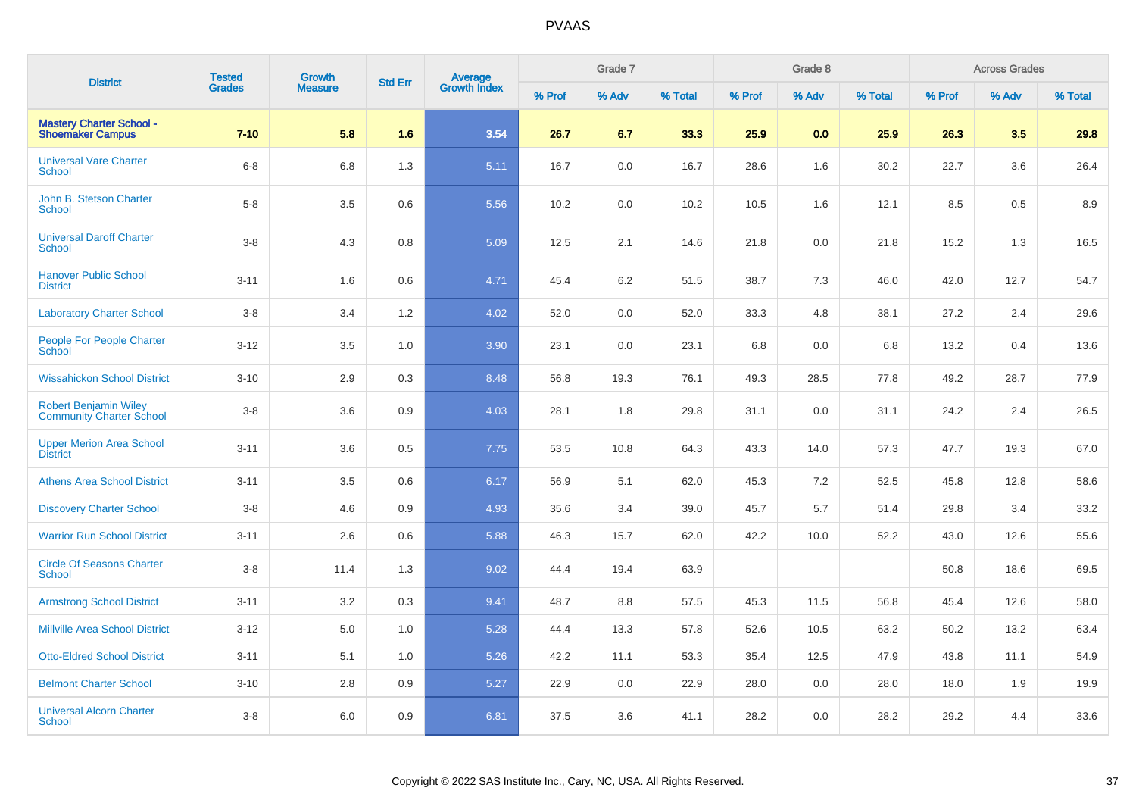| <b>District</b>                                                 | <b>Tested</b><br><b>Grades</b> | Growth<br><b>Measure</b> | <b>Std Err</b> | <b>Average</b><br>Growth Index | Grade 7 |       |         | Grade 8 |       |         | <b>Across Grades</b> |       |         |
|-----------------------------------------------------------------|--------------------------------|--------------------------|----------------|--------------------------------|---------|-------|---------|---------|-------|---------|----------------------|-------|---------|
|                                                                 |                                |                          |                |                                | % Prof  | % Adv | % Total | % Prof  | % Adv | % Total | % Prof               | % Adv | % Total |
| <b>Mastery Charter School -</b><br><b>Shoemaker Campus</b>      | $7 - 10$                       | 5.8                      | 1.6            | 3.54                           | 26.7    | 6.7   | 33.3    | 25.9    | 0.0   | 25.9    | 26.3                 | 3.5   | 29.8    |
| <b>Universal Vare Charter</b><br><b>School</b>                  | $6-8$                          | 6.8                      | 1.3            | 5.11                           | 16.7    | 0.0   | 16.7    | 28.6    | 1.6   | 30.2    | 22.7                 | 3.6   | 26.4    |
| John B. Stetson Charter<br><b>School</b>                        | $5-8$                          | 3.5                      | 0.6            | 5.56                           | 10.2    | 0.0   | 10.2    | 10.5    | 1.6   | 12.1    | 8.5                  | 0.5   | 8.9     |
| <b>Universal Daroff Charter</b><br><b>School</b>                | $3-8$                          | 4.3                      | 0.8            | 5.09                           | 12.5    | 2.1   | 14.6    | 21.8    | 0.0   | 21.8    | 15.2                 | 1.3   | 16.5    |
| <b>Hanover Public School</b><br><b>District</b>                 | $3 - 11$                       | 1.6                      | 0.6            | 4.71                           | 45.4    | 6.2   | 51.5    | 38.7    | 7.3   | 46.0    | 42.0                 | 12.7  | 54.7    |
| <b>Laboratory Charter School</b>                                | $3-8$                          | 3.4                      | 1.2            | 4.02                           | 52.0    | 0.0   | 52.0    | 33.3    | 4.8   | 38.1    | 27.2                 | 2.4   | 29.6    |
| <b>People For People Charter</b><br>School                      | $3 - 12$                       | 3.5                      | 1.0            | 3.90                           | 23.1    | 0.0   | 23.1    | 6.8     | 0.0   | 6.8     | 13.2                 | 0.4   | 13.6    |
| <b>Wissahickon School District</b>                              | $3 - 10$                       | 2.9                      | 0.3            | 8.48                           | 56.8    | 19.3  | 76.1    | 49.3    | 28.5  | 77.8    | 49.2                 | 28.7  | 77.9    |
| <b>Robert Benjamin Wiley</b><br><b>Community Charter School</b> | $3-8$                          | 3.6                      | 0.9            | 4.03                           | 28.1    | 1.8   | 29.8    | 31.1    | 0.0   | 31.1    | 24.2                 | 2.4   | 26.5    |
| <b>Upper Merion Area School</b><br><b>District</b>              | $3 - 11$                       | 3.6                      | 0.5            | 7.75                           | 53.5    | 10.8  | 64.3    | 43.3    | 14.0  | 57.3    | 47.7                 | 19.3  | 67.0    |
| <b>Athens Area School District</b>                              | $3 - 11$                       | 3.5                      | 0.6            | 6.17                           | 56.9    | 5.1   | 62.0    | 45.3    | 7.2   | 52.5    | 45.8                 | 12.8  | 58.6    |
| <b>Discovery Charter School</b>                                 | $3-8$                          | 4.6                      | 0.9            | 4.93                           | 35.6    | 3.4   | 39.0    | 45.7    | 5.7   | 51.4    | 29.8                 | 3.4   | 33.2    |
| <b>Warrior Run School District</b>                              | $3 - 11$                       | 2.6                      | 0.6            | 5.88                           | 46.3    | 15.7  | 62.0    | 42.2    | 10.0  | 52.2    | 43.0                 | 12.6  | 55.6    |
| <b>Circle Of Seasons Charter</b><br>School                      | $3-8$                          | 11.4                     | 1.3            | 9.02                           | 44.4    | 19.4  | 63.9    |         |       |         | 50.8                 | 18.6  | 69.5    |
| <b>Armstrong School District</b>                                | $3 - 11$                       | 3.2                      | 0.3            | 9.41                           | 48.7    | 8.8   | 57.5    | 45.3    | 11.5  | 56.8    | 45.4                 | 12.6  | 58.0    |
| <b>Millville Area School District</b>                           | $3 - 12$                       | 5.0                      | 1.0            | 5.28                           | 44.4    | 13.3  | 57.8    | 52.6    | 10.5  | 63.2    | 50.2                 | 13.2  | 63.4    |
| <b>Otto-Eldred School District</b>                              | $3 - 11$                       | 5.1                      | 1.0            | 5.26                           | 42.2    | 11.1  | 53.3    | 35.4    | 12.5  | 47.9    | 43.8                 | 11.1  | 54.9    |
| <b>Belmont Charter School</b>                                   | $3 - 10$                       | 2.8                      | 0.9            | 5.27                           | 22.9    | 0.0   | 22.9    | 28.0    | 0.0   | 28.0    | 18.0                 | 1.9   | 19.9    |
| <b>Universal Alcorn Charter</b><br>School                       | $3-8$                          | 6.0                      | 0.9            | 6.81                           | 37.5    | 3.6   | 41.1    | 28.2    | 0.0   | 28.2    | 29.2                 | 4.4   | 33.6    |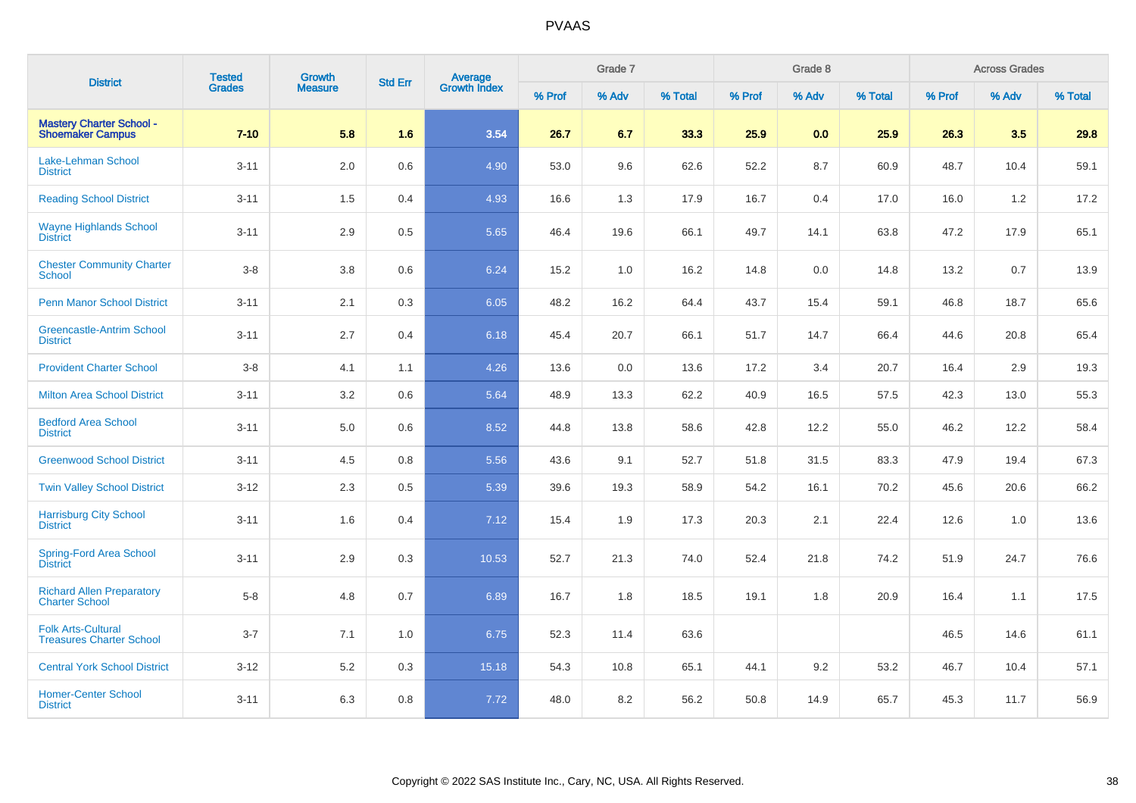| <b>District</b>                                              | <b>Tested</b><br><b>Grades</b> | Growth<br><b>Measure</b> | <b>Std Err</b> | Average<br>Growth Index | Grade 7 |       |         | Grade 8 |       |         | <b>Across Grades</b> |       |         |
|--------------------------------------------------------------|--------------------------------|--------------------------|----------------|-------------------------|---------|-------|---------|---------|-------|---------|----------------------|-------|---------|
|                                                              |                                |                          |                |                         | % Prof  | % Adv | % Total | % Prof  | % Adv | % Total | % Prof               | % Adv | % Total |
| <b>Mastery Charter School -</b><br><b>Shoemaker Campus</b>   | $7 - 10$                       | 5.8                      | 1.6            | 3.54                    | 26.7    | 6.7   | 33.3    | 25.9    | 0.0   | 25.9    | 26.3                 | 3.5   | 29.8    |
| Lake-Lehman School<br><b>District</b>                        | $3 - 11$                       | 2.0                      | 0.6            | 4.90                    | 53.0    | 9.6   | 62.6    | 52.2    | 8.7   | 60.9    | 48.7                 | 10.4  | 59.1    |
| <b>Reading School District</b>                               | $3 - 11$                       | 1.5                      | 0.4            | 4.93                    | 16.6    | 1.3   | 17.9    | 16.7    | 0.4   | 17.0    | 16.0                 | 1.2   | 17.2    |
| <b>Wayne Highlands School</b><br><b>District</b>             | $3 - 11$                       | 2.9                      | 0.5            | 5.65                    | 46.4    | 19.6  | 66.1    | 49.7    | 14.1  | 63.8    | 47.2                 | 17.9  | 65.1    |
| <b>Chester Community Charter</b><br><b>School</b>            | $3-8$                          | 3.8                      | 0.6            | 6.24                    | 15.2    | 1.0   | 16.2    | 14.8    | 0.0   | 14.8    | 13.2                 | 0.7   | 13.9    |
| <b>Penn Manor School District</b>                            | $3 - 11$                       | 2.1                      | 0.3            | 6.05                    | 48.2    | 16.2  | 64.4    | 43.7    | 15.4  | 59.1    | 46.8                 | 18.7  | 65.6    |
| <b>Greencastle-Antrim School</b><br><b>District</b>          | $3 - 11$                       | 2.7                      | 0.4            | 6.18                    | 45.4    | 20.7  | 66.1    | 51.7    | 14.7  | 66.4    | 44.6                 | 20.8  | 65.4    |
| <b>Provident Charter School</b>                              | $3-8$                          | 4.1                      | 1.1            | 4.26                    | 13.6    | 0.0   | 13.6    | 17.2    | 3.4   | 20.7    | 16.4                 | 2.9   | 19.3    |
| <b>Milton Area School District</b>                           | $3 - 11$                       | 3.2                      | 0.6            | 5.64                    | 48.9    | 13.3  | 62.2    | 40.9    | 16.5  | 57.5    | 42.3                 | 13.0  | 55.3    |
| <b>Bedford Area School</b><br><b>District</b>                | $3 - 11$                       | 5.0                      | 0.6            | 8.52                    | 44.8    | 13.8  | 58.6    | 42.8    | 12.2  | 55.0    | 46.2                 | 12.2  | 58.4    |
| <b>Greenwood School District</b>                             | $3 - 11$                       | 4.5                      | 0.8            | 5.56                    | 43.6    | 9.1   | 52.7    | 51.8    | 31.5  | 83.3    | 47.9                 | 19.4  | 67.3    |
| <b>Twin Valley School District</b>                           | $3 - 12$                       | 2.3                      | 0.5            | 5.39                    | 39.6    | 19.3  | 58.9    | 54.2    | 16.1  | 70.2    | 45.6                 | 20.6  | 66.2    |
| <b>Harrisburg City School</b><br><b>District</b>             | $3 - 11$                       | 1.6                      | 0.4            | 7.12                    | 15.4    | 1.9   | 17.3    | 20.3    | 2.1   | 22.4    | 12.6                 | 1.0   | 13.6    |
| <b>Spring-Ford Area School</b><br><b>District</b>            | $3 - 11$                       | 2.9                      | 0.3            | 10.53                   | 52.7    | 21.3  | 74.0    | 52.4    | 21.8  | 74.2    | 51.9                 | 24.7  | 76.6    |
| <b>Richard Allen Preparatory</b><br><b>Charter School</b>    | $5-8$                          | 4.8                      | 0.7            | 6.89                    | 16.7    | 1.8   | 18.5    | 19.1    | 1.8   | 20.9    | 16.4                 | 1.1   | 17.5    |
| <b>Folk Arts-Cultural</b><br><b>Treasures Charter School</b> | $3 - 7$                        | 7.1                      | 1.0            | 6.75                    | 52.3    | 11.4  | 63.6    |         |       |         | 46.5                 | 14.6  | 61.1    |
| <b>Central York School District</b>                          | $3 - 12$                       | 5.2                      | 0.3            | 15.18                   | 54.3    | 10.8  | 65.1    | 44.1    | 9.2   | 53.2    | 46.7                 | 10.4  | 57.1    |
| <b>Homer-Center School</b><br><b>District</b>                | $3 - 11$                       | 6.3                      | 0.8            | 7.72                    | 48.0    | 8.2   | 56.2    | 50.8    | 14.9  | 65.7    | 45.3                 | 11.7  | 56.9    |